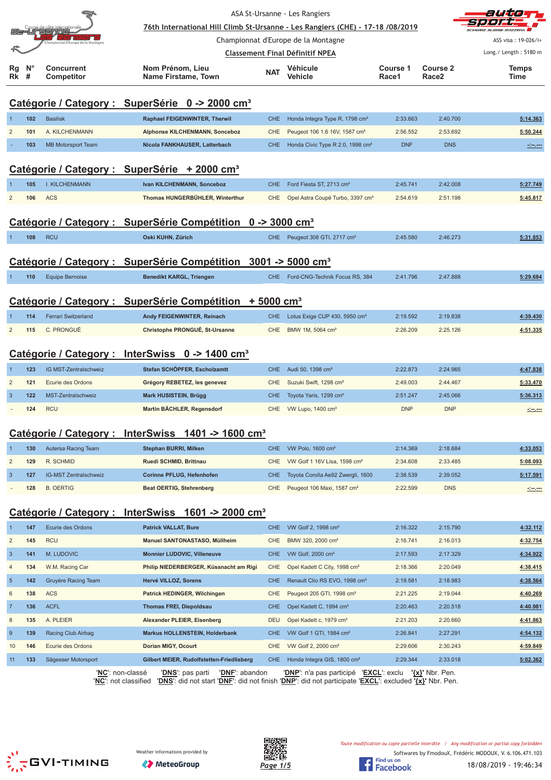|                |                  |                                 | 76th International Hill Climb St-Ursanne - Les Rangiers (CHE) - 17-18 /08/2019 |            | ASA St-Ursanne - Les Rangiers                |                   |                          | auto                              |
|----------------|------------------|---------------------------------|--------------------------------------------------------------------------------|------------|----------------------------------------------|-------------------|--------------------------|-----------------------------------|
|                |                  | Sanne                           |                                                                                |            | Championnat d'Europe de la Montagne          |                   |                          | SVIZZERA I<br>ASS visa: 19-026/1+ |
|                |                  |                                 |                                                                                |            | <b>Classement Final Définitif NPEA</b>       |                   |                          | Long./ Length: 5180 m             |
| Rg<br>Rk       | $N^{\circ}$<br># | Concurrent<br><b>Competitor</b> | Nom Prénom, Lieu<br>Name Firstame, Town                                        | <b>NAT</b> | Véhicule<br>Vehicle                          | Course 1<br>Race1 | <b>Course 2</b><br>Race2 | Temps<br>Time                     |
|                |                  |                                 | Catégorie / Category : SuperSérie 0 -> 2000 cm <sup>3</sup>                    |            |                                              |                   |                          |                                   |
| $\overline{1}$ | 102              | <b>Basilisk</b>                 | Raphael FEIGENWINTER, Therwil                                                  | <b>CHE</b> | Honda Integra Type R, 1798 cm <sup>3</sup>   | 2:33.663          | 2:40.700                 | 5:14.363                          |
| $\overline{2}$ | 101              | A. KILCHENMANN                  | Alphonse KILCHENMANN, Sonceboz                                                 | CHE        | Peugeot 106 1.6 16V, 1587 cm <sup>3</sup>    | 2:56.552          | 2:53.692                 | 5:50.244                          |
|                | 103              | <b>MB Motorsport Team</b>       | Nicola FANKHAUSER, Latterbach                                                  | <b>CHE</b> | Honda Civic Type R 2.0, 1998 cm <sup>3</sup> | <b>DNF</b>        | <b>DNS</b>               |                                   |
|                |                  |                                 |                                                                                |            |                                              |                   |                          |                                   |
|                |                  |                                 | Catégorie / Category : SuperSérie + 2000 cm <sup>3</sup>                       |            |                                              |                   |                          |                                   |
|                | 105              | <b>I. KILCHENMANN</b>           | Ivan KILCHENMANN, Sonceboz                                                     | <b>CHE</b> | Ford Fiesta ST, 2713 cm <sup>3</sup>         | 2:45.741          | 2:42.008                 | 5:27.749                          |
| $\overline{2}$ | 106              | <b>ACS</b>                      | Thomas HUNGERBÜHLER, Winterthur                                                | <b>CHE</b> | Opel Astra Coupé Turbo, 3397 cm <sup>3</sup> | 2:54.619          | 2:51.198                 | 5:45.817                          |
|                |                  |                                 | Catégorie / Category : SuperSérie Compétition 0 -> 3000 cm <sup>3</sup>        |            |                                              |                   |                          |                                   |
|                | 108              | <b>RCU</b>                      | Oski KUHN, Zürich                                                              | <b>CHE</b> | Peugeot 308 GTI, 2717 cm <sup>3</sup>        | 2:45.580          | 2:46.273                 | 5:31.853                          |
|                |                  |                                 |                                                                                |            |                                              |                   |                          |                                   |
|                |                  |                                 | Catégorie / Category : SuperSérie Compétition 3001 -> 5000 cm <sup>3</sup>     |            |                                              |                   |                          |                                   |
| 1              | 110              | <b>Equipe Bernoise</b>          | <b>Benedikt KARGL, Triengen</b>                                                | CHE.       | Ford-CNG-Technik Focus RS, 384               | 2:41.796          | 2:47.888                 | 5:29.684                          |
|                |                  |                                 | Catégorie / Category : SuperSérie Compétition + 5000 cm <sup>3</sup>           |            |                                              |                   |                          |                                   |
|                | 114              | <b>Ferrari Switzerland</b>      | Andy FEIGENWINTER, Reinach                                                     | <b>CHE</b> | Lotus Exige CUP 430, 5950 cm <sup>3</sup>    | 2:19.592          | 2:19.838                 | 4:39.430                          |
| $\overline{2}$ | 115              | C. PRONGUÉ                      | Christophe PRONGUÉ, St-Ursanne                                                 | <b>CHE</b> | BMW 1M, 5064 cm <sup>3</sup>                 | 2:26.209          | 2:25.126                 | 4:51.335                          |
|                |                  |                                 | Catégorie / Category : InterSwiss 0 -> 1400 cm <sup>3</sup>                    |            |                                              |                   |                          |                                   |
| $\mathbf{1}$   | 123              | IG MST-Zentralschweiz           | Stefan SCHÖPFER, Escholzamtt                                                   | <b>CHE</b> | Audi 50, 1398 cm <sup>3</sup>                | 2:22.873          | 2:24.965                 | 4:47.838                          |
| $\overline{2}$ | 121              | Ecurie des Ordons               | Grégory REBETEZ, les genevez                                                   | <b>CHE</b> | Suzuki Swift, 1298 cm <sup>3</sup>           | 2:49.003          | 2:44.467                 | 5:33.470                          |
| $\overline{3}$ | 122              | MST-Zentralschweiz              | Mark HUSISTEIN, Brügg                                                          | <b>CHE</b> | Toyota Yaris, 1299 cm <sup>3</sup>           | 2:51.247          | 2:45.066                 | 5:36.313                          |
|                | 124              | <b>RCU</b>                      | Martin BÄCHLER, Regensdorf                                                     | <b>CHE</b> | VW Lupo, 1400 cm <sup>3</sup>                | <b>DNP</b>        | <b>DNP</b>               |                                   |
|                |                  |                                 |                                                                                |            |                                              |                   |                          |                                   |
|                |                  |                                 | Catégorie / Category : InterSwiss 1401 -> 1600 cm <sup>3</sup>                 |            |                                              |                   |                          |                                   |
|                | 130              | Autersa Racing Team             | Stephan BURRI, Milken                                                          | <b>CHE</b> | VW Polo, 1600 cm <sup>3</sup>                | 2:14.369          | 2:18.684                 | 4:33.053                          |
| $\overline{c}$ | 129              | R. SCHMID                       | Ruedi SCHMID, Brittnau                                                         | <b>CHE</b> | VW Golf 1 16V Lisa, 1598 cm <sup>3</sup>     | 2:34.608          | 2:33.485                 | 5:08.093                          |
| $\mathbf{3}$   | 127              | IG-MST Zentralschweiz           | Corinne PFLUG, Hefenhofen                                                      | <b>CHE</b> | Toyota Corolla Ae92 Zwergli, 1600            | 2:38.539          | 2:39.052                 | 5:17.591                          |
|                | 128              | <b>B. OERTIG</b>                | <b>Beat OERTIG, Stehrenberg</b>                                                | <b>CHE</b> | Peugeot 106 Maxi, 1587 cm <sup>3</sup>       | 2:22.599          | <b>DNS</b>               |                                   |
|                |                  |                                 | Catégorie / Category : InterSwiss 1601 -> 2000 cm <sup>3</sup>                 |            |                                              |                   |                          |                                   |
| -1             | 147              | Ecurie des Ordons               | <b>Patrick VALLAT, Bure</b>                                                    | <b>CHE</b> | VW Golf 2, 1998 cm <sup>3</sup>              | 2:16.322          | 2:15.790                 | 4:32.112                          |
| $\sqrt{2}$     | 145              | <b>RCU</b>                      | Manuel SANTONASTASO, Müllheim                                                  | <b>CHE</b> | BMW 320, 2000 cm <sup>3</sup>                | 2:16.741          | 2:16.013                 | 4:32.754                          |
| $\mathbf{3}$   | 141              | M. LUDOVIC                      | Monnier LUDOVIC, Villeneuve                                                    | <b>CHE</b> | VW Golf, 2000 cm <sup>3</sup>                | 2:17.593          | 2:17.329                 | 4:34.922                          |
| 4              | 134              | W.M. Racing Car                 | Philip NIEDERBERGER, Küssnacht am Rigi                                         | <b>CHE</b> | Opel Kadett C City, 1998 cm <sup>3</sup>     | 2:18.366          | 2:20.049                 | 4:38.415                          |
| $\overline{5}$ | 142              | Gruyère Racing Team             | Hervé VILLOZ, Sorens                                                           | <b>CHE</b> | Renault Clio RS EVO, 1998 cm <sup>3</sup>    | 2:19.581          | 2:18.983                 | 4:38.564                          |
| 6              | 138              | <b>ACS</b>                      | Patrick HEDINGER, Wilchingen                                                   | CHE        | Peugeot 205 GTI, 1998 cm <sup>3</sup>        | 2:21.225          | 2:19.044                 | 4:40.269                          |
| $\overline{7}$ | 136              | <b>ACFL</b>                     | <b>Thomas FREI, Diepoldsau</b>                                                 | <b>CHE</b> | Opel Kadett C, 1994 cm <sup>3</sup>          | 2:20.463          | 2:20.518                 | 4:40.981                          |
| 8              | 135              | A. PLEIER                       | Alexander PLEIER, Eisenberg                                                    | <b>DEU</b> | Opel Kadett c, 1979 cm <sup>3</sup>          | 2:21.203          | 2:20.660                 | 4:41.863                          |
| 9              | 139              | Racing Club Airbag              | <b>Markus HOLLENSTEIN, Holderbank</b>                                          | <b>CHE</b> | VW Golf 1 GTI, 1984 cm <sup>3</sup>          | 2:26.841          | 2:27.291                 | 4:54.132                          |
| 10             | 146              | Ecurie des Ordons               | Dorian MIGY, Ocourt                                                            | <b>CHE</b> | VW Golf 2, 2000 cm <sup>3</sup>              | 2:29.606          | 2:30.243                 | 4:59.849                          |

'**NC**': non-classé '**DNS**': pas parti '**DNF**': abandon '**DNP**': n'a pas participé '**EXCL**': exclu **'{x}'** Nbr. Pen. '**NC**': not classified '**DNS**': did not start '**DNF**': did not finish '**DNP**': did not participate '**EXCL**': excluded **'{x}'** Nbr. Pen.

11 **133** Sägesser Motorsport **Gilbert MEIER, Rudolfstetten-Friedlisberg** CHE Honda Integra GIS, 1800 cm³ 2:29.344 2:33.018 **5:02.362**



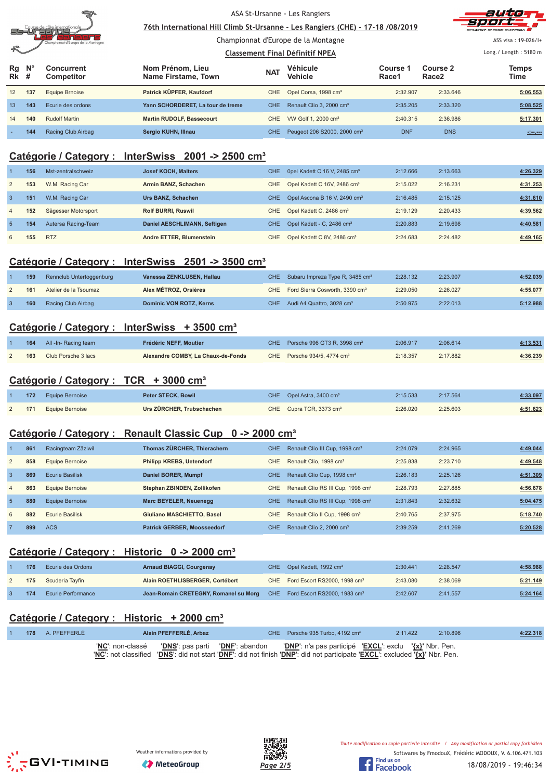

<u>76th International Hill Climb St-Ursanne - Les Rangiers (CHE) - 17-18 /08/2019</u> Championnat d'Europe de la Montagne



ASS visa : 19-026/I+

#### <u>**Classement Final Définitif NPEA**</u> Long./ Length: 5180 m **Rg Rk N° # Concurrent Competitor Nom Prénom, Lieu Name Firstame, Town Véhicule Vehicle Course 1 Race1 Course 2 Race2 Temps NAT Venicule The Course Figure 2 The Vehicle The Race 2 Time** 12 **137** Equipe Brnoise **Patrick KÜPFER, Kaufdorf** CHE Opel Corsa, 1998 cm³ 2:32.907 2:33.646 **5:06.553** 13 **143** Ecurie des ordons **Yann SCHORDERET, La tour de treme** CHE Renault Clio 3, 2000 cm³ 2:35.205 2:33.320 **5:08.525** 14 **140** Rudolf Martin **Martin RUDOLF, Bassecourt** CHE VW Golf 1, 2000 cm<sup>3</sup> 2:40.315 2:36.986 **5:17.301** - **144** Racing Club Airbag **Sergio KUHN, Illnau** CHE Peugeot 206 S2000, 2000 cm³ DNF DNS **-:--.---**

## **Catégorie / Category : InterSwiss 2001 -> 2500 cm³**

|                | 156 | Mst-zentralschweiz  | Josef KOCH, Malters          | CHE. | 0pel Kadett C 16 V, 2485 $cm3$           | 2:12.666 | 2:13.663 | 4:26.329 |
|----------------|-----|---------------------|------------------------------|------|------------------------------------------|----------|----------|----------|
| $\overline{2}$ | 153 | W.M. Racing Car     | Armin BANZ, Schachen         | CHE. | Opel Kadett C 16V, 2486 cm <sup>3</sup>  | 2:15.022 | 2:16.231 | 4:31.253 |
| $\mathbf{3}$   | 151 | W.M. Racing Car     | Urs BANZ, Schachen           | CHE. | Opel Ascona B 16 V, 2490 cm <sup>3</sup> | 2:16.485 | 2:15.125 | 4:31.610 |
| $\overline{4}$ | 152 | Sägesser Motorsport | <b>Rolf BURRI, Ruswil</b>    | CHE  | Opel Kadett C, 2486 cm <sup>3</sup>      | 2:19.129 | 2:20.433 | 4:39.562 |
| -5             | 154 | Autersa Racing-Team | Daniel AESCHLIMANN, Seftigen | CHE. | Opel Kadett - C, 2486 cm <sup>3</sup>    | 2:20.883 | 2:19.698 | 4:40.581 |
| 6              | 155 | <b>RTZ</b>          | Andre ETTER, Blumenstein     | CHE  | Opel Kadett C 8V, 2486 cm <sup>3</sup>   | 2:24.683 | 2:24.482 | 4:49.165 |

## **Catégorie / Category : InterSwiss 2501 -> 3500 cm³**

| 159 | Rennclub Untertoggenburg | Vanessa ZENKLUSEN, Hallau | CHE Subaru Impreza Type R, 3485 cm <sup>3</sup> | 2:28.132 | 2:23.907 | 4:52.039 |
|-----|--------------------------|---------------------------|-------------------------------------------------|----------|----------|----------|
| 161 | Atelier de la Tsoumaz    | Alex MÉTROZ, Orsières     | CHE Ford Sierra Cosworth, 3390 cm <sup>3</sup>  | 2:29.050 | 2:26.027 | 4:55.077 |
| 160 | Racing Club Airbag       | Dominic VON ROTZ, Kerns   | CHE Audi A4 Quattro, 3028 cm <sup>3</sup>       | 2:50.975 | 2:22.013 | 5:12.988 |

## **Catégorie / Category : InterSwiss + 3500 cm³**

| 164 | All -In- Racing team | Frédéric NEFF. Moutier             | CHE Porsche 996 GT3 R, 3998 $cm3$          | 2:06.917 | 2:06.614 | 4:13.531 |
|-----|----------------------|------------------------------------|--------------------------------------------|----------|----------|----------|
| 163 | Club Porsche 3 lacs  | Alexandre COMBY, La Chaux-de-Fonds | CHE Porsche $934/5$ , 4774 cm <sup>3</sup> | 2:18.357 | 2:17.882 | 4:36.239 |

## **Catégorie / Category : TCR + 3000 cm³**

| 172 | <b>Equipe Bernoise</b>     | Peter STECK, Bowil        | CHE Opel Astra, $3400 \text{ cm}^3$ | 2:15.533 | 2:17.564 | 4:33.097 |
|-----|----------------------------|---------------------------|-------------------------------------|----------|----------|----------|
|     | <b>171</b> Equipe Bernoise | Urs ZÜRCHER, Trubschachen | CHE Cupra TCR, 3373 cm <sup>3</sup> | 2:26.020 | 2:25.603 | 4:51.623 |

## **Catégorie / Category : Renault Classic Cup 0 -> 2000 cm³**

|                | 861 | Racingteam Zäziwil     | Thomas ZÜRCHER, Thierachern        | <b>CHE</b> | Renault Clio III Cup, 1998 cm <sup>3</sup>    | 2:24.079 | 2:24.965 | 4:49.044 |
|----------------|-----|------------------------|------------------------------------|------------|-----------------------------------------------|----------|----------|----------|
| 2              | 858 | Equipe Bernoise        | <b>Philipp KREBS, Uetendorf</b>    | CHE.       | Renault Clio, 1998 cm <sup>3</sup>            | 2:25.838 | 2:23.710 | 4:49.548 |
| $\mathbf{3}$   | 869 | <b>Ecurie Basilisk</b> | Daniel BORER, Mumpf                | CHE.       | Renault Clio Cup, 1998 cm <sup>3</sup>        | 2:26.183 | 2:25.126 | 4:51.309 |
| $\overline{4}$ | 863 | Equipe Bernoise        | Stephan ZBINDEN, Zollikofen        | CHE.       | Renault Clio RS III Cup, 1998 cm <sup>3</sup> | 2:28.793 | 2:27.885 | 4:56.678 |
| $\sqrt{5}$     | 880 | Equipe Bernoise        | Marc BEYELER, Neuenegg             | CHE.       | Renault Clio RS III Cup, 1998 cm <sup>3</sup> | 2:31.843 | 2:32.632 | 5:04.475 |
| 6              | 882 | Ecurie Basilisk        | Giuliano MASCHIETTO, Basel         | CHE        | Renault Clio II Cup, 1998 cm <sup>3</sup>     | 2:40.765 | 2:37.975 | 5:18.740 |
|                | 899 | <b>ACS</b>             | <b>Patrick GERBER, Moosseedorf</b> | CHE.       | Renault Clio 2, 2000 cm <sup>3</sup>          | 2:39.259 | 2:41.269 | 5:20.528 |

## **Catégorie / Category : Historic 0 -> 2000 cm³**

| 176 | Ecurie des Ordons         | <b>Arnaud BIAGGI, Courgenay</b>                                                    | CHE Opel Kadett, 1992 cm <sup>3</sup>        | 2:30.441 | 2:28.547 | 4:58.988 |
|-----|---------------------------|------------------------------------------------------------------------------------|----------------------------------------------|----------|----------|----------|
| 175 | Scuderia Tayfin           | Alain ROETHLISBERGER, Cortébert                                                    | CHE Ford Escort RS2000, 1998 cm <sup>3</sup> | 2:43.080 | 2:38.069 | 5:21.149 |
| 174 | <b>Ecurie Performance</b> | Jean-Romain CRETEGNY, Romanel su Morg CHE Ford Escort RS2000, 1983 cm <sup>3</sup> |                                              | 2:42.607 | 2:41.557 | 5:24.164 |

## **Catégorie / Category : Historic + 2000 cm³**

|  | 178 A. PFEFFERLE | Alain PFEFFERLÉ, Arbaz | CHE Porsche 935 Turbo, 4192 cm <sup>3</sup>                                                                                                                      | 2:10.896<br>2:11.422 | 4:22.318 |
|--|------------------|------------------------|------------------------------------------------------------------------------------------------------------------------------------------------------------------|----------------------|----------|
|  |                  |                        | ' <u>NC</u> ': non-classé  ' <u>DNS</u> ': pas parti  ' <u>DNF</u> ': abandon  ' <u>DNP</u> ': n'a pas participé ' <u>EXCL'</u> : exclu ' <u>{x}</u> ' Nbr. Pen. |                      |          |
|  |                  |                        | 'NC': not classified 'DNS': did not start 'DNF': did not finish 'DNP': did not participate 'EXCL': excluded '{x}' Nbr. Pen.                                      |                      |          |





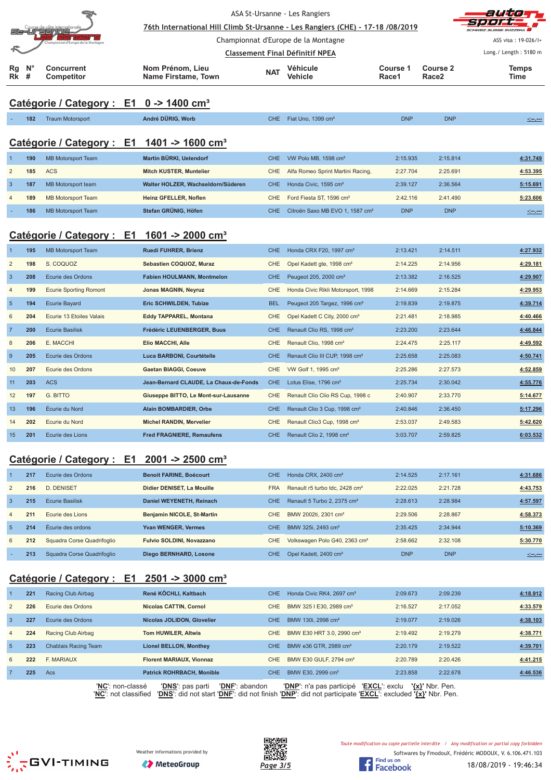| Rg             | N°  | steininie<br>nat d'Europe de la M<br><b>Concurrent</b> | ASA St-Ursanne - Les Rangiers<br>76th International Hill Climb St-Ursanne - Les Rangiers (CHE) - 17-18 /08/2019<br>Championnat d'Europe de la Montagne<br><b>Classement Final Définitif NPEA</b><br>Nom Prénom, Lieu | aijie<br>CAZZEDA<br>ASS visa: 19-026/1+<br>Long./ Length: 5180 m<br><b>Temps</b> |                                             |                   |                               |                                                                                                                                                                                                                                      |
|----------------|-----|--------------------------------------------------------|----------------------------------------------------------------------------------------------------------------------------------------------------------------------------------------------------------------------|----------------------------------------------------------------------------------|---------------------------------------------|-------------------|-------------------------------|--------------------------------------------------------------------------------------------------------------------------------------------------------------------------------------------------------------------------------------|
| Rk             | #   | Competitor                                             | Name Firstame, Town                                                                                                                                                                                                  | <b>NAT</b>                                                                       | Véhicule<br><b>Vehicle</b>                  | Course 1<br>Race1 | Course 2<br>Race <sub>2</sub> | Time                                                                                                                                                                                                                                 |
|                |     | Catégorie / Category : E1 0 -> 1400 cm <sup>3</sup>    |                                                                                                                                                                                                                      |                                                                                  |                                             |                   |                               |                                                                                                                                                                                                                                      |
|                | 182 | <b>Traum Motorsport</b>                                | André DÜRIG, Worb                                                                                                                                                                                                    | <b>CHE</b>                                                                       | Fiat Uno, 1399 cm <sup>3</sup>              | <b>DNP</b>        | <b>DNP</b>                    | <u>steven</u>                                                                                                                                                                                                                        |
|                |     | Catégorie / Category : E1 1401 -> 1600 cm <sup>3</sup> |                                                                                                                                                                                                                      |                                                                                  |                                             |                   |                               |                                                                                                                                                                                                                                      |
|                | 190 | <b>MB Motorsport Team</b>                              | Martin BÜRKI, Uetendorf                                                                                                                                                                                              | <b>CHE</b>                                                                       | VW Polo MB, 1598 cm <sup>3</sup>            | 2:15.935          | 2:15.814                      | 4:31.749                                                                                                                                                                                                                             |
| $\overline{c}$ | 185 | <b>ACS</b>                                             | Mitch KUSTER, Muntelier                                                                                                                                                                                              | <b>CHE</b>                                                                       | Alfa Romeo Sprint Martini Racing,           | 2:27.704          | 2:25.691                      | 4:53.395                                                                                                                                                                                                                             |
| 3              | 187 | MB Motorsport team                                     | Walter HOLZER, Wachseldorn/Süderen                                                                                                                                                                                   | <b>CHE</b>                                                                       | Honda Civic, 1595 cm <sup>3</sup>           | 2:39.127          | 2:36.564                      | 5:15.691                                                                                                                                                                                                                             |
|                | 189 | <b>MB Motorsport Team</b>                              | Heinz GFELLER, Noflen                                                                                                                                                                                                | <b>CHE</b>                                                                       | Ford Fiesta ST, 1596 cm <sup>3</sup>        | 2:42.116          | 2:41.490                      | 5:23.606                                                                                                                                                                                                                             |
|                | 186 | <b>MB Motorsport Team</b>                              | Stefan GRÜNIG, Höfen                                                                                                                                                                                                 | <b>CHE</b>                                                                       | Citroën Saxo MB EVO 1, 1587 cm <sup>3</sup> | <b>DNP</b>        | <b>DNP</b>                    | <u> 1999 - 1999 - 1999 - 1999 - 1999 - 1999 - 1999 - 1999 - 1999 - 1999 - 1999 - 1999 - 1999 - 1999 - 1999 - 1999 - 1999 - 1999 - 1999 - 1999 - 1999 - 1999 - 1999 - 1999 - 1999 - 1999 - 1999 - 1999 - 1999 - 1999 - 1999 - 199</u> |
|                |     | Catégorie / Category : E1 1601 -> 2000 cm <sup>3</sup> |                                                                                                                                                                                                                      |                                                                                  |                                             |                   |                               |                                                                                                                                                                                                                                      |
|                | 195 | <b>MB Motorsport Team</b>                              | Ruedi FUHRER, Brienz                                                                                                                                                                                                 | <b>CHE</b>                                                                       | Honda CRX F20, 1997 cm <sup>3</sup>         | 2:13.421          | 2:14.511                      | 4:27.932                                                                                                                                                                                                                             |
| $\overline{2}$ | 198 | S. COQUOZ                                              | Sebastien COQUOZ, Muraz                                                                                                                                                                                              | CHE                                                                              | Opel Kadett gte, 1998 cm <sup>3</sup>       | 2:14.225          | 2:14.956                      | 4:29.181                                                                                                                                                                                                                             |
| $\mathbf{3}$   | 208 | Ecurie des Ordons                                      | Fabien HOULMANN, Montmelon                                                                                                                                                                                           | <b>CHE</b>                                                                       | Peugeot 205, 2000 cm <sup>3</sup>           | 2:13.382          | 2:16.525                      | 4:29.907                                                                                                                                                                                                                             |
| $\overline{4}$ | 199 | <b>Ecurie Sporting Romont</b>                          | Jonas MAGNIN, Neyruz                                                                                                                                                                                                 | CHE                                                                              | Honda Civic Rikli Motorsport, 1998          | 2:14.669          | 2:15.284                      | 4:29.953                                                                                                                                                                                                                             |
| $\sqrt{5}$     | 194 | <b>Ecurie Bayard</b>                                   | Eric SCHWILDEN, Tubize                                                                                                                                                                                               | <b>BEL</b>                                                                       | Peugeot 205 Targez, 1996 cm <sup>3</sup>    | 2:19.839          | 2:19.875                      | 4:39.714                                                                                                                                                                                                                             |
| 6              | 204 | Ecurie 13 Etoiles Valais                               | Eddy TAPPAREL, Montana                                                                                                                                                                                               | CHE                                                                              | Opel Kadett C City, 2000 cm <sup>3</sup>    | 2:21.481          | 2:18.985                      | 4:40.466                                                                                                                                                                                                                             |
| 7              | 200 | <b>Ecurie Basilisk</b>                                 | Frédéric LEUENBERGER, Buus                                                                                                                                                                                           | <b>CHE</b>                                                                       | Renault Clio RS, 1998 cm <sup>3</sup>       | 2:23.200          | 2:23.644                      | 4:46.844                                                                                                                                                                                                                             |
| 8              | 206 | E. MACCHI                                              | Elio MACCHI, Alle                                                                                                                                                                                                    | CHE                                                                              | Renault Clio, 1998 cm <sup>3</sup>          | 2:24.475          | 2:25.117                      | 4:49.592                                                                                                                                                                                                                             |
| 9              | 205 | Ecurie des Ordons                                      | Luca BARBONI, Courtételle                                                                                                                                                                                            | <b>CHE</b>                                                                       | Renault Clio III CUP, 1998 cm <sup>3</sup>  | 2:25.658          | 2:25.083                      | 4:50.741                                                                                                                                                                                                                             |
| 10             | 207 | Ecurie des Ordons                                      | <b>Gaetan BIAGGI, Coeuve</b>                                                                                                                                                                                         | <b>CHE</b>                                                                       | VW Golf 1, 1995 cm <sup>3</sup>             | 2:25.286          | 2:27.573                      | 4:52.859                                                                                                                                                                                                                             |
| 11             | 203 | <b>ACS</b>                                             | Jean-Bernard CLAUDE, La Chaux-de-Fonds                                                                                                                                                                               | <b>CHE</b>                                                                       | Lotus Elise, 1796 cm <sup>3</sup>           | 2:25.734          | 2:30.042                      | 4:55.776                                                                                                                                                                                                                             |
| 12             | 197 | G. BITTO                                               | Giuseppe BITTO, Le Mont-sur-Lausanne                                                                                                                                                                                 | CHE                                                                              | Renault Clio Clio RS Cup, 1998 c            | 2:40.907          | 2:33.770                      | 5:14.677                                                                                                                                                                                                                             |

## **Catégorie / Category : E1 2001 -> 2500 cm³**

|                | 217 | Ecurie des Ordons          | <b>Benoit FARINE, Boécourt</b>   | CHE.       | Honda CRX, 2400 cm <sup>3</sup>            | 2:14.525   | 2:17.161   | 4:31.686            |
|----------------|-----|----------------------------|----------------------------------|------------|--------------------------------------------|------------|------------|---------------------|
| 2              | 216 | D. DENISET                 | Didier DENISET, La Mouille       | <b>FRA</b> | Renault r5 turbo tdc. 2428 cm <sup>3</sup> | 2:22.025   | 2:21.728   | 4:43.753            |
| 3              | 215 | <b>Ecurie Basilisk</b>     | Daniel WEYENETH, Reinach         | <b>CHE</b> | Renault 5 Turbo 2, 2375 cm <sup>3</sup>    | 2:28.613   | 2:28.984   | 4:57.597            |
| $\overline{4}$ | 211 | Ecurie des Lions           | Benjamin NICOLE, St-Martin       | CHE.       | BMW 2002ti, 2301 cm <sup>3</sup>           | 2:29.506   | 2:28.867   | 4:58.373            |
| 5 <sup>5</sup> | 214 | Écurie des ordons          | <b>Yvan WENGER, Vermes</b>       | CHE.       | BMW 325i, 2493 cm <sup>3</sup>             | 2:35.425   | 2:34.944   | 5:10.369            |
| 6              | 212 | Squadra Corse Quadrifoglio | <b>Fulvio SOLDINI, Novazzano</b> | <b>CHE</b> | Volkswagen Polo G40, 2363 cm <sup>3</sup>  | 2:58.662   | 2:32.108   | 5:30.770            |
|                | 213 | Squadra Corse Quadrifoglio | Diego BERNHARD, Losone           | <b>CHE</b> | Opel Kadett, 2400 cm <sup>3</sup>          | <b>DNP</b> | <b>DNP</b> | <u> 1919 - 1919</u> |

13 **196** Écurie du Nord **Alain BOMBARDIER, Orbe** CHE Renault Clio 3 Cup, 1998 cm³ 2:40.846 2:36.450 **5:17.296** 14 **202** Ecurie du Nord **Michel RANDIN, Mervelier** CHE Renault Clio3 Cup, 1998 cm³ 2:53.037 2:49.583 **5:42.620** 15 **201** Ecurie des Lions **Fred FRAGNIERE, Remaufens** CHE Renault Clio 2, 1998 cm³ 3:03.707 2:59.825 **6:03.532**

## **Catégorie / Category : E1 2501 -> 3000 cm³**

|                | 221 | Racing Club Airbag        | René KÖCHLI, Kaltbach                      | CHE.       | Honda Civic RK4, 2697 cm <sup>3</sup>            | 2:09.673            | 2:09.239 | 4:18.912 |
|----------------|-----|---------------------------|--------------------------------------------|------------|--------------------------------------------------|---------------------|----------|----------|
| $\overline{2}$ | 226 | Ecurie des Ordons         | Nicolas CATTIN, Cornol                     | CHE.       | BMW 325   E30, 2989 cm <sup>3</sup>              | 2:16.527            | 2:17.052 | 4:33.579 |
| 3              | 227 | Ecurie des Ordons         | Nicolas JOLIDON, Glovelier                 | <b>CHE</b> | BMW 130i, 2998 cm <sup>3</sup>                   | 2:19.077            | 2:19.026 | 4:38.103 |
| $\overline{4}$ | 224 | Racing Club Airbag        | <b>Tom HUWILER, Altwis</b>                 | CHE.       | BMW E30 HRT 3.0, 2990 cm <sup>3</sup>            | 2:19.492            | 2:19.279 | 4:38.771 |
| $\overline{5}$ | 223 | Chablais Racing Team      | <b>Lionel BELLON, Monthey</b>              | <b>CHE</b> | BMW e36 GTR, 2989 cm <sup>3</sup>                | 2:20.179            | 2:19.522 | 4:39.701 |
| 6              | 222 | F. MARIAUX                | <b>Florent MARIAUX, Vionnaz</b>            | CHE.       | BMW E30 GULF, 2794 cm <sup>3</sup>               | 2:20.789            | 2:20.426 | 4:41.215 |
|                | 225 | Acs                       | <b>Patrick ROHRBACH, Monible</b>           | <b>CHE</b> | BMW E30, 2999 cm <sup>3</sup>                    | 2:23.858            | 2:22.678 | 4:46.536 |
|                |     | ' <b>NC'</b> : non-classé | 'DNS': pas parti<br><b>'DNF</b> ': abandon |            | <b>'EXCL':</b> exclu<br>'DNP': n'a pas participé | $\{x\}$ ' Nbr. Pen. |          |          |

'**NC**': not classified '**DNS**': did not start '**DNF**': did not finish '**DNP**': did not participate '**EXCL**': excluded **'{x}'** Nbr. Pen.





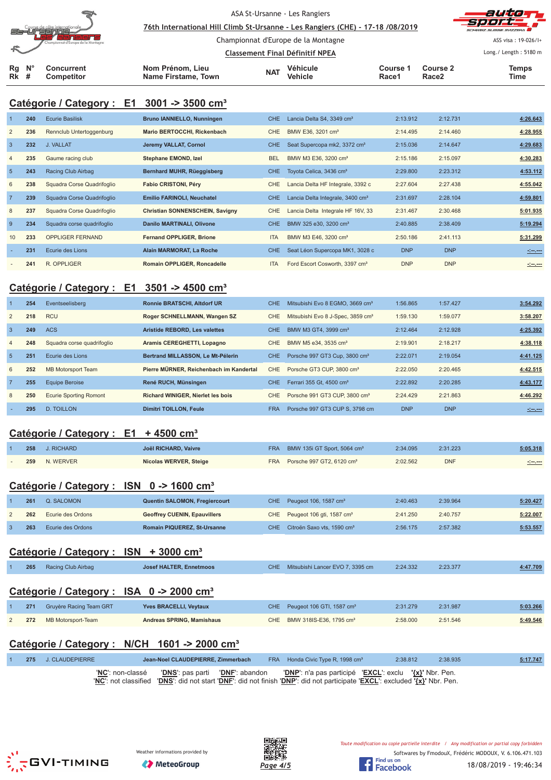| s: | Course de côte internationale<br>∍<br>-<br>Championnat d'Europe de la Montagne |
|----|--------------------------------------------------------------------------------|
| Rg | Concurrent                                                                     |

**Rk**

ASA St-Ursanne - Les Rangiers

<u>76th International Hill Climb St-Ursanne - Les Rangiers (CHE) - 17-18 /08/2019</u>

Championnat d'Europe de la Montagne



ASS visa : 19-026/I+

|             |                   |                     |            | Classement Final Définitif NPEA |          | Long./ Length: 5180 m |              |
|-------------|-------------------|---------------------|------------|---------------------------------|----------|-----------------------|--------------|
| $N^{\circ}$ | Concurrent        | Nom Prénom. Lieu    | <b>NAT</b> | Véhicule                        | Course 1 | Course 2              | <b>Temps</b> |
| #           | <b>Competitor</b> | Name Firstame, Town |            | Vehicle                         | Race1    | Race2                 | Time         |

# **Catégorie / Category : E1 3001 -> 3500 cm³**

|                 | 240 | <b>Ecurie Basilisk</b>     | <b>Bruno IANNIELLO, Nunningen</b>      | CHE.       | Lancia Delta S4, 3349 cm <sup>3</sup>        | 2:13.912   | 2:12.731   | 4:26.643       |
|-----------------|-----|----------------------------|----------------------------------------|------------|----------------------------------------------|------------|------------|----------------|
| 2               | 236 | Rennclub Untertoggenburg   | Mario BERTOCCHI, Rickenbach            | <b>CHE</b> | BMW E36, 3201 cm <sup>3</sup>                | 2:14.495   | 2:14.460   | 4:28.955       |
| $\overline{3}$  | 232 | J. VALLAT                  | Jeremy VALLAT, Cornol                  | CHE.       | Seat Supercopa mk2, 3372 cm <sup>3</sup>     | 2:15.036   | 2:14.647   | 4:29.683       |
| $\overline{4}$  | 235 | Gaume racing club          | Stephane EMOND, Izel                   | <b>BEL</b> | BMW M3 E36, 3200 cm <sup>3</sup>             | 2:15.186   | 2:15.097   | 4:30.283       |
| $5\overline{5}$ | 243 | Racing Club Airbag         | Bernhard MUHR, Rüeggisberg             | CHE        | Toyota Celica, 3436 cm <sup>3</sup>          | 2:29.800   | 2:23.312   | 4:53.112       |
| 6               | 238 | Squadra Corse Quadrifoglio | <b>Fabio CRISTONI, Péry</b>            | <b>CHE</b> | Lancia Delta HF Integrale, 3392 c            | 2:27.604   | 2:27.438   | 4:55.042       |
| $\overline{7}$  | 239 | Squadra Corse Quadrifoglio | Emilio FARINOLI, Neuchatel             | CHE.       | Lancia Delta Integrale, 3400 cm <sup>3</sup> | 2:31.697   | 2:28.104   | 4:59.801       |
| 8               | 237 | Squadra Corse Quadrifoglio | <b>Christian SONNENSCHEIN, Savigny</b> | <b>CHE</b> | Lancia Delta Integrale HF 16V, 33            | 2:31.467   | 2:30.468   | 5:01.935       |
| 9               | 234 | Squadra corse quadrifoglio | Danilo MARTINALI, Olivone              | CHE        | BMW 325 e30, 3200 cm <sup>3</sup>            | 2:40.885   | 2:38.409   | 5:19.294       |
| 10              | 233 | <b>OPPLIGER FERNAND</b>    | <b>Fernand OPPLIGER, Brione</b>        | <b>ITA</b> | BMW M3 E46, 3200 cm <sup>3</sup>             | 2:50.186   | 2:41.113   | 5:31.299       |
|                 | 231 | Ecurie des Lions           | Alain MARMORAT, La Roche               | <b>CHE</b> | Seat Léon Supercopa MK1, 3028 c              | <b>DNP</b> | <b>DNP</b> | <b>Simpson</b> |
|                 | 241 | R. OPPLIGER                | <b>Romain OPPLIGER, Roncadelle</b>     | <b>ITA</b> | Ford Escort Cosworth, 3397 cm <sup>3</sup>   | <b>DNP</b> | <b>DNP</b> | $-1 - 1 - 1$   |

## **Catégorie / Category : E1 3501 -> 4500 cm³**

|                | 254 | Eventseelisberg               | <b>Ronnie BRATSCHI, Altdorf UR</b>       | <b>CHE</b> | Mitsubishi Evo 8 EGMO, 3669 cm <sup>3</sup>   | 1:56.865   | 1:57.427   | 3:54.292     |
|----------------|-----|-------------------------------|------------------------------------------|------------|-----------------------------------------------|------------|------------|--------------|
| 2              | 218 | <b>RCU</b>                    | Roger SCHNELLMANN, Wangen SZ             | CHE.       | Mitsubishi Evo 8 J-Spec, 3859 cm <sup>3</sup> | 1:59.130   | 1:59.077   | 3:58.207     |
| $\overline{3}$ | 249 | <b>ACS</b>                    | Aristide REBORD, Les valettes            | CHE.       | BMW M3 GT4, 3999 cm <sup>3</sup>              | 2:12.464   | 2:12.928   | 4:25.392     |
| $\overline{4}$ | 248 | Squadra corse quadrifoglio    | Aramis CEREGHETTI, Lopagno               | CHE.       | BMW M5 e34, 3535 cm <sup>3</sup>              | 2:19.901   | 2:18.217   | 4:38.118     |
| $5^{\circ}$    | 251 | Ecurie des Lions              | Bertrand MILLASSON, Le Mt-Pélerin        | <b>CHE</b> | Porsche 997 GT3 Cup, 3800 cm <sup>3</sup>     | 2:22.071   | 2:19.054   | 4:41.125     |
| 6              | 252 | <b>MB Motorsport Team</b>     | Pierre MÜRNER, Reichenbach im Kandertal  | CHE.       | Porsche GT3 CUP, 3800 cm <sup>3</sup>         | 2:22.050   | 2:20.465   | 4:42.515     |
|                | 255 | <b>Equipe Beroise</b>         | René RUCH, Münsingen                     | CHE.       | Ferrari 355 Gt. 4500 cm <sup>3</sup>          | 2:22.892   | 2:20.285   | 4:43.177     |
| 8              | 250 | <b>Ecurie Sporting Romont</b> | <b>Richard WINIGER, Nierlet les bois</b> | CHE.       | Porsche 991 GT3 CUP, 3800 cm <sup>3</sup>     | 2:24.429   | 2:21.863   | 4:46.292     |
|                | 295 | <b>D. TOILLON</b>             | <b>Dimitri TOILLON, Feule</b>            | <b>FRA</b> | Porsche 997 GT3 CUP S, 3798 cm                | <b>DNP</b> | <b>DNP</b> | and may more |

## **Catégorie / Category : E1 + 4500 cm³**

| 258 | J. RICHARD | Joël RICHARD, Vaivre   | FRA BMW 135i GT Sport, 5064 cm <sup>3</sup> | 2:34.095 | 2:31.223   | 5:05.318           |
|-----|------------|------------------------|---------------------------------------------|----------|------------|--------------------|
| 259 | N. WERVER  | Nicolas WERVER, Steige | FRA Porsche 997 GT2, 6120 cm <sup>3</sup>   | 2:02.562 | <b>DNF</b> | <u> 1000 - 100</u> |

## **Catégorie / Category : ISN 0 -> 1600 cm³**

| 261 | Q. SALOMON        | Quentin SALOMON, Fregiercourt       | CHE Peugeot 106, 1587 cm <sup>3</sup>      | 2:40.463 | 2:39.964 | 5:20.427 |
|-----|-------------------|-------------------------------------|--------------------------------------------|----------|----------|----------|
| 262 | Ecurie des Ordons | <b>Geoffrey CUENIN, Epauvillers</b> | CHE Peugeot 106 gti, 1587 cm <sup>3</sup>  | 2:41.250 | 2:40.757 | 5:22.007 |
| 263 | Ecurie des Ordons | <b>Romain PIQUEREZ, St-Ursanne</b>  | CHE Citroën Saxo vts. 1590 cm <sup>3</sup> | 2:56.175 | 2:57.382 | 5:53.557 |

## **Catégorie / Category : ISN + 3000 cm³**

| 265 | Racing Club Airbag      | <b>Josef HALTER, Ennetmoos</b>                       | CHE Mitsubishi Lancer EVO 7, 3395 cm      | 2:24.332 | 2:23.377 | 4:47.709 |
|-----|-------------------------|------------------------------------------------------|-------------------------------------------|----------|----------|----------|
|     |                         | Catégorie / Category : ISA 0 -> 2000 cm <sup>3</sup> |                                           |          |          |          |
| 271 | Gruyère Racing Team GRT | <b>Yves BRACELLI, Veytaux</b>                        | CHE Peugeot 106 GTI, 1587 cm <sup>3</sup> | 2:31.279 | 2:31.987 | 5:03.266 |

| CHE BMW 318IS-E36, 1795 cm <sup>3</sup><br>2:58.000<br>2:51.546<br>272 MB Motorsport-Team<br>Andreas SPRING, Mamishaus |  |  |  |  |          |
|------------------------------------------------------------------------------------------------------------------------|--|--|--|--|----------|
|                                                                                                                        |  |  |  |  | 5:49.546 |

# **Catégorie / Category : N/CH 1601 -> 2000 cm³**

|  | 275 J. CLAUDEPIERRE | Jean-Noel CLAUDEPIERRE, Zimmerbach                                                                                                                                                                                                     | FRA Honda Civic Type R, 1998 cm <sup>3</sup> | 2:38.812 | 2:38.935 | 5:17.747 |
|--|---------------------|----------------------------------------------------------------------------------------------------------------------------------------------------------------------------------------------------------------------------------------|----------------------------------------------|----------|----------|----------|
|  |                     | "NC": non-classé "DNS": pas parti "DNF": abandon "DNP": n'a pas participé "EXCL": exclu "{x}" Nbr. Pen.<br>"NC": not classified "DNS": did not start "DNF": did not finish "DNP": did not participate "EXCL": excluded '{x}" Nbr. Pen. |                                              |          |          |          |





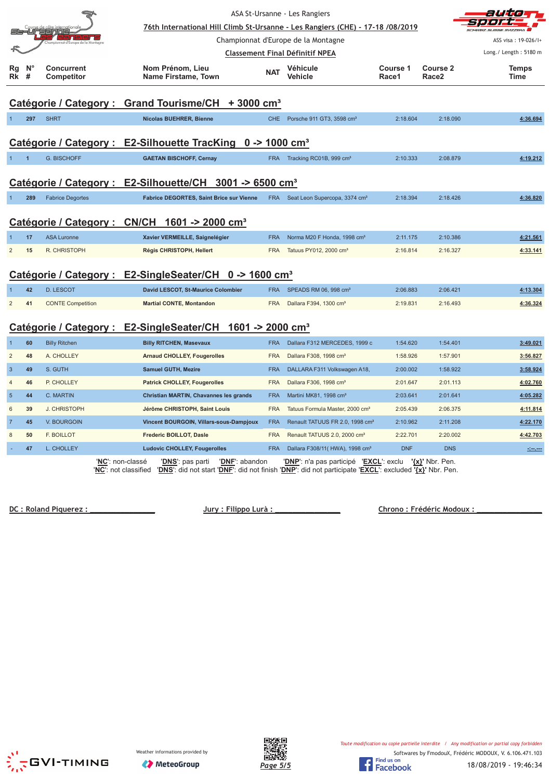| ASA St-Ursanne - Les Rangiers |                  |                                 |                                                                                |            |                                               |                   |                               |                       |  |
|-------------------------------|------------------|---------------------------------|--------------------------------------------------------------------------------|------------|-----------------------------------------------|-------------------|-------------------------------|-----------------------|--|
|                               |                  |                                 | 76th International Hill Climb St-Ursanne - Les Rangiers (CHE) - 17-18 /08/2019 |            |                                               |                   |                               |                       |  |
|                               |                  | inat d'Europe de la Mi          |                                                                                |            | Championnat d'Europe de la Montagne           |                   |                               | ASS visa: 19-026/1+   |  |
|                               |                  |                                 |                                                                                |            | <b>Classement Final Définitif NPEA</b>        |                   |                               | Long./ Length: 5180 m |  |
| Rg<br>Rk                      | $N^{\circ}$<br># | <b>Concurrent</b><br>Competitor | Nom Prénom, Lieu<br>Name Firstame, Town                                        | <b>NAT</b> | Véhicule<br>Vehicle                           | Course 1<br>Race1 | Course 2<br>Race <sub>2</sub> | <b>Temps</b><br>Time  |  |
|                               |                  |                                 | Catégorie / Category : Grand Tourisme/CH + 3000 cm <sup>3</sup>                |            |                                               |                   |                               |                       |  |
|                               | 297              | <b>SHRT</b>                     | Nicolas BUEHRER, Bienne                                                        | CHE.       | Porsche 911 GT3, 3598 cm <sup>3</sup>         | 2:18.604          | 2:18.090                      | 4:36.694              |  |
|                               |                  |                                 | Catégorie / Category : E2-Silhouette TracKing 0 -> 1000 cm <sup>3</sup>        |            |                                               |                   |                               |                       |  |
| $\mathbf{1}$                  | $\overline{1}$   | <b>G. BISCHOFF</b>              | <b>GAETAN BISCHOFF, Cernay</b>                                                 | <b>FRA</b> | Tracking RC01B, 999 cm <sup>3</sup>           | 2:10.333          | 2:08.879                      | 4:19.212              |  |
|                               |                  |                                 | Catégorie / Category : E2-Silhouette/CH 3001 -> 6500 cm <sup>3</sup>           |            |                                               |                   |                               |                       |  |
| $\overline{1}$                | 289              | <b>Fabrice Degortes</b>         | Fabrice DEGORTES, Saint Brice sur Vienne                                       |            | FRA Seat Leon Supercopa, 3374 cm <sup>3</sup> | 2:18.394          | 2:18.426                      | 4:36.820              |  |
|                               |                  |                                 | Catégorie / Category : CN/CH 1601 -> 2000 cm <sup>3</sup>                      |            |                                               |                   |                               |                       |  |
|                               | 17               | <b>ASA Luronne</b>              | Xavier VERMEILLE, Saignelégier                                                 | <b>FRA</b> | Norma M20 F Honda, 1998 cm <sup>3</sup>       | 2:11.175          | 2:10.386                      | 4:21.561              |  |
| 2                             | 15               | R. CHRISTOPH                    | Régis CHRISTOPH, Hellert                                                       | <b>FRA</b> | Tatuus PY012, 2000 cm <sup>3</sup>            | 2:16.814          | 2:16.327                      | 4:33.141              |  |
|                               |                  |                                 | Catégorie / Category : E2-SingleSeater/CH 0 -> 1600 cm <sup>3</sup>            |            |                                               |                   |                               |                       |  |
|                               | 42               | <b>D. LESCOT</b>                | David LESCOT, St-Maurice Colombier                                             | <b>FRA</b> | SPEADS RM 06, 998 cm <sup>3</sup>             | 2:06.883          | 2:06.421                      | 4:13.304              |  |
| $\overline{2}$                | 41               | <b>CONTE Competition</b>        | <b>Martial CONTE, Montandon</b>                                                | <b>FRA</b> | Dallara F394, 1300 cm <sup>3</sup>            | 2:19.831          | 2:16.493                      | 4:36.324              |  |
|                               |                  |                                 | Catégorie / Category : E2-SingleSeater/CH 1601 -> 2000 cm <sup>3</sup>         |            |                                               |                   |                               |                       |  |
| $\mathbf 1$                   | 60               | <b>Billy Ritchen</b>            | <b>Billy RITCHEN, Masevaux</b>                                                 | <b>FRA</b> | Dallara F312 MERCEDES, 1999 c                 | 1:54.620          | 1:54.401                      | 3:49.021              |  |
| $\overline{2}$                | 48               | A. CHOLLEY                      | <b>Arnaud CHOLLEY, Fougerolles</b>                                             | <b>FRA</b> | Dallara F308, 1998 cm <sup>3</sup>            | 1:58.926          | 1:57.901                      | 3:56.827              |  |
| $\overline{3}$                | 49               | S. GUTH                         | <b>Samuel GUTH, Mezire</b>                                                     | <b>FRA</b> | DALLARA F311 Volkswagen A18,                  | 2:00.002          | 1:58.922                      | 3:58.924              |  |
| $\overline{4}$                | 46               | P. CHOLLEY                      | <b>Patrick CHOLLEY, Fougerolles</b>                                            | <b>FRA</b> | Dallara F306, 1998 cm <sup>3</sup>            | 2:01.647          | 2:01.113                      | 4:02.760              |  |
| $\overline{5}$                | 44               | C. MARTIN                       | Christian MARTIN, Chavannes les grands                                         | <b>FRA</b> | Martini MK81, 1998 cm <sup>3</sup>            | 2:03.641          | 2:01.641                      | 4:05.282              |  |
| $6\phantom{1}6$               | 39               | J. CHRISTOPH                    | Jérôme CHRISTOPH, Saint Louis                                                  | <b>FRA</b> | Tatuus Formula Master, 2000 cm <sup>3</sup>   | 2:05.439          | 2:06.375                      | 4:11.814              |  |
| $\overline{7}$                | 45               | <b>V. BOURGOIN</b>              | Vincent BOURGOIN, Villars-sous-Dampjoux                                        | <b>FRA</b> | Renault TATUUS FR 2.0, 1998 cm <sup>3</sup>   | 2:10.962          | 2:11.208                      | 4:22.170              |  |
| $\bf 8$                       | 50               | <b>F. BOILLOT</b>               | Frederic BOILLOT, Dasle                                                        | <b>FRA</b> | Renault TATUUS 2.0, 2000 cm <sup>3</sup>      | 2:22.701          | 2:20.002                      | 4:42.703              |  |
|                               | 47               | L. CHOLLEY                      | <b>Ludovic CHOLLEY, Fougerolles</b>                                            | <b>FRA</b> | Dallara F308/11(HWA), 1998 cm <sup>3</sup>    | <b>DNF</b>        | <b>DNS</b>                    | <u>steven</u>         |  |
|                               |                  |                                 |                                                                                |            |                                               |                   |                               |                       |  |

'**NC**': non-classé '**DNS**': pas parti '**DNF**': abandon '**DNP**': n'a pas participé '**EXCL**': exclu **'{x}'** Nbr. Pen. '**NC**': not classified '**DNS**': did not start '**DNF**': did not finish '**DNP**': did not participate '**EXCL**': excluded **'{x}'** Nbr. Pen.

**DC: Roland Piquerez:** 

 $\begin{array}{l} \textnormal{July : Filippo Lura : } \end{array}$ 





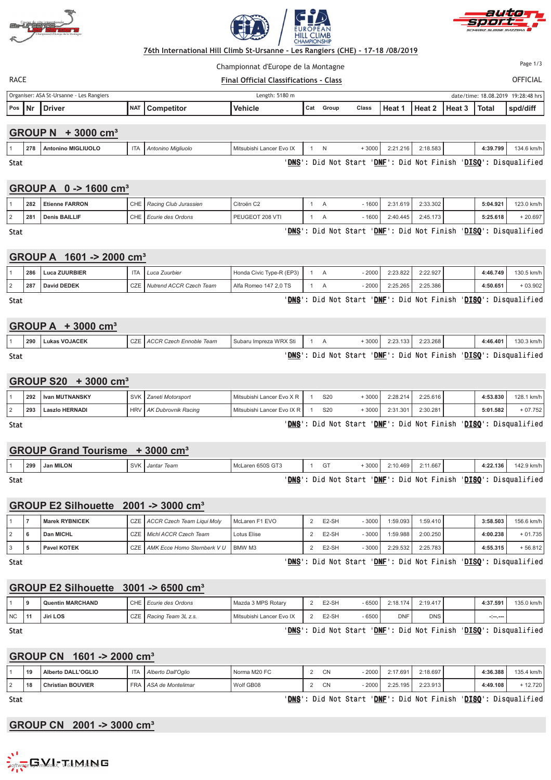





#### <u> 76th International Hill Climb St-Ursa</u>  **!** Championnat d'Europe de la Montagne

Page 1/3

| RACE | <b>Final Official Classifications - Class</b> | OF |
|------|-----------------------------------------------|----|
|      |                                               |    |

FICIAL

|        | Organiser: ASA St-Ursanne - Les Rangiers<br>Length: 5180 m |                                           |  |                       |                |       |       |       |        |        | date/time: 18.08.2019 19:28:48 hrs |              |          |
|--------|------------------------------------------------------------|-------------------------------------------|--|-----------------------|----------------|-------|-------|-------|--------|--------|------------------------------------|--------------|----------|
| Pos Nr |                                                            | <b>Driver</b>                             |  | <b>NAT Competitor</b> | <b>Vehicle</b> | ∣ Cat | Group | Class | Heat 1 | Heat 2 | Heat 3                             | <b>Total</b> | spd/diff |
|        |                                                            |                                           |  |                       |                |       |       |       |        |        |                                    |              |          |
|        |                                                            | <b>GROUP N</b><br>$+3000$ cm <sup>3</sup> |  |                       |                |       |       |       |        |        |                                    |              |          |

|      |     | ------------       |   |                    |                          |         |                |          |            |                      |            |
|------|-----|--------------------|---|--------------------|--------------------------|---------|----------------|----------|------------|----------------------|------------|
|      | 278 | Antonino MIGLIUOLO | H | Antonino Migliuolo | Mitsubishi Lancer Evo IX |         | 3000           | 2:21.216 | 2:18.583   | 4:39.799             | 134.6 km/h |
| Stat |     |                    |   |                    | <b>DNS</b>               | Did Not | 'DNE'<br>Start | : Did    | Not Finish | 'DISQ': Disqualified |            |

## **GROUP A 0 -> 1600 cm³**

| 282 | Etienne FARRON       | CHE  | l Racing Club Jurassien | Citroën C <sub>2</sub>    |  | 1600 | 2:31.619 | 2:33.302 | 5:04.921 | 123.0 km/h |
|-----|----------------------|------|-------------------------|---------------------------|--|------|----------|----------|----------|------------|
| 281 | <b>Denis BAILLIF</b> | CHE. | Ecurie des Ordons       | PEUGEOT<br>$\cdot$ 208 VT |  | 1600 | 2:40.445 | 2:45.173 | 5:25.618 | $-20.697$  |

Stat t de la construction de la construction de la construction de la construction de la construction de la construction de la construction de la construction de la construction de la construction de la construction de la const

Stat

# **GROUP A 1601 -> 2000 cm³**

| $\mathbf{v}$ | .<br>$\blacksquare$ $\vee$ $\vee$ $\vee$ $\blacksquare$ |                               |                          |  |         |          |          |          |            |
|--------------|---------------------------------------------------------|-------------------------------|--------------------------|--|---------|----------|----------|----------|------------|
| 286          | Luca ZUURBIER                                           | Luca Zuurbier   Luca          | Honda Civic Type-R (EP3) |  | $-2000$ | 2:23.822 | 2:22.927 | 4:46.749 | 130.5 km/h |
| 287          | David DEDEK                                             | CZE   Nutrend ACCR Czech Team | Alfa Romeo 147 2.0 TS    |  | 2000    | 2:25.265 | 2:25.386 | 4:50.651 | $+03.902$  |

t de la construction de la construction de la construction de la construction de la construction de la construction de la construction de la construction de la construction de la construction de la construction de la const <u>NS</u>': Did Not Start '<u>DNF</u>': Did Not Finish '<u>DISQ</u>': Disqualified

<u>NS</u>': Did Not Start '<u>DNF</u>': Did Not Finish '<u>DISQ</u>': Disqualified

## **GROUP A + 3000 cm³**

|             | 290 | <b>Lukas VOJACEK</b> | CZE LACCR Czech Ennoble Team | Subaru Impreza WRX Sti |  | 3000                     | 2:23.133 | 2:23.268 | 4:46.401 | 130.3 km/h                                           |
|-------------|-----|----------------------|------------------------------|------------------------|--|--------------------------|----------|----------|----------|------------------------------------------------------|
| <b>Stat</b> |     |                      |                              | 'DNS'                  |  | 'DNF'<br>: Did Not Start |          |          |          | : Did Not Finish ' <mark>DISQ</mark> ': Disqualified |

## **GROUP S20 + 3000 cm³**

| Stat |     |                      |                           |                               |                 | 'DNS': Did Not Start 'DNF': Did Not Finish 'DISQ': Disqualified |          |          |          |            |
|------|-----|----------------------|---------------------------|-------------------------------|-----------------|-----------------------------------------------------------------|----------|----------|----------|------------|
|      | 293 | Laszlo HERNADI       | HRV   AK Dubrovnik Racing | Mitsubishi Lancer Evo IX R I  | S <sub>20</sub> | + 3000 l                                                        | 2:31.301 | 2:30.281 | 5:01.582 | $+07.752$  |
|      |     | 292 I Ivan MUTNANSKY | SVK   Zaneti Motorsport   | Ⅰ Mitsubishi Lancer Evo Ⅹ R Ⅰ | S <sub>20</sub> | + 3000 l                                                        | 2:28.214 | 2:25.616 | 4:53.830 | 128.1 km/h |

<u>NS</u>': Did Not Start '<u>DNF</u>': Did Not Finish '<u>DISQ</u>': Disqualified

<u>NS</u>': Did Not Start '<u>DNF</u>': Did Not Finish '<u>DISQ</u>': Disqualified

|     | <b>GROUP Grand Tourisme</b> | 3000<br>$\mathsf{cm}^3$ |                  |    |      |          |          |          |            |
|-----|-----------------------------|-------------------------|------------------|----|------|----------|----------|----------|------------|
| 299 | Jan MILON                   | SVK   Jantar Team       | McLaren 650S GT3 | GT | 3000 | 2:10.469 | 2:11.667 | 4:22.136 | 142.9 km/h |

Stat t de la construction de la construction de la construction de la construction de la construction de la construction de la construction de la construction de la construction de la construction de la construction de la const

# **GROUP E2 Silhouette 2001 -> 3000 cm³**

|  |   | <b>UNUUL EL JIIIIUUELLE</b> | LUU I - Y JUUU UIII                        |                |                    |         |          |          |          |            |
|--|---|-----------------------------|--------------------------------------------|----------------|--------------------|---------|----------|----------|----------|------------|
|  |   | Marek RYBNICEK              | CZE ACCR Czech Team Liqui Moly             | McLaren F1 EVO | E <sub>2</sub> -SH | $-3000$ | 1:59.093 | 1:59.410 | 3:58.503 | 156.6 km/h |
|  | 6 | Dan MICHL                   | CZE <i>Michl ACCR Czech Team</i>           | Lotus Elise    | E <sub>2</sub> -SH | $-3000$ | 1:59.988 | 2:00.250 | 4:00.238 | $+01.735$  |
|  | 5 | <b>Pavel KOTEK</b>          | CZE   AMK Ecce Homo Sternberk V U   BMW M3 |                | E <sub>2</sub> -SH | - 3000  | 2:29.532 | 2:25.783 | 4:55.315 | $+56.812$  |

Stat

t de la construction de la construction de la construction de la construction de la construction de la construction de la construction de la construction de la construction de la construction de la construction de la const <u>NS</u>': Did Not Start '<u>DNF</u>': Did Not Finish '<u>DISQ</u>': Disqualified

## **GROUP E2 Silhouette 3001 -> 6500 cm³**

|      |   | <b>Quentin MARCHAND</b> | $\bigcap$<br>◡г | l Ecurie des Ordons | Mazda 3 MPS Rotary       | E2-SH              | 6500 | 2:18.174   | 2:19.417   | 4:37.591 | 135.0 km/h |
|------|---|-------------------------|-----------------|---------------------|--------------------------|--------------------|------|------------|------------|----------|------------|
| I NC | ш | Jiri LOS                |                 | Racing Team 3L z.s. | Mitsubishi Lancer Evo IX | E <sub>2</sub> -SH | 6500 | <b>DNF</b> | <b>DNS</b> | -.-.--   |            |

Stat

Stat

#### t de la construction de la construction de la construction de la construction de la construction de la construction de la construction de la construction de la construction de la construction de la construction de la const <u>NS</u>': Did Not Start '<u>DNF</u>': Did Not Finish '<u>DISQ</u>': Disqualified

## **GROUP CN 1601 -> 2000 cm³**

| 19 | L'OGLIO<br><b>Alberto DALI</b>      |       | Alberto Dall'Oglio  | Norma M20 FC | CN | $-2000$ | 2:17.691 | 2:18.697 | 4:36.388 | 135<br>4 km/h<br>1 J J. H |
|----|-------------------------------------|-------|---------------------|--------------|----|---------|----------|----------|----------|---------------------------|
| 18 | nristian BOUVIER<br>$\sim$<br>. UD. | FRA1. | l ASA de Montelimar | Wolf GB08    | C٨ | $-2000$ | 2:25.195 | 2:23.913 | 4:49.108 | 12.720                    |

t de la construction de la construction de la construction de la construction de la construction de la construction de la construction de la construction de la construction de la construction de la construction de la const <u>NS</u>': Did Not Start '<u>DNF</u>': Did Not Finish '<u>DISQ</u>': Disqualified

## **GROUP CN 2001 -> 3000 cm³**

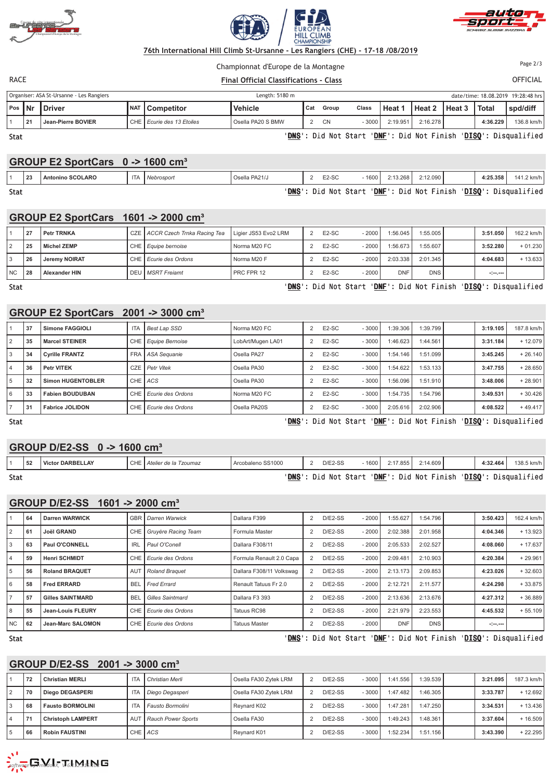





Championnat d'Europe de la Montagne

**RACE** *We set the set of the set of the set of the set of the set of the set of the set of the set of the set of the set of the set of the set of the set of the set of the set of the set of the set of the set of the set* 

FICIAL Page 2/3

Organiser: ASA St-Ursanne - Les Ra Length: 5180 m date/time: 18.08.2019 19:28:48 hrs **Pos Nr Driver NAT Competitor Vehicle Cat Group Class Heat 1 Heat 2 Heat 3 Total spd/diff** 1 **21 Jean-Pierre BOVIER** CHE *Ecurie des 13 Etoiles* Osella PA20 S BMW 2 CN - 3000 2:19.951 2:16.278 **4:36.229** 136.8 km/h t de la construction de la construction de la construction de la construction de la construction de la construction de la construction de la construction de la construction de la construction de la construction de la const <u>NS</u>': Did Not Start '<u>DNF</u>': Did Not Finish '<u>DISQ</u>': Disqualified

Stat

# **GROUP E2 SportCars 0 -> 1600 cm³**

|      |    |                         | - - -      | TUVV VIII  |               |                      |      |                       |              |          |                      |
|------|----|-------------------------|------------|------------|---------------|----------------------|------|-----------------------|--------------|----------|----------------------|
|      | 23 | <b>Antonino SCOLARO</b> | <b>ITA</b> | Nebrosport | Osella PA21/J | E <sub>2</sub> -SC   | 1600 | 2:13.268              | $2:12.090$ i | 4:25.358 | 141.2 km/h           |
| Stat |    |                         |            |            |               | 'DNS': Did Not Start |      | 'DNF': Did Not Finish |              |          | 'DISO': Disqualified |

Stat

#### <u>NS</u>': D id Not - St art -': Did Not Start '<u>DNF</u> <u>NF</u>': D id Not ': Did Not Finish '<u>DISQ</u>

# **GROUP E2 SportCars 1601 -> 2000 cm³**

|      | 27 | <b>Petr TRNKA</b>    | CZE   ACCR Czech Trnka Racing Tea   Ligier JS53 Evo2 LRM |              | E <sub>2</sub> -SC | - 2000  | 1:56.045   | 1:55.005   | 3:51.050 | 162.2 km/h |
|------|----|----------------------|----------------------------------------------------------|--------------|--------------------|---------|------------|------------|----------|------------|
|      | 25 | Michel ZEMP          | CHE   Equipe bernoise                                    | Norma M20 FC | $E2-SC$            | - 2000  | 1:56.673   | 1:55.607   | 3:52.280 | $+01.230$  |
|      | 26 | Jeremy NOIRAT        | CHE <i>Ecurie des Ordons</i>                             | Norma M20 F  | $E2-SC$            | $-2000$ | 2:03.338   | 2:01.345   | 4:04.683 | $+13.633$  |
| l NC | 28 | <b>Alexander HIN</b> | I DEU I MSRT Freiamt                                     | PRC FPR 12   | E <sub>2</sub> -SC | $-2000$ | <b>DNF</b> | <b>DNS</b> | ringer   |            |

Stat

#### t de la construction de la construction de la construction de la construction de la construction de la construction de la construction de la construction de la construction de la construction de la construction de la const <u>NS</u>': Did Not Start '<u>DNF</u>': Did Not Finish '<u>DISQ</u>': Disqualified

<u>NS</u>': Did Not Start '<u>DNF</u>': Did Not Finish '<u>DISQ</u>': Disqualified

## **GROUP E2 SportCars 2001 -> 3000 cm³**

|   | 37 | Simone FAGGIOLI        | <b>ITA</b> | <b>Best Lap SSD</b>   | Norma M20 FC      | $\overline{2}$ | E <sub>2</sub> -SC | $-3000$ | 1:39.306 | 1:39.799 | 3:19.105 | 187.8 km/h |
|---|----|------------------------|------------|-----------------------|-------------------|----------------|--------------------|---------|----------|----------|----------|------------|
| 2 | 35 | <b>Marcel STEINER</b>  |            | CHE   Equipe Bernoise | LobArt/Mugen LA01 | $\overline{2}$ | E <sub>2</sub> -SC | $-3000$ | 1:46.623 | 1:44.561 | 3:31.184 | $+12.079$  |
| 3 | 34 | <b>Cyrille FRANTZ</b>  |            | FRA   ASA Sequanie    | Osella PA27       | $\overline{2}$ | E <sub>2</sub> -SC | $-3000$ | 1:54.146 | 1:51.099 | 3:45.245 | $+26.140$  |
| 4 | 36 | <b>Petr VITEK</b>      |            | CZE Petr Vitek        | Osella PA30       |                | E <sub>2</sub> -SC | $-3000$ | 1:54.622 | 1:53.133 | 3:47.755 | $+28.650$  |
| 5 | 32 | Simon HUGENTOBLER      | CHE ACS    |                       | Osella PA30       |                | E <sub>2</sub> -SC | $-3000$ | 1:56.096 | 1:51.910 | 3:48.006 | $+28.901$  |
| 6 | 33 | <b>Fabien BOUDUBAN</b> |            | CHE Ecurie des Ordons | Norma M20 FC      | $\overline{2}$ | E <sub>2</sub> -SC | $-3000$ | 1:54.735 | 1:54.796 | 3:49.531 | $+30.426$  |
|   | 31 | <b>Fabrice JOLIDON</b> |            | CHE Ecurie des Ordons | Osella PA20S      |                | E <sub>2</sub> -SC | $-3000$ | 2:05.616 | 2:02.906 | 4:08.522 | $+49.417$  |

Stat t de la construction de la construction de la construction de la construction de la construction de la construction de la construction de la construction de la construction de la construction de la construction de la const

|             |    | $O(100r)$ DIEZ-00 $V \rightarrow 1000$ CIII |                               |                   |                      |      |                         |          |          |                      |
|-------------|----|---------------------------------------------|-------------------------------|-------------------|----------------------|------|-------------------------|----------|----------|----------------------|
|             | 52 | Victor DARBELLAY                            | l CHE   Atelier de la Tzoumaz | Arcobaleno SS1000 | $D/E2-SS$            | 1600 | 2:17.855                | 2:14.609 | 4:32.464 | 138.5 km/h           |
| <b>Stat</b> |    |                                             |                               |                   | 'DNS': Did Not Start |      | 'DNF': Did Not Finish ' |          |          | 'DISQ': Disqualified |

## **GROUP D/E2-SS 1601 -> 2000 cm³**

**GROUP D/E2-SS 0 -> 1600 cm³**

|                | 64 | Darren WARWICK           |                 | <b>GBR</b> Darren Warwick | Dallara F399             | $\overline{2}$ | $D/E2-SS$ | $-2000$ | 1:55.627   | 1:54.796   | 3:50.423                                                                                                                                                               | 162.4 km/h |
|----------------|----|--------------------------|-----------------|---------------------------|--------------------------|----------------|-----------|---------|------------|------------|------------------------------------------------------------------------------------------------------------------------------------------------------------------------|------------|
| $\overline{2}$ | 61 | <b>Joël GRAND</b>        |                 | CHE Gruyère Racing Team   | Formula Master           |                | $D/E2-SS$ | $-2000$ | 2:02.388   | 2:01.958   | 4:04.346                                                                                                                                                               | $+13.923$  |
| 3              | 63 | Paul O'CONNELL           | <b>IRL</b>      | Paul O'Conell             | Dallara F308/11          |                | $D/E2-SS$ | $-2000$ | 2:05.533   | 2:02.527   | 4:08.060                                                                                                                                                               | $+17.637$  |
|                | 59 | <b>Henri SCHMIDT</b>     |                 | CHE Ecurie des Ordons     | Formula Renault 2.0 Capa |                | $D/E2-SS$ | $-2000$ | 2:09.481   | 2:10.903   | 4:20.384                                                                                                                                                               | $+29.961$  |
| 5              | 56 | <b>Roland BRAQUET</b>    | AU <sup>-</sup> | <b>Roland Braquet</b>     | Dallara F308/11 Volkswag | 2              | $D/E2-SS$ | $-2000$ | 2:13.173   | 2:09.853   | 4:23.026                                                                                                                                                               | $+32.603$  |
| 6              | 58 | <b>Fred ERRARD</b>       | <b>BEI</b>      | <b>Fred Errard</b>        | Renault Tatuus Fr 2.0    |                | $D/E2-SS$ | $-2000$ | 2:12.721   | 2:11.577   | 4:24.298                                                                                                                                                               | $+33.875$  |
|                | 57 | <b>Gilles SAINTMARD</b>  | <b>BEI</b>      | <b>Gilles Saintmard</b>   | Dallara F3 393           | $\overline{2}$ | $D/E2-SS$ | $-2000$ | 2:13.636   | 2:13.676   | 4:27.312                                                                                                                                                               | $+36.889$  |
| 8              | 55 | <b>Jean-Louis FLEURY</b> |                 | CHE Ecurie des Ordons     | Tatuus RC98              |                | $D/E2-SS$ | $-2000$ | 2:21.979   | 2:23.553   | 4:45.532                                                                                                                                                               | $+55.109$  |
| NC.            | 62 | Jean-Marc SALOMON        |                 | CHE Ecurie des Ordons     | <b>Tatuus Master</b>     |                | $D/E2-SS$ | $-2000$ | <b>DNF</b> | <b>DNS</b> | $\label{eq:2} \begin{split} \mathcal{L}_{\mathcal{A}}^{\mathcal{A}} & = \mathcal{L}_{\mathcal{A}}^{\mathcal{A}} + \mathcal{L}_{\mathcal{A}}^{\mathcal{A}} \end{split}$ |            |

Stat

t de la construction de la construction de la construction de la construction de la construction de la construction de la construction de la construction de la construction de la construction de la construction de la const <u>NS</u>': Did Not Start '<u>DNF</u>': Did Not Finish '<u>DISQ</u>': Disqualified

## **GROUP D/E2-SS 2001 -> 3000 cm³**

|   | 72                       | <b>Christian MERLI</b>   |            | I Christian Merli           | Osella FA30 Zytek LRM | $D/E2-SS$ | $-3000$ | 1:41.556 | 1:39.539 | 3:21.095 | 187.3 km/h |
|---|--------------------------|--------------------------|------------|-----------------------------|-----------------------|-----------|---------|----------|----------|----------|------------|
|   | 70                       | <b>Diego DEGASPERI</b>   |            | Diego Degasperi             | Osella FA30 Zytek LRM | $D/E2-SS$ | $-3000$ | 1:47.482 | 1:46.305 | 3:33.787 | $+12.692$  |
| 3 | 68                       | <b>Fausto BORMOLINI</b>  |            | l Fausto Bormolini          | Reynard K02           | $D/E2-SS$ | $-3000$ | 1:47.281 | 1:47.250 | 3:34.531 | $+13.436$  |
| 4 | $\overline{\phantom{a}}$ | <b>Christoph LAMPERT</b> | <b>AUT</b> | <b>I</b> Rauch Power Sports | Osella FA30           | $D/E2-SS$ | $-3000$ | 1:49.243 | 1:48.361 | 3:37.604 | $+16.509$  |
| 5 | 66                       | <b>Robin FAUSTINI</b>    |            | CHE ACS                     | Reynard K01           | $D/E2-SS$ | $-3000$ | 1:52.234 | 1:51.156 | 3:43.390 | $+22.295$  |

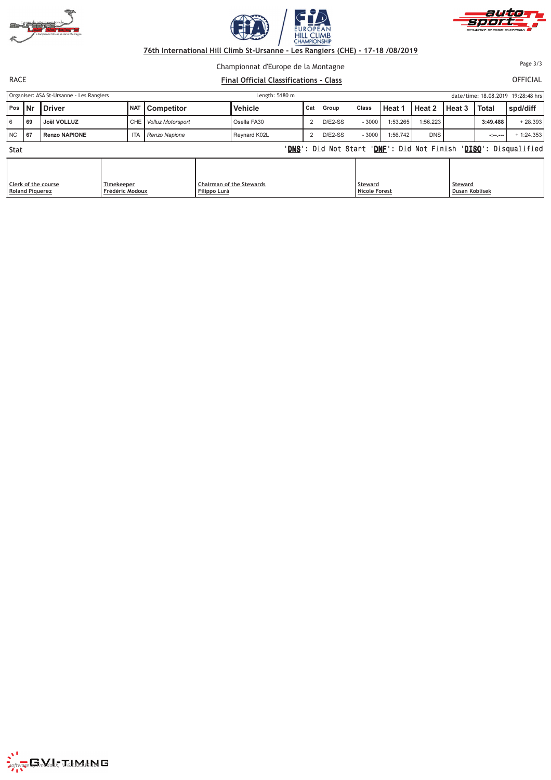





Championnat d'Europe de la Montagne

**RACE** *We set the set of the set of the set of the set of the set of the set of the set of the set of the set of the set of the set of the set of the set of the set of the set of the set of the set of the set of the set* 

FICIAL Page 3/3

Organiser: ASA St-Ursanne - Les Ra Length:  $5180 \text{ m}$ date/time: 18.08.2019 19:28:48 hrs **Pos Nr Driver NAT Competitor Vehicle Cat Group Class Heat 1 Heat 2 Heat 3 Total spd/diff** 6 **69 Joël VOLLUZ** CHE *Volluz Motorsport* Osella FA30 2 D/E2-SS - 3000 1:53.265 1:56.223 **3:49.488** + 28.393 NC **67 Renzo NAPIONE** ITA *Renzo Napione* Reynard K02L 2 D/E2-SS - 3000 1:56.742 DNS **-:--.---** + 1:24.353 Stat t de la construction de la construction de la construction de la construction de la construction de la construction de la construction de la construction de la construction de la construction de la construction de la const <u>NS</u>': Did Not Start '<u>DNF</u>': Did Not Finish '<u>DISQ</u>': Disqualified

| Clerk of the course | Timekeeper      | <b>Chairman of the Stewards</b> | Steward       | <b>Steward</b>        |
|---------------------|-----------------|---------------------------------|---------------|-----------------------|
| Roland Piquerez     | Frédéric Modoux | Filippo Lurà                    | Nicole Forest | <b>Dusan Koblisek</b> |



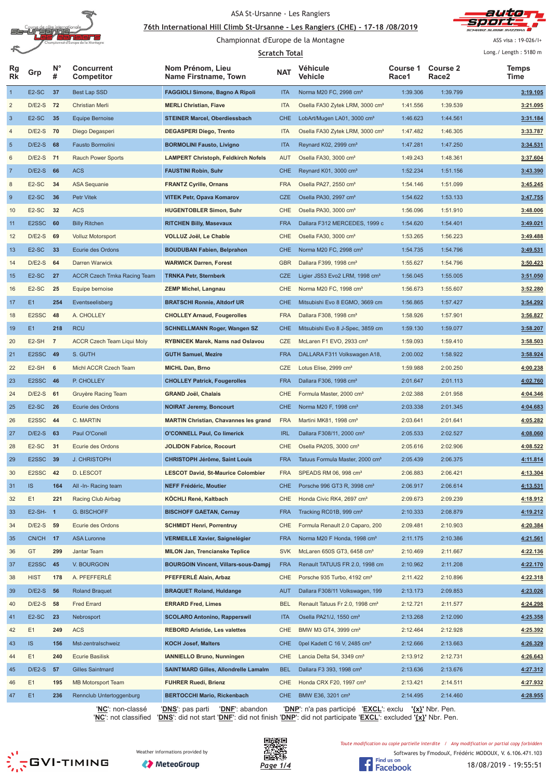

#### <u>76th International Hill Climb St-Ursanne - Les Rangiers (CHE) - 17-18 /08/2019</u>



Championnat d'Europe de la Montagne

ASS visa : 19-026/I+

|                |                    |                  |                                   | <b>Scratch Total</b>                         |            |                                             |                   |                                      |               |  |
|----------------|--------------------|------------------|-----------------------------------|----------------------------------------------|------------|---------------------------------------------|-------------------|--------------------------------------|---------------|--|
| Rg<br>Rk       | Grp                | $N^{\circ}$<br># | <b>Concurrent</b><br>Competitor   | Nom Prénom, Lieu<br>Name Firstname, Town     | <b>NAT</b> | Véhicule<br>Vehicle                         | Course 1<br>Race1 | <b>Course 2</b><br>Race <sub>2</sub> | Temps<br>Time |  |
| $\overline{1}$ | E <sub>2</sub> -SC | 37               | <b>Best Lap SSD</b>               | <b>FAGGIOLI Simone, Bagno A Ripoli</b>       | <b>ITA</b> | Norma M20 FC, 2998 cm <sup>3</sup>          | 1:39.306          | 1:39.799                             | 3:19.105      |  |
| $\overline{c}$ | $D/E2-S$           | - 72             | Christian Merli                   | <b>MERLI Christian, Fiave</b>                | <b>ITA</b> | Osella FA30 Zytek LRM, 3000 cm <sup>3</sup> | 1:41.556          | 1:39.539                             | 3:21.095      |  |
| $\mathbf{3}$   | E <sub>2</sub> -SC | 35               | <b>Equipe Bernoise</b>            | <b>STEINER Marcel, Oberdiessbach</b>         | <b>CHE</b> | LobArt/Mugen LA01, 3000 cm <sup>3</sup>     | 1:46.623          | 1:44.561                             | 3:31.184      |  |
| 4              | D/E2-S 70          |                  | Diego Degasperi                   | <b>DEGASPERI Diego, Trento</b>               | <b>ITA</b> | Osella FA30 Zytek LRM, 3000 cm <sup>3</sup> | 1:47.482          | 1:46.305                             | 3:33.787      |  |
| $\overline{5}$ | $D/E2-S$           | 68               | Fausto Bormolini                  | <b>BORMOLINI Fausto, Livigno</b>             | <b>ITA</b> | Reynard K02, 2999 cm <sup>3</sup>           | 1:47.281          | 1:47.250                             | 3:34.531      |  |
| 6              | D/E2-S 71          |                  | <b>Rauch Power Sports</b>         | <b>LAMPERT Christoph, Feldkirch Nofels</b>   | AUT        | Osella FA30, 3000 cm <sup>3</sup>           | 1:49.243          | 1:48.361                             | 3:37.604      |  |
| $\overline{7}$ | $D/E2-S$ 66        |                  | <b>ACS</b>                        | <b>FAUSTINI Robin, Suhr</b>                  | <b>CHE</b> | Reynard K01, 3000 cm <sup>3</sup>           | 1:52.234          | 1:51.156                             | 3:43.390      |  |
| $\,$ 8 $\,$    | E <sub>2</sub> -SC | 34               | <b>ASA Sequanie</b>               | <b>FRANTZ Cyrille, Ornans</b>                | <b>FRA</b> | Osella PA27, 2550 cm <sup>3</sup>           | 1:54.146          | 1:51.099                             | 3:45.245      |  |
| 9              | E <sub>2</sub> -SC | 36               | Petr Vitek                        | <b>VITEK Petr, Opava Komarov</b>             | <b>CZE</b> | Osella PA30, 2997 cm <sup>3</sup>           | 1:54.622          | 1:53.133                             | 3:47.755      |  |
| 10             | E <sub>2</sub> -SC | 32               | <b>ACS</b>                        | <b>HUGENTOBLER Simon, Suhr</b>               | <b>CHE</b> | Osella PA30, 3000 cm <sup>3</sup>           | 1:56.096          | 1:51.910                             | 3:48.006      |  |
| 11             | E2SSC              | 60               | <b>Billy Ritchen</b>              | <b>RITCHEN Billy, Masevaux</b>               | <b>FRA</b> | Dallara F312 MERCEDES, 1999 c               | 1:54.620          | 1:54.401                             | 3:49.021      |  |
| 12             | D/E2-S 69          |                  | <b>Volluz Motorsport</b>          | VOLLUZ Joël, Le Chable                       | CHE        | Osella FA30, 3000 cm <sup>3</sup>           | 1:53.265          | 1:56.223                             | 3:49.488      |  |
| 13             | E <sub>2</sub> -SC | 33               | Ecurie des Ordons                 | <b>BOUDUBAN Fabien, Belprahon</b>            | <b>CHE</b> | Norma M20 FC, 2998 cm <sup>3</sup>          | 1:54.735          | 1:54.796                             | 3:49.531      |  |
| 14             | $D/E2-S$           | 64               | <b>Darren Warwick</b>             | <b>WARWICK Darren, Forest</b>                | <b>GBR</b> | Dallara F399, 1998 cm <sup>3</sup>          | 1:55.627          | 1:54.796                             | 3:50.423      |  |
| 15             | E <sub>2</sub> -SC | 27               | ACCR Czech Trnka Racing Team      | <b>TRNKA Petr, Sternberk</b>                 | <b>CZE</b> | Ligier JS53 Evo2 LRM, 1998 cm <sup>3</sup>  | 1:56.045          | 1:55.005                             | 3:51.050      |  |
| 16             | E <sub>2</sub> -SC | 25               | Equipe bernoise                   | <b>ZEMP Michel, Langnau</b>                  | <b>CHE</b> | Norma M20 FC, 1998 cm <sup>3</sup>          | 1:56.673          | 1:55.607                             | 3:52.280      |  |
| 17             | E1                 | 254              | Eventseelisberg                   | <b>BRATSCHI Ronnie, Altdorf UR</b>           | <b>CHE</b> | Mitsubishi Evo 8 EGMO, 3669 cm              | 1:56.865          | 1:57.427                             | 3:54.292      |  |
| 18             | E2SSC              | 48               | A. CHOLLEY                        | <b>CHOLLEY Arnaud, Fougerolles</b>           | <b>FRA</b> | Dallara F308, 1998 cm <sup>3</sup>          | 1:58.926          | 1:57.901                             | 3:56.827      |  |
| 19             | E1                 | 218              | <b>RCU</b>                        | <b>SCHNELLMANN Roger, Wangen SZ</b>          | <b>CHE</b> | Mitsubishi Evo 8 J-Spec, 3859 cm            | 1:59.130          | 1:59.077                             | 3:58.207      |  |
| 20             | E <sub>2</sub> -SH | $\overline{7}$   | <b>ACCR Czech Team Liqui Moly</b> | <b>RYBNICEK Marek, Nams nad Oslavou</b>      | CZE        | McLaren F1 EVO, 2933 cm <sup>3</sup>        | 1:59.093          | 1:59.410                             | 3:58.503      |  |
| 21             | E2SSC 49           |                  | S. GUTH                           | <b>GUTH Samuel, Mezire</b>                   | <b>FRA</b> | DALLARA F311 Volkswagen A18,                | 2:00.002          | 1:58.922                             | 3:58.924      |  |
| 22             | E2-SH              | 6                | Michl ACCR Czech Team             | <b>MICHL Dan, Brno</b>                       | <b>CZE</b> | Lotus Elise, 2999 cm <sup>3</sup>           | 1:59.988          | 2:00.250                             | 4:00.238      |  |
| 23             | E2SSC 46           |                  | P. CHOLLEY                        | <b>CHOLLEY Patrick, Fougerolles</b>          | <b>FRA</b> | Dallara F306, 1998 cm <sup>3</sup>          | 2:01.647          | 2:01.113                             | 4:02.760      |  |
| 24             | D/E2-S 61          |                  | Gruyère Racing Team               | <b>GRAND Joël, Chalais</b>                   | <b>CHE</b> | Formula Master, 2000 cm <sup>3</sup>        | 2:02.388          | 2:01.958                             | 4:04.346      |  |
|                |                    | 26               | Ecurie des Ordons                 |                                              | <b>CHE</b> | Norma M20 F, 1998 cm <sup>3</sup>           |                   |                                      |               |  |
| 25             | E <sub>2</sub> -SC |                  |                                   | <b>NOIRAT Jeremy, Boncourt</b>               |            |                                             | 2:03.338          | 2:01.345                             | 4:04.683      |  |
| 26             | E2SSC              | 44               | C. MARTIN                         | <b>MARTIN Christian, Chavannes les grand</b> | <b>FRA</b> | Martini MK81, 1998 cm <sup>3</sup>          | 2:03.641          | 2:01.641                             | 4:05.282      |  |
| 27             | $D/E2-S$           | 63               | Paul O'Conell                     | <b>O'CONNELL Paul, Co limerick</b>           | <b>IRL</b> | Dallara F308/11, 2000 cm <sup>3</sup>       | 2:05.533          | 2:02.527                             | 4:08.060      |  |
| 28             | E <sub>2</sub> -SC | 31               | Ecurie des Ordons                 | <b>JOLIDON Fabrice, Rocourt</b>              | CHE        | Osella PA20S, 3000 cm <sup>3</sup>          | 2:05.616          | 2:02.906                             | 4:08.522      |  |
| 29             | E2SSC 39           |                  | <b>J. CHRISTOPH</b>               | <b>CHRISTOPH Jérôme, Saint Louis</b>         | <b>FRA</b> | Tatuus Formula Master, 2000 cm <sup>3</sup> | 2:05.439          | 2:06.375                             | 4:11.814      |  |
| 30             | E2SSC 42           |                  | D. LESCOT                         | <b>LESCOT David, St-Maurice Colombier</b>    | <b>FRA</b> | SPEADS RM 06, 998 cm <sup>3</sup>           | 2:06.883          | 2:06.421                             | 4:13.304      |  |
| 31             | <b>IS</b>          | 164              | All -In- Racing team              | <b>NEFF Frédéric, Moutier</b>                | <b>CHE</b> | Porsche 996 GT3 R, 3998 cm <sup>3</sup>     | 2:06.917          | 2:06.614                             | 4:13.531      |  |
| 32             | E1                 | 221              | Racing Club Airbag                | KÖCHLI René, Kaltbach                        | <b>CHE</b> | Honda Civic RK4, 2697 cm <sup>3</sup>       | 2:09.673          | 2:09.239                             | 4:18.912      |  |
| 33             | $E2-SH-1$          |                  | <b>G. BISCHOFF</b>                | <b>BISCHOFF GAETAN, Cernay</b>               | <b>FRA</b> | Tracking RC01B, 999 cm <sup>3</sup>         | 2:10.333          | 2:08.879                             | 4:19.212      |  |
| 34             | D/E2-S 59          |                  | Ecurie des Ordons                 | <b>SCHMIDT Henri, Porrentruy</b>             | CHE        | Formula Renault 2.0 Caparo, 200             | 2:09.481          | 2:10.903                             | 4:20.384      |  |
| 35             | CN/CH 17           |                  | <b>ASA Luronne</b>                | <b>VERMEILLE Xavier, Saignelégier</b>        | <b>FRA</b> | Norma M20 F Honda, 1998 cm <sup>3</sup>     | 2:11.175          | 2:10.386                             | 4:21.561      |  |
| 36             | GT                 | 299              | Jantar Team                       | <b>MILON Jan, Trencianske Teplice</b>        | <b>SVK</b> | McLaren 650S GT3, 6458 cm <sup>3</sup>      | 2:10.469          | 2:11.667                             | 4:22.136      |  |
| 37             | E2SSC              | 45               | <b>V. BOURGOIN</b>                | <b>BOURGOIN Vincent, Villars-sous-Dampi</b>  | <b>FRA</b> | Renault TATUUS FR 2.0, 1998 cm              | 2:10.962          | 2:11.208                             | 4:22.170      |  |
| 38             | <b>HIST</b>        | 178              | A. PFEFFERLÉ                      | PFEFFERLÉ Alain, Arbaz                       | CHE        | Porsche 935 Turbo, 4192 cm <sup>3</sup>     | 2:11.422          | 2:10.896                             | 4:22.318      |  |
| 39             | $D/E2-S$           | 56               | <b>Roland Braquet</b>             | <b>BRAQUET Roland, Huldange</b>              | <b>AUT</b> | Dallara F308/11 Volkswagen, 199             | 2:13.173          | 2:09.853                             | 4:23.026      |  |
| 40             | $D/E2-S$           | 58               | <b>Fred Errard</b>                | <b>ERRARD Fred, Limes</b>                    | <b>BEL</b> | Renault Tatuus Fr 2.0, 1998 cm <sup>3</sup> | 2:12.721          | 2:11.577                             | 4:24.298      |  |
| 41             | E <sub>2</sub> -SC | 23               | Nebrosport                        | <b>SCOLARO Antonino, Rapperswil</b>          | <b>ITA</b> | Osella PA21/J, 1550 cm <sup>3</sup>         | 2:13.268          | 2:12.090                             | 4:25.358      |  |
| 42             | E1                 | 249              | <b>ACS</b>                        | <b>REBORD Aristide, Les valettes</b>         | CHE        | BMW M3 GT4, 3999 cm <sup>3</sup>            | 2:12.464          | 2:12.928                             | 4:25.392      |  |
| 43             | IS.                | 156              | Mst-zentralschweiz                | <b>KOCH Josef, Malters</b>                   | <b>CHE</b> | 0pel Kadett C 16 V, 2485 cm <sup>3</sup>    | 2:12.666          | 2:13.663                             | 4:26.329      |  |
| 44             | E1                 | 240              | <b>Ecurie Basilisk</b>            | <b>IANNIELLO Bruno, Nunningen</b>            | CHE        | Lancia Delta S4, 3349 cm <sup>3</sup>       | 2:13.912          | 2:12.731                             | 4:26.643      |  |
| 45             | $D/E2-S$           | 57               | <b>Gilles Saintmard</b>           | <b>SAINTMARD Gilles, Allondrelle Lamalm</b>  | <b>BEL</b> | Dallara F3 393, 1998 cm <sup>3</sup>        | 2:13.636          | 2:13.676                             | 4:27.312      |  |
| 46             | E1                 | 195              | <b>MB Motorsport Team</b>         | <b>FUHRER Ruedi, Brienz</b>                  | CHE        | Honda CRX F20, 1997 cm <sup>3</sup>         | 2:13.421          | 2:14.511                             | 4:27.932      |  |
| 47             | E1                 | 236              | Rennclub Untertoggenburg          | <b>BERTOCCHI Mario, Rickenbach</b>           | CHE        | BMW E36, 3201 cm <sup>3</sup>               | 2:14.495          | 2:14.460                             | 4:28.955      |  |

'**NC**': non-classé '**DNS**': pas parti '**DNF**': abandon '**DNP**': n'a pas participé '**EXCL**': exclu **'{x}'** Nbr. Pen. '**NC**': not classified '**DNS**': did not start '**DNF**': did not finish '**DNP**': did not participate '**EXCL**': excluded **'{x}'** Nbr. Pen.

 $\sum_{n=1}^{N}$ GVI-TIMING







Toute modification ou copie partielle interdite / Any modification or partial copy forbidden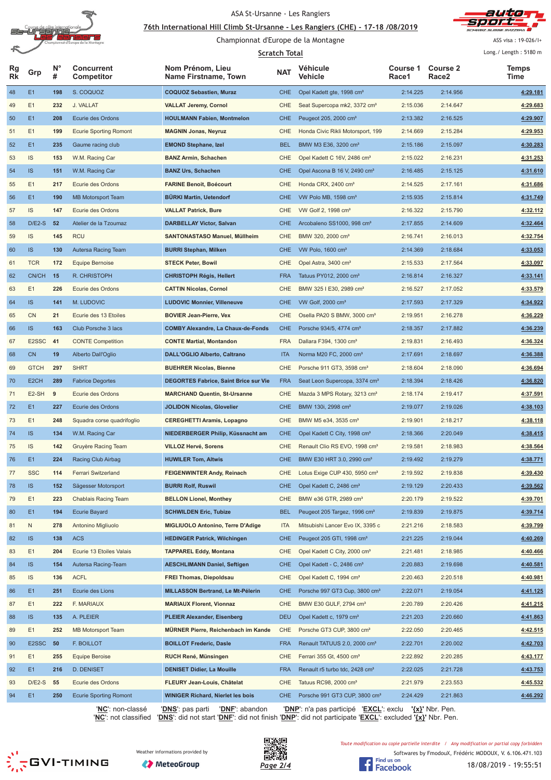

#### <u>76th International Hill Climb St-Ursanne - Les Rangiers (CHE) - 17-18 /08/2019</u>



ASS visa : 19-026/I+ Long./ Length: 5180 m

## Championnat d'Europe de la Montagne

|                 |                    |                  |                                 |                                              | Scratch Total |                                            |                   |                          | Long./ Length: 5180 m |
|-----------------|--------------------|------------------|---------------------------------|----------------------------------------------|---------------|--------------------------------------------|-------------------|--------------------------|-----------------------|
| Rg<br><b>Rk</b> | Grp                | $N^{\circ}$<br># | <b>Concurrent</b><br>Competitor | Nom Prénom, Lieu<br>Name Firstname, Town     | <b>NAT</b>    | Véhicule<br>Vehicle                        | Course 1<br>Race1 | <b>Course 2</b><br>Race2 | Temps<br>Time         |
| 48              | E1                 | 198              | S. COQUOZ                       | <b>COQUOZ Sebastien, Muraz</b>               | <b>CHE</b>    | Opel Kadett gte, 1998 cm <sup>3</sup>      | 2:14.225          | 2:14.956                 | 4:29.181              |
| 49              | E1                 | 232              | J. VALLAT                       | <b>VALLAT Jeremy, Cornol</b>                 | CHE           | Seat Supercopa mk2, 3372 cm <sup>3</sup>   | 2:15.036          | 2:14.647                 | 4:29.683              |
| 50              | E1                 | 208              | Ecurie des Ordons               | <b>HOULMANN Fabien, Montmelon</b>            | <b>CHE</b>    | Peugeot 205, 2000 cm <sup>3</sup>          | 2:13.382          | 2:16.525                 | 4:29.907              |
| 51              | E1                 | 199              | <b>Ecurie Sporting Romont</b>   | <b>MAGNIN Jonas, Neyruz</b>                  | CHE           | Honda Civic Rikli Motorsport, 199          | 2:14.669          | 2:15.284                 | 4:29.953              |
| 52              | E1                 | 235              | Gaume racing club               | <b>EMOND Stephane, Izel</b>                  | <b>BEL</b>    | BMW M3 E36, 3200 cm <sup>3</sup>           | 2:15.186          | 2:15.097                 | 4:30.283              |
| 53              | IS                 | 153              | W.M. Racing Car                 | <b>BANZ Armin, Schachen</b>                  | CHE           | Opel Kadett C 16V, 2486 cm <sup>3</sup>    | 2:15.022          | 2:16.231                 | 4:31.253              |
| 54              | <b>IS</b>          | 151              | W.M. Racing Car                 | <b>BANZ Urs, Schachen</b>                    | <b>CHE</b>    | Opel Ascona B 16 V, 2490 cm <sup>3</sup>   | 2:16.485          | 2:15.125                 | 4:31.610              |
| 55              | E1                 | 217              | Ecurie des Ordons               | <b>FARINE Benoit, Boécourt</b>               | CHE           | Honda CRX, 2400 cm <sup>3</sup>            | 2:14.525          | 2:17.161                 | 4:31.686              |
| 56              | E1                 | 190              | <b>MB Motorsport Team</b>       | <b>BÜRKI Martin, Uetendorf</b>               | <b>CHE</b>    | VW Polo MB, 1598 cm <sup>3</sup>           | 2:15.935          | 2:15.814                 | 4:31.749              |
| 57              | IS                 | 147              | Ecurie des Ordons               | <b>VALLAT Patrick, Bure</b>                  | CHE           | VW Golf 2, 1998 cm <sup>3</sup>            | 2:16.322          | 2:15.790                 | 4:32.112              |
| 58              | $D/E2-S$           | 52               | Atelier de la Tzoumaz           | <b>DARBELLAY Victor, Salvan</b>              | <b>CHE</b>    | Arcobaleno SS1000, 998 cm <sup>3</sup>     | 2:17.855          | 2:14.609                 | 4:32.464              |
| 59              | IS                 | 145              | <b>RCU</b>                      | SANTONASTASO Manuel, Müllheim                | <b>CHE</b>    | BMW 320, 2000 cm <sup>3</sup>              | 2:16.741          | 2:16.013                 | 4:32.754              |
| 60              | IS.                | 130              | Autersa Racing Team             | <b>BURRI Stephan, Milken</b>                 | <b>CHE</b>    | VW Polo, 1600 cm <sup>3</sup>              | 2:14.369          | 2:18.684                 | 4:33.053              |
| 61              | <b>TCR</b>         | 172              | <b>Equipe Bernoise</b>          | <b>STECK Peter, Bowil</b>                    | CHE           | Opel Astra, 3400 cm <sup>3</sup>           | 2:15.533          | 2:17.564                 | 4:33.097              |
| 62              | CN/CH              | 15               | R. CHRISTOPH                    | <b>CHRISTOPH Régis, Hellert</b>              | <b>FRA</b>    | Tatuus PY012, 2000 cm <sup>3</sup>         | 2:16.814          | 2:16.327                 | 4:33.141              |
| 63              | E1                 | 226              | Ecurie des Ordons               | <b>CATTIN Nicolas, Cornol</b>                | <b>CHE</b>    | BMW 325 I E30, 2989 cm <sup>3</sup>        | 2:16.527          | 2:17.052                 | 4:33.579              |
| 64              | IS.                | 141              | M. LUDOVIC                      | <b>LUDOVIC Monnier, Villeneuve</b>           | <b>CHE</b>    | VW Golf, 2000 cm <sup>3</sup>              | 2:17.593          | 2:17.329                 | 4:34.922              |
| 65              | CN                 | 21               | Ecurie des 13 Etoiles           | <b>BOVIER Jean-Pierre, Vex</b>               | <b>CHE</b>    | Osella PA20 S BMW, 3000 cm <sup>3</sup>    | 2:19.951          | 2:16.278                 | 4:36.229              |
| 66              | <b>IS</b>          | 163              | Club Porsche 3 lacs             | <b>COMBY Alexandre, La Chaux-de-Fonds</b>    | <b>CHE</b>    | Porsche 934/5, 4774 cm <sup>3</sup>        | 2:18.357          | 2:17.882                 | 4:36.239              |
| 67              | E2SSC              | 41               | <b>CONTE Competition</b>        | <b>CONTE Martial, Montandon</b>              | <b>FRA</b>    | Dallara F394, 1300 cm <sup>3</sup>         | 2:19.831          | 2:16.493                 | 4:36.324              |
| 68              | <b>CN</b>          | 19               | Alberto Dall'Oglio              | <b>DALL'OGLIO Alberto, Caltrano</b>          | <b>ITA</b>    | Norma M20 FC, 2000 cm <sup>3</sup>         | 2:17.691          | 2:18.697                 | 4:36.388              |
| 69              | <b>GTCH</b>        | 297              | <b>SHRT</b>                     | <b>BUEHRER Nicolas, Bienne</b>               | CHE           | Porsche 911 GT3, 3598 cm <sup>3</sup>      | 2:18.604          | 2:18.090                 | 4:36.694              |
| 70              | E <sub>2</sub> CH  | 289              | <b>Fabrice Degortes</b>         | <b>DEGORTES Fabrice, Saint Brice sur Vie</b> | <b>FRA</b>    | Seat Leon Supercopa, 3374 cm <sup>3</sup>  | 2:18.394          | 2:18.426                 |                       |
| 71              | E <sub>2</sub> -SH | 9                |                                 |                                              | CHE           |                                            |                   | 2:19.417                 | 4:36.820              |
|                 |                    |                  | Ecurie des Ordons               | <b>MARCHAND Quentin, St-Ursanne</b>          |               | Mazda 3 MPS Rotary, 3213 cm <sup>3</sup>   | 2:18.174          |                          | 4:37.591              |
| 72              | E1                 | 227              | Ecurie des Ordons               | JOLIDON Nicolas, Glovelier                   | <b>CHE</b>    | BMW 130i, 2998 cm <sup>3</sup>             | 2:19.077          | 2:19.026                 | 4:38.103              |
| 73              | E1                 | 248              | Squadra corse quadrifoglio      | <b>CEREGHETTI Aramis, Lopagno</b>            | CHE           | BMW M5 e34, 3535 cm <sup>3</sup>           | 2:19.901          | 2:18.217                 | 4:38.118              |
| 74              | IS.                | 134              | W.M. Racing Car                 | NIEDERBERGER Philip, Küssnacht am            | <b>CHE</b>    | Opel Kadett C City, 1998 cm <sup>3</sup>   | 2:18.366          | 2:20.049                 | 4:38.415              |
| 75              | IS                 | 142              | Gruyère Racing Team             | <b>VILLOZ Hervé, Sorens</b>                  | <b>CHE</b>    | Renault Clio RS EVO, 1998 cm <sup>3</sup>  | 2:19.581          | 2:18.983                 | 4:38.564              |
| 76              | E1                 | 224              | <b>Racing Club Airbag</b>       | <b>HUWILER Tom, Altwis</b>                   | <b>CHE</b>    | BMW E30 HRT 3.0, 2990 cm <sup>3</sup>      | 2:19.492          | 2:19.279                 | 4:38.771              |
| 77              | <b>SSC</b>         | 114              | Ferrari Switzerland             | <b>FEIGENWINTER Andy, Reinach</b>            | CHE           | Lotus Exige CUP 430, 5950 cm <sup>3</sup>  | 2:19.592          | 2:19.838                 | 4:39.430              |
| 78              | IS.                | 152              | Sägesser Motorsport             | <b>BURRI Rolf, Ruswil</b>                    | <b>CHE</b>    | Opel Kadett C, 2486 cm <sup>3</sup>        | 2:19.129          | 2:20.433                 | 4:39.562              |
| 79              | E1                 | 223              | Chablais Racing Team            | <b>BELLON Lionel, Monthey</b>                | CHE           | BMW e36 GTR, 2989 cm <sup>3</sup>          | 2:20.179          | 2:19.522                 | 4:39.701              |
| 80              | E1                 | 194              | <b>Ecurie Bayard</b>            | <b>SCHWILDEN Eric, Tubize</b>                | <b>BEL</b>    | Peugeot 205 Targez, 1996 cm <sup>3</sup>   | 2:19.839          | 2:19.875                 | 4:39.714              |
| 81              | N                  | 278              | Antonino Migliuolo              | MIGLIUOLO Antonino, Terre D'Adige            | <b>ITA</b>    | Mitsubishi Lancer Evo IX, 3395 c           | 2:21.216          | 2:18.583                 | 4:39.799              |
| 82              | <b>IS</b>          | 138              | <b>ACS</b>                      | <b>HEDINGER Patrick, Wilchingen</b>          | <b>CHE</b>    | Peugeot 205 GTI, 1998 cm <sup>3</sup>      | 2:21.225          | 2:19.044                 | 4:40.269              |
| 83              | E1                 | 204              | Ecurie 13 Etoiles Valais        | <b>TAPPAREL Eddy, Montana</b>                | CHE           | Opel Kadett C City, 2000 cm <sup>3</sup>   | 2:21.481          | 2:18.985                 | 4:40.466              |
| 84              | <b>IS</b>          | 154              | Autersa Racing-Team             | <b>AESCHLIMANN Daniel, Seftigen</b>          | <b>CHE</b>    | Opel Kadett - C, 2486 cm <sup>3</sup>      | 2:20.883          | 2:19.698                 | 4:40.581              |
| 85              | IS                 | 136              | <b>ACFL</b>                     | <b>FREI Thomas, Diepoldsau</b>               | CHE           | Opel Kadett C, 1994 cm <sup>3</sup>        | 2:20.463          | 2:20.518                 | 4:40.981              |
| 86              | E1                 | 251              | Ecurie des Lions                | MILLASSON Bertrand, Le Mt-Pélerin            | <b>CHE</b>    | Porsche 997 GT3 Cup, 3800 cm <sup>3</sup>  | 2:22.071          | 2:19.054                 | 4:41.125              |
| 87              | E1                 | 222              | F. MARIAUX                      | <b>MARIAUX Florent, Vionnaz</b>              | CHE           | BMW E30 GULF, 2794 cm <sup>3</sup>         | 2:20.789          | 2:20.426                 | 4:41.215              |
| 88              | <b>IS</b>          | 135              | A. PLEIER                       | <b>PLEIER Alexander, Eisenberg</b>           | <b>DEU</b>    | Opel Kadett c, 1979 cm <sup>3</sup>        | 2:21.203          | 2:20.660                 | 4:41.863              |
| 89              | E1                 | 252              | <b>MB Motorsport Team</b>       | MÜRNER Pierre, Reichenbach im Kande          | CHE           | Porsche GT3 CUP, 3800 cm <sup>3</sup>      | 2:22.050          | 2:20.465                 | 4:42.515              |
| 90              | E2SSC              | 50               | F. BOILLOT                      | <b>BOILLOT Frederic, Dasle</b>               | <b>FRA</b>    | Renault TATUUS 2.0, 2000 cm <sup>3</sup>   | 2:22.701          | 2:20.002                 | 4:42.703              |
| 91              | E1                 | 255              | <b>Equipe Beroise</b>           | RUCH René, Münsingen                         | CHE           | Ferrari 355 Gt, 4500 cm <sup>3</sup>       | 2:22.892          | 2:20.285                 | 4:43.177              |
| 92              | E1                 | 216              | D. DENISET                      | <b>DENISET Didier, La Mouille</b>            | <b>FRA</b>    | Renault r5 turbo tdc, 2428 cm <sup>3</sup> | 2:22.025          | 2:21.728                 | 4:43.753              |
| 93              | $D/E2-S$           | 55               | Ecurie des Ordons               | FLEURY Jean-Louis, Châtelat                  | CHE           | Tatuus RC98, 2000 cm <sup>3</sup>          | 2:21.979          | 2:23.553                 | 4:45.532              |
| 94              | E1                 | 250              | <b>Ecurie Sporting Romont</b>   | <b>WINIGER Richard, Nierlet les bois</b>     | <b>CHE</b>    | Porsche 991 GT3 CUP, 3800 cm <sup>3</sup>  | 2:24.429          | 2:21.863                 | 4:46.292              |

'**NC**': non-classé '**DNS**': pas parti '**DNF**': abandon '**DNP**': n'a pas participé '**EXCL**': exclu **'{x}'** Nbr. Pen. '**NC**': not classified '**DNS**': did not start '**DNF**': did not finish '**DNP**': did not participate '**EXCL**': excluded **'{x}'** Nbr. Pen.

**SESSION** 





Softwares by FmodouX, Frédéric MODOUX, V. 6.106.471.103 Toute modification ou copie partielle interdite / Any modification or partial copy forbidden

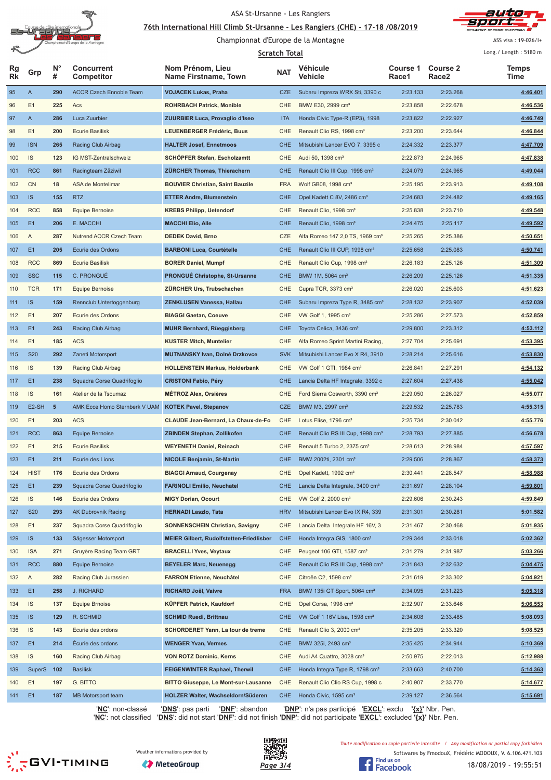

#### <u>76th International Hill Climb St-Ursanne - Les Rangiers (CHE) - 17-18 /08/2019</u>



Championnat d'Europe de la Montagne

ASS visa : 19-026/I+

|            |                    |                  |                                 |                                                 | <b>Scratch Total</b> |                                               |                   |                          | Long./ Length: 5180 m |
|------------|--------------------|------------------|---------------------------------|-------------------------------------------------|----------------------|-----------------------------------------------|-------------------|--------------------------|-----------------------|
| Rg<br>Rk   | Grp                | $N^{\circ}$<br># | <b>Concurrent</b><br>Competitor | Nom Prénom, Lieu<br>Name Firstname, Town        | <b>NAT</b>           | Véhicule<br>Vehicle                           | Course 1<br>Race1 | <b>Course 2</b><br>Race2 | Temps<br>Time         |
| 95         | $\mathsf{A}$       | 290              | <b>ACCR Czech Ennoble Team</b>  | <b>VOJACEK Lukas, Praha</b>                     | <b>CZE</b>           | Subaru Impreza WRX Sti, 3390 c                | 2:23.133          | 2:23.268                 | 4:46.401              |
| 96         | E1                 | 225              | Acs                             | <b>ROHRBACH Patrick, Monible</b>                | <b>CHE</b>           | BMW E30, 2999 cm <sup>3</sup>                 | 2:23.858          | 2:22.678                 | 4:46.536              |
| 97         | $\mathsf{A}$       | 286              | Luca Zuurbier                   | <b>ZUURBIER Luca, Provaglio d'Iseo</b>          | <b>ITA</b>           | Honda Civic Type-R (EP3), 1998                | 2:23.822          | 2:22.927                 | 4:46.749              |
| 98         | E1                 | 200              | <b>Ecurie Basilisk</b>          | <b>LEUENBERGER Frédéric, Buus</b>               | <b>CHE</b>           | Renault Clio RS, 1998 cm <sup>3</sup>         | 2:23.200          | 2:23.644                 | 4:46.844              |
| 99         | <b>ISN</b>         | 265              | Racing Club Airbag              | <b>HALTER Josef, Ennetmoos</b>                  | <b>CHE</b>           | Mitsubishi Lancer EVO 7, 3395 c               | 2:24.332          | 2:23.377                 | 4:47.709              |
| 100        | IS                 | 123              | IG MST-Zentralschweiz           | SCHÖPFER Stefan, Escholzamtt                    | <b>CHE</b>           | Audi 50, 1398 cm <sup>3</sup>                 | 2:22.873          | 2:24.965                 | 4:47.838              |
| 101        | <b>RCC</b>         | 861              | Racingteam Zäziwil              | <b>ZÜRCHER Thomas, Thierachern</b>              | <b>CHE</b>           | Renault Clio III Cup, 1998 cm <sup>3</sup>    | 2:24.079          | 2:24.965                 | 4:49.044              |
| 102        | CN                 | 18               | ASA de Montelimar               | <b>BOUVIER Christian, Saint Bauzile</b>         | <b>FRA</b>           | Wolf GB08, 1998 cm <sup>3</sup>               | 2:25.195          | 2:23.913                 | 4:49.108              |
| 103        | IS                 | 155              | <b>RTZ</b>                      | <b>ETTER Andre, Blumenstein</b>                 | <b>CHE</b>           | Opel Kadett C 8V, 2486 cm <sup>3</sup>        | 2:24.683          | 2:24.482                 | 4:49.165              |
| 104        | <b>RCC</b>         | 858              | Equipe Bernoise                 | <b>KREBS Philipp, Uetendorf</b>                 | CHE                  | Renault Clio, 1998 cm <sup>3</sup>            | 2:25.838          | 2:23.710                 | 4:49.548              |
| 105        | E1                 | 206              | E. MACCHI                       | <b>MACCHI Elio, Alle</b>                        | <b>CHE</b>           | Renault Clio, 1998 cm <sup>3</sup>            | 2:24.475          | 2:25.117                 | 4:49.592              |
| 106        | A                  | 287              | Nutrend ACCR Czech Team         | <b>DEDEK David, Brno</b>                        | CZE                  | Alfa Romeo 147 2,0 TS, 1969 cm <sup>3</sup>   | 2:25.265          | 2:25.386                 | 4:50.651              |
| 107        | E1                 | 205              | Ecurie des Ordons               | <b>BARBONI Luca, Courtételle</b>                | <b>CHE</b>           | Renault Clio III CUP, 1998 cm <sup>3</sup>    | 2:25.658          | 2:25.083                 | 4:50.741              |
| 108        | <b>RCC</b>         | 869              | <b>Ecurie Basilisk</b>          | <b>BORER Daniel, Mumpf</b>                      | CHE                  | Renault Clio Cup, 1998 cm <sup>3</sup>        | 2:26.183          | 2:25.126                 | 4:51.309              |
| 109        | <b>SSC</b>         | 115              | C. PRONGUÉ                      | <b>PRONGUÉ Christophe, St-Ursanne</b>           | <b>CHE</b>           | BMW 1M, 5064 cm <sup>3</sup>                  | 2:26.209          | 2:25.126                 | 4:51.335              |
| 110        | <b>TCR</b>         | 171              | <b>Equipe Bernoise</b>          | <b>ZÜRCHER Urs, Trubschachen</b>                | <b>CHE</b>           | Cupra TCR, 3373 cm <sup>3</sup>               | 2:26.020          | 2:25.603                 | 4:51.623              |
| 111        | <b>IS</b>          | 159              | Rennclub Untertoggenburg        | <b>ZENKLUSEN Vanessa, Hallau</b>                | <b>CHE</b>           | Subaru Impreza Type R, 3485 cm <sup>3</sup>   | 2:28.132          | 2:23.907                 | 4:52.039              |
| 112        | E1                 | 207              | Ecurie des Ordons               | <b>BIAGGI Gaetan, Coeuve</b>                    | <b>CHE</b>           | VW Golf 1, 1995 cm <sup>3</sup>               | 2:25.286          | 2:27.573                 | 4:52.859              |
| 113        | E1                 | 243              | Racing Club Airbag              | <b>MUHR Bernhard, Rüeggisberg</b>               | <b>CHE</b>           | Toyota Celica, 3436 cm <sup>3</sup>           | 2:29.800          | 2:23.312                 | 4:53.112              |
| 114        | E1                 | 185              | <b>ACS</b>                      | <b>KUSTER Mitch, Muntelier</b>                  | <b>CHE</b>           | Alfa Romeo Sprint Martini Racing,             | 2:27.704          | 2:25.691                 | 4:53.395              |
| 115        | <b>S20</b>         | 292              | Zaneti Motorsport               | MUTNANSKY Ivan, Dolné Drzkovce                  | <b>SVK</b>           | Mitsubishi Lancer Evo X R4, 3910              | 2:28.214          | 2:25.616                 | 4:53.830              |
| 116        | IS                 | 139              | Racing Club Airbag              | <b>HOLLENSTEIN Markus, Holderbank</b>           | <b>CHE</b>           | VW Golf 1 GTI, 1984 cm <sup>3</sup>           | 2:26.841          | 2:27.291                 | 4:54.132              |
| 117        | E1                 | 238              | Squadra Corse Quadrifoglio      | <b>CRISTONI Fabio, Péry</b>                     | <b>CHE</b>           | Lancia Delta HF Integrale, 3392 c             | 2:27.604          | 2:27.438                 | 4:55.042              |
| 118        | IS                 | 161              | Atelier de la Tsoumaz           | <b>METROZ Alex, Orsières</b>                    | CHE                  | Ford Sierra Cosworth, 3390 cm <sup>3</sup>    | 2:29.050          | 2:26.027                 | 4:55.077              |
| 119        | E <sub>2</sub> -SH | $5\phantom{1}$   | AMK Ecce Homo Sternberk V UAM   | <b>KOTEK Pavel, Stepanov</b>                    | <b>CZE</b>           | BMW M3, 2997 cm <sup>3</sup>                  | 2:29.532          | 2:25.783                 | 4:55.315              |
| 120        | E1                 | 203              | <b>ACS</b>                      | CLAUDE Jean-Bernard, La Chaux-de-Fo             | CHE                  | Lotus Elise, 1796 cm <sup>3</sup>             | 2:25.734          | 2:30.042                 | 4:55.776              |
| 121        | <b>RCC</b>         | 863              | <b>Equipe Bernoise</b>          | <b>ZBINDEN Stephan, Zollikofen</b>              | <b>CHE</b>           | Renault Clio RS III Cup, 1998 cm <sup>3</sup> | 2:28.793          | 2:27.885                 | 4:56.678              |
| 122        | E1                 | 215              | <b>Ecurie Basilisk</b>          | <b>WEYENETH Daniel, Reinach</b>                 | CHE                  | Renault 5 Turbo 2, 2375 cm <sup>3</sup>       | 2:28.613          | 2:28.984                 | 4:57.597              |
| 123        | E <sub>1</sub>     | 211              | Ecurie des Lions                | <b>NICOLE Benjamin, St-Martin</b>               | <b>CHE</b>           | BMW 2002ti, 2301 cm <sup>3</sup>              | 2:29.506          | 2:28.867                 | 4:58.373              |
| 124        | <b>HIST</b>        | 176              | Ecurie des Ordons               | <b>BIAGGI Arnaud, Courgenay</b>                 | <b>CHE</b>           | Opel Kadett, 1992 cm <sup>3</sup>             | 2:30.441          | 2:28.547                 | 4:58.988              |
| 125        | E1                 | 239              | Squadra Corse Quadrifoglio      | <b>FARINOLI Emilio, Neuchatel</b>               | <b>CHE</b>           | Lancia Delta Integrale, 3400 cm <sup>3</sup>  | 2:31.697          | 2:28.104                 | 4:59.801              |
| 126        | IS                 | 146              | Ecurie des Ordons               | <b>MIGY Dorian, Ocourt</b>                      | CHE                  | VW Golf 2, 2000 cm <sup>3</sup>               | 2:29.606          | 2:30.243                 | 4:59.849              |
| 127        | <b>S20</b>         | 293              | <b>AK Dubrovnik Racing</b>      | <b>HERNADI Laszlo, Tata</b>                     | <b>HRV</b>           | Mitsubishi Lancer Evo IX R4, 339              | 2:31.301          | 2:30.281                 | 5:01.582              |
| 128        | E1                 | 237              | Squadra Corse Quadrifoglio      | <b>SONNENSCHEIN Christian, Savigny</b>          | <b>CHE</b>           | Lancia Delta Integrale HF 16V, 3              | 2:31.467          | 2:30.468                 | 5:01.935              |
| 129        | IS                 | 133              | Sägesser Motorsport             | <b>MEIER Gilbert, Rudolfstetten-Friedlisber</b> | <b>CHE</b>           | Honda Integra GIS, 1800 cm <sup>3</sup>       | 2:29.344          | 2:33.018                 | 5:02.362              |
| 130        | <b>ISA</b>         | 271              | Gruyère Racing Team GRT         | <b>BRACELLI Yves, Veytaux</b>                   | <b>CHE</b>           | Peugeot 106 GTI, 1587 cm <sup>3</sup>         | 2:31.279          | 2:31.987                 | 5:03.266              |
|            | <b>RCC</b>         | 880              | <b>Equipe Bernoise</b>          | <b>BEYELER Marc, Neuenegg</b>                   | <b>CHE</b>           | Renault Clio RS III Cup, 1998 cm <sup>3</sup> | 2:31.843          | 2:32.632                 | 5:04.475              |
| 131<br>132 | A                  | 282              | Racing Club Jurassien           | <b>FARRON Etienne, Neuchâtel</b>                | <b>CHE</b>           | Citroën C2, 1598 cm <sup>3</sup>              | 2:31.619          | 2:33.302                 | 5:04.921              |
|            | E1                 | 258              | J. RICHARD                      | RICHARD Joël, Vaivre                            | <b>FRA</b>           | BMW 135i GT Sport, 5064 cm <sup>3</sup>       | 2:34.095          | 2:31.223                 | 5:05.318              |
| 133        | IS                 |                  |                                 |                                                 |                      |                                               |                   |                          |                       |
| 134        |                    | 137              | <b>Equipe Brnoise</b>           | KÜPFER Patrick, Kaufdorf                        | CHE                  | Opel Corsa, 1998 cm <sup>3</sup>              | 2:32.907          | 2:33.646                 | 5:06.553              |
| 135        | IS                 | 129              | R. SCHMID                       | <b>SCHMID Ruedi, Brittnau</b>                   | <b>CHE</b>           | VW Golf 1 16V Lisa, 1598 cm <sup>3</sup>      | 2:34.608          | 2:33.485                 | 5:08.093              |
| 136        | IS                 | 143              | Ecurie des ordons               | SCHORDERET Yann, La tour de treme               | CHE                  | Renault Clio 3, 2000 cm <sup>3</sup>          | 2:35.205          | 2:33.320                 | 5:08.525              |
| 137        | E <sub>1</sub>     | 214              | Écurie des ordons               | <b>WENGER Yvan, Vermes</b>                      | <b>CHE</b>           | BMW 325i, 2493 cm <sup>3</sup>                | 2:35.425          | 2:34.944                 | 5:10.369              |
| 138        | IS                 | 160              | Racing Club Airbag              | <b>VON ROTZ Dominic, Kerns</b>                  | <b>CHE</b>           | Audi A4 Quattro, 3028 cm <sup>3</sup>         | 2:50.975          | 2:22.013                 | 5:12.988              |
| 139        | <b>SuperS</b>      | 102              | <b>Basilisk</b>                 | <b>FEIGENWINTER Raphael, Therwil</b>            | <b>CHE</b>           | Honda Integra Type R, 1798 cm <sup>3</sup>    | 2:33.663          | 2:40.700                 | 5:14.363              |
| 140        | E1                 | 197              | G. BITTO                        | <b>BITTO Giuseppe, Le Mont-sur-Lausanne</b>     | CHE                  | Renault Clio Clio RS Cup, 1998 c              | 2:40.907          | 2:33.770                 | 5:14.677              |
| 141        | E <sub>1</sub>     | 187              | MB Motorsport team              | <b>HOLZER Walter, Wachseldorn/Süderen</b>       | CHE                  | Honda Civic, 1595 cm <sup>3</sup>             | 2:39.127          | 2:36.564                 | 5:15.691              |

'**NC**': non-classé '**DNS**': pas parti '**DNF**': abandon '**DNP**': n'a pas participé '**EXCL**': exclu **'{x}'** Nbr. Pen. '**NC**': not classified '**DNS**': did not start '**DNF**': did not finish '**DNP**': did not participate '**EXCL**': excluded **'{x}'** Nbr. Pen.

 $\sum_{n=1}^{N}$ GVI-TIMING





Toute modification ou copie partielle interdite / Any modification or partial copy forbidden



Softwares by FmodouX, Frédéric MODOUX, V. 6.106.471.103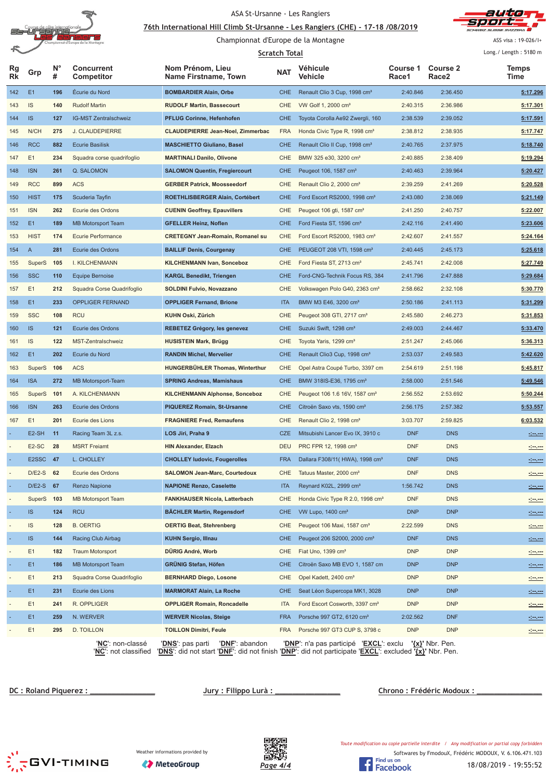

#### <u>76th International Hill Climb St-Ursanne - Les Rangiers (CHE) - 17-18 /08/2019</u>



Championnat d'Europe de la Montagne

ASS visa : 19-026/I+

|          |                    |                  |                                 |                                             | <b>Scratch Total</b> |                                                        |                   |                                      | Long./ Length: 5180 m |
|----------|--------------------|------------------|---------------------------------|---------------------------------------------|----------------------|--------------------------------------------------------|-------------------|--------------------------------------|-----------------------|
| Rg<br>Rk | Grp                | $N^{\circ}$<br># | <b>Concurrent</b><br>Competitor | Nom Prénom, Lieu<br>Name Firstname, Town    | <b>NAT</b>           | Véhicule<br>Vehicle                                    | Course 1<br>Race1 | <b>Course 2</b><br>Race <sub>2</sub> | <b>Temps</b><br>Time  |
| 142      | E <sub>1</sub>     | 196              | Écurie du Nord                  | <b>BOMBARDIER Alain, Orbe</b>               | <b>CHE</b>           | Renault Clio 3 Cup, 1998 cm <sup>3</sup>               | 2:40.846          | 2:36.450                             | 5:17.296              |
| 143      | IS                 | 140              | <b>Rudolf Martin</b>            | <b>RUDOLF Martin, Bassecourt</b>            | <b>CHE</b>           | VW Golf 1, 2000 cm <sup>3</sup>                        | 2:40.315          | 2:36.986                             | 5:17.301              |
| 144      | IS                 | 127              | IG-MST Zentralschweiz           | <b>PFLUG Corinne, Hefenhofen</b>            | <b>CHE</b>           | Toyota Corolla Ae92 Zwergli, 160                       | 2:38.539          | 2:39.052                             | 5:17.591              |
| 145      | N/CH               | 275              | J. CLAUDEPIERRE                 | <b>CLAUDEPIERRE Jean-Noel, Zimmerbac</b>    | <b>FRA</b>           | Honda Civic Type R, 1998 cm <sup>3</sup>               | 2:38.812          | 2:38.935                             | 5:17.747              |
| 146      | <b>RCC</b>         | 882              | <b>Ecurie Basilisk</b>          | <b>MASCHIETTO Giuliano, Basel</b>           | <b>CHE</b>           | Renault Clio II Cup, 1998 cm <sup>3</sup>              | 2:40.765          | 2:37.975                             | 5:18.740              |
| 147      | E1                 | 234              | Squadra corse quadrifoglio      | <b>MARTINALI Danilo, Olivone</b>            | <b>CHE</b>           | BMW 325 e30, 3200 cm <sup>3</sup>                      | 2:40.885          | 2:38.409                             | 5:19.294              |
| 148      | <b>ISN</b>         | 261              | Q. SALOMON                      | <b>SALOMON Quentin, Fregiercourt</b>        | <b>CHE</b>           | Peugeot 106, 1587 cm <sup>3</sup>                      | 2:40.463          | 2:39.964                             | 5:20.427              |
| 149      | <b>RCC</b>         | 899              | <b>ACS</b>                      | <b>GERBER Patrick, Moosseedorf</b>          | <b>CHE</b>           | Renault Clio 2, 2000 cm <sup>3</sup>                   | 2:39.259          | 2:41.269                             | 5:20.528              |
| 150      | <b>HIST</b>        | 175              | Scuderia Tayfin                 | ROETHLISBERGER Alain, Cortébert             | <b>CHE</b>           | Ford Escort RS2000, 1998 cm <sup>3</sup>               | 2:43.080          | 2:38.069                             | 5:21.149              |
| 151      | <b>ISN</b>         | 262              | Ecurie des Ordons               | <b>CUENIN Geoffrey, Epauvillers</b>         | CHE                  | Peugeot 106 gti, 1587 cm <sup>3</sup>                  | 2:41.250          | 2:40.757                             | 5:22.007              |
| 152      | E <sub>1</sub>     | 189              | <b>MB Motorsport Team</b>       | <b>GFELLER Heinz, Noflen</b>                | <b>CHE</b>           | Ford Fiesta ST, 1596 cm <sup>3</sup>                   | 2:42.116          | 2:41.490                             | 5:23.606              |
| 153      | <b>HIST</b>        | 174              | Ecurie Performance              | <b>CRETEGNY Jean-Romain, Romanel su</b>     | CHE                  | Ford Escort RS2000, 1983 cm <sup>3</sup>               | 2:42.607          | 2:41.557                             | 5:24.164              |
| 154      | $\mathsf{A}$       | 281              | Ecurie des Ordons               | <b>BAILLIF Denis, Courgenay</b>             | <b>CHE</b>           | PEUGEOT 208 VTI, 1598 cm <sup>3</sup>                  | 2:40.445          | 2:45.173                             | 5:25.618              |
| 155      | SuperS             | 105              | I. KILCHENMANN                  | <b>KILCHENMANN Ivan, Sonceboz</b>           | CHE                  | Ford Fiesta ST, 2713 cm <sup>3</sup>                   | 2:45.741          | 2:42.008                             | 5:27.749              |
| 156      | <b>SSC</b>         | 110              | <b>Equipe Bernoise</b>          | <b>KARGL Benedikt, Triengen</b>             | <b>CHE</b>           | Ford-CNG-Technik Focus RS, 384                         | 2:41.796          | 2:47.888                             | 5:29.684              |
| 157      | E1                 | 212              | Squadra Corse Quadrifoglio      | SOLDINI Fulvio, Novazzano                   | CHE                  | Volkswagen Polo G40, 2363 cm <sup>3</sup>              | 2:58.662          | 2:32.108                             | 5:30.770              |
| 158      | E1                 | 233              | <b>OPPLIGER FERNAND</b>         | <b>OPPLIGER Fernand, Brione</b>             | <b>ITA</b>           | BMW M3 E46, 3200 cm <sup>3</sup>                       | 2:50.186          | 2:41.113                             | 5:31.299              |
| 159      | <b>SSC</b>         | 108              | <b>RCU</b>                      | KUHN Oski, Zürich                           | CHE                  | Peugeot 308 GTI, 2717 cm <sup>3</sup>                  | 2:45.580          | 2:46.273                             | 5:31.853              |
| 160      | IS                 | 121              | Ecurie des Ordons               | <b>REBETEZ Grégory, les genevez</b>         | <b>CHE</b>           | Suzuki Swift, 1298 cm <sup>3</sup>                     | 2:49.003          | 2:44.467                             | 5:33.470              |
| 161      | IS                 | 122              | MST-Zentralschweiz              | <b>HUSISTEIN Mark, Brügg</b>                | <b>CHE</b>           | Toyota Yaris, 1299 cm <sup>3</sup>                     | 2:51.247          | 2:45.066                             | 5:36.313              |
| 162      | E1                 | 202              | Ecurie du Nord                  | <b>RANDIN Michel, Mervelier</b>             | <b>CHE</b>           | Renault Clio3 Cup, 1998 cm <sup>3</sup>                | 2:53.037          | 2:49.583                             | 5:42.620              |
| 163      | SuperS             | 106              | <b>ACS</b>                      | <b>HUNGERBÜHLER Thomas, Winterthur</b>      | <b>CHE</b>           | Opel Astra Coupé Turbo, 3397 cm                        | 2:54.619          | 2:51.198                             | 5:45.817              |
| 164      | <b>ISA</b>         | 272              | <b>MB Motorsport-Team</b>       | <b>SPRING Andreas, Mamishaus</b>            | <b>CHE</b>           | BMW 318IS-E36, 1795 cm <sup>3</sup>                    | 2:58.000          | 2:51.546                             | 5:49.546              |
| 165      | SuperS             | 101              | A. KILCHENMANN                  | <b>KILCHENMANN Alphonse, Sonceboz</b>       | CHE                  | Peugeot 106 1.6 16V, 1587 cm <sup>3</sup>              | 2:56.552          | 2:53.692                             | 5:50.244              |
| 166      | <b>ISN</b>         | 263              | Ecurie des Ordons               | <b>PIQUEREZ Romain, St-Ursanne</b>          | <b>CHE</b>           | Citroën Saxo vts, 1590 cm <sup>3</sup>                 | 2:56.175          | 2:57.382                             | 5:53.557              |
| 167      | E1                 | 201              | Ecurie des Lions                | <b>FRAGNIERE Fred, Remaufens</b>            | <b>CHE</b>           | Renault Clio 2, 1998 cm <sup>3</sup>                   | 3:03.707          | 2:59.825                             | 6:03.532              |
|          | E <sub>2</sub> -SH | 11               | Racing Team 3L z.s.             | LOS Jiri, Praha 9                           | <b>CZE</b>           | Mitsubishi Lancer Evo IX, 3910 c                       | <b>DNF</b>        | <b>DNS</b>                           |                       |
|          | E <sub>2</sub> -SC | 28               | <b>MSRT</b> Freiamt             | <b>HIN Alexander, Elzach</b>                | <b>DEU</b>           | PRC FPR 12, 1998 cm <sup>3</sup>                       | <b>DNF</b>        | <b>DNS</b>                           | $\frac{1}{2}$         |
|          | E2SSC 47           |                  | L. CHOLLEY                      | <b>CHOLLEY ludovic, Fougerolles</b>         | <b>FRA</b>           | Dallara F308/11 (HWA), 1998 cm <sup>3</sup>            | <b>DNF</b>        | <b>DNS</b>                           | <b>Seven</b>          |
|          | D/E2-S 62          |                  | Ecurie des Ordons               | <b>SALOMON Jean-Marc, Courtedoux</b>        | <b>CHE</b>           | Tatuus Master, 2000 cm <sup>3</sup>                    | <b>DNF</b>        | <b>DNS</b>                           |                       |
|          | D/E2-S 67          |                  | Renzo Napione                   | <b>NAPIONE Renzo, Caselette</b>             | <b>ITA</b>           | Reynard K02L, 2999 cm <sup>3</sup>                     | 1:56.742          | <b>DNS</b>                           | <u>Simon</u>          |
|          | SuperS             | 103              | <b>MB Motorsport Team</b>       | <b>FANKHAUSER Nicola, Latterbach</b>        | CHE                  | Honda Civic Type R 2.0, 1998 cm <sup>3</sup>           | <b>DNF</b>        | <b>DNS</b>                           | $-1 - 1 - 1 = 0$      |
|          | <b>IS</b>          | 124              | <b>RCU</b>                      | <b>BÄCHLER Martin, Regensdorf</b>           | <b>CHE</b>           | VW Lupo, 1400 cm <sup>3</sup>                          | <b>DNP</b>        | <b>DNP</b>                           | <u>Seven</u>          |
|          | IS                 | 128              | <b>B. OERTIG</b>                | <b>OERTIG Beat, Stehrenberg</b>             | <b>CHE</b>           | Peugeot 106 Maxi, 1587 cm <sup>3</sup>                 | 2:22.599          | <b>DNS</b>                           | $rac{1}{2}$           |
|          | IS                 | 144              | Racing Club Airbag              | <b>KUHN Sergio, Illnau</b>                  | <b>CHE</b>           | Peugeot 206 S2000, 2000 cm <sup>3</sup>                | <b>DNF</b>        | <b>DNS</b>                           | <b>Simon</b>          |
|          | E1                 | 182              | <b>Traum Motorsport</b>         | DÜRIG André, Worb                           | <b>CHE</b>           | Fiat Uno, 1399 cm <sup>3</sup>                         | <b>DNP</b>        | <b>DNP</b>                           | <u> 1999 - 1999</u>   |
|          | E1                 | 186              | <b>MB Motorsport Team</b>       | GRÜNIG Stefan, Höfen                        | <b>CHE</b>           | Citroën Saxo MB EVO 1, 1587 cm                         | <b>DNP</b>        | <b>DNP</b>                           | <u>desem</u>          |
|          | E1                 | 213              | Squadra Corse Quadrifoglio      | <b>BERNHARD Diego, Losone</b>               | <b>CHE</b>           | Opel Kadett, 2400 cm <sup>3</sup>                      | <b>DNP</b>        | <b>DNP</b>                           | <u>Seven</u>          |
|          | E1                 | 231              | Ecurie des Lions                | <b>MARMORAT Alain, La Roche</b>             | <b>CHE</b>           | Seat Léon Supercopa MK1, 3028                          | <b>DNP</b>        | <b>DNP</b>                           | <u>Seven</u>          |
|          | E1                 | 241              | R. OPPLIGER                     | <b>OPPLIGER Romain, Roncadelle</b>          | <b>ITA</b>           | Ford Escort Cosworth, 3397 cm <sup>3</sup>             | <b>DNP</b>        | <b>DNP</b>                           |                       |
|          | E1                 | 259              | N. WERVER                       | <b>WERVER Nicolas, Steige</b>               | <b>FRA</b>           | Porsche 997 GT2, 6120 cm <sup>3</sup>                  | 2:02.562          | <b>DNF</b>                           | <u>September</u>      |
|          | E1                 | 295              | D. TOILLON                      | <b>TOILLON Dimitri, Feule</b>               | FRA                  | Porsche 997 GT3 CUP S, 3798 c                          | <b>DNP</b>        | <b>DNP</b>                           |                       |
|          |                    |                  | 'NC': non-classé                | ' <u>DNS</u> ': pas parti<br>'DNF': abandon |                      | 'DNP': n'a pas participé 'EXCL': exclu '{x}' Nbr. Pen. |                   |                                      |                       |

'**NC**': not classified '**DNS**': did not start '**DNF**': did not finish '**DNP**': did not participate '**EXCL**': excluded **'{x}'** Nbr. Pen.

**DC: Roland Piquerez:** 

 $Uury : Filippo Lura :$ <br>
2. Chrono: Frédéric Modoux ;</u>



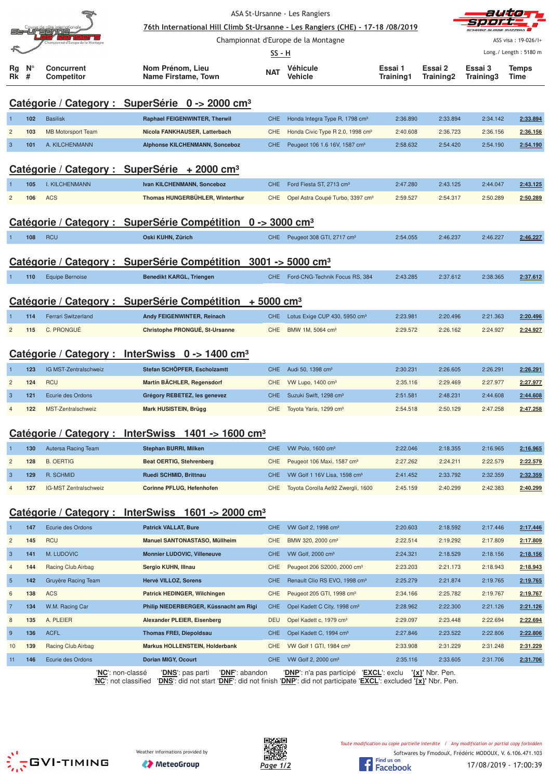|                |     |                                   | ASA St-Ursanne - Les Rangiers                                                  | auta       |                                              |           |           |           |                                |
|----------------|-----|-----------------------------------|--------------------------------------------------------------------------------|------------|----------------------------------------------|-----------|-----------|-----------|--------------------------------|
|                |     | e de côte internationa<br>EEEDQQQ | 76th International Hill Climb St-Ursanne - Les Rangiers (CHE) - 17-18 /08/2019 |            |                                              |           |           |           |                                |
|                |     | nat d'Europe de la                |                                                                                |            | Championnat d'Europe de la Montagne          |           |           |           | ASS visa: 19-026/I+            |
| Rg             | V.  | <b>Concurrent</b>                 | Nom Prénom, Lieu                                                               | SS - H     | Véhicule                                     | Essai 1   | Essai 2   | Essai 3   | Long./ Length: 5180 m<br>Temps |
| Rk             | #   | <b>Competitor</b>                 | Name Firstame, Town                                                            | NAT        | Vehicle                                      | Training1 | Training2 | Training3 | Time                           |
|                |     |                                   | Catégorie / Category : SuperSérie 0 -> 2000 cm <sup>3</sup>                    |            |                                              |           |           |           |                                |
|                | 102 | <b>Basilisk</b>                   | Raphael FEIGENWINTER, Therwil                                                  | <b>CHE</b> | Honda Integra Type R, 1798 cm <sup>3</sup>   | 2:36.890  | 2:33.894  | 2:34.142  | 2:33.894                       |
| $\overline{c}$ | 103 | <b>MB Motorsport Team</b>         | Nicola FANKHAUSER, Latterbach                                                  | CHE        | Honda Civic Type R 2.0, 1998 cm <sup>3</sup> | 2:40.608  | 2:36.723  | 2:36.156  | 2:36.156                       |
| $\overline{3}$ | 101 | A. KILCHENMANN                    | <b>Alphonse KILCHENMANN, Sonceboz</b>                                          | <b>CHE</b> | Peugeot 106 1.6 16V, 1587 cm <sup>3</sup>    | 2:58.632  | 2:54.420  | 2:54.190  | 2:54.190                       |
|                |     |                                   |                                                                                |            |                                              |           |           |           |                                |
|                |     |                                   | Catégorie / Category : SuperSérie + 2000 cm <sup>3</sup>                       |            |                                              |           |           |           |                                |
|                | 105 | <b>I. KILCHENMANN</b>             | Ivan KILCHENMANN, Sonceboz                                                     | <b>CHE</b> | Ford Fiesta ST, 2713 cm <sup>3</sup>         | 2:47.280  | 2:43.125  | 2:44.047  | 2:43.125                       |
| $\overline{c}$ | 106 | <b>ACS</b>                        | Thomas HUNGERBÜHLER, Winterthur                                                | <b>CHE</b> | Opel Astra Coupé Turbo, 3397 cm <sup>3</sup> | 2:59.527  | 2:54.317  | 2:50.289  | 2:50.289                       |
|                |     |                                   | Catégorie / Category : SuperSérie Compétition 0 -> 3000 cm <sup>3</sup>        |            |                                              |           |           |           |                                |
|                | 108 | <b>RCU</b>                        | Oski KUHN, Zürich                                                              |            | CHE Peugeot 308 GTI, 2717 cm <sup>3</sup>    | 2:54.055  | 2:46.237  | 2:46.227  | 2:46.227                       |
|                |     |                                   |                                                                                |            |                                              |           |           |           |                                |
|                |     |                                   | Catégorie / Category : SuperSérie Compétition 3001 -> 5000 cm <sup>3</sup>     |            |                                              |           |           |           |                                |
|                | 110 | <b>Equipe Bernoise</b>            | <b>Benedikt KARGL, Triengen</b>                                                | CHE        | Ford-CNG-Technik Focus RS, 384               | 2:43.285  | 2:37.612  | 2:38.365  | 2:37.612                       |
|                |     |                                   |                                                                                |            |                                              |           |           |           |                                |
|                |     |                                   | Catégorie / Category : SuperSérie Compétition + 5000 cm <sup>3</sup>           |            |                                              |           |           |           |                                |
|                | 114 | <b>Ferrari Switzerland</b>        | Andy FEIGENWINTER, Reinach                                                     | <b>CHE</b> | Lotus Exige CUP 430, 5950 cm <sup>3</sup>    | 2:23.981  | 2:20.496  | 2:21.363  | 2:20.496                       |
| $\overline{c}$ | 115 | C. PRONGUÉ                        | Christophe PRONGUÉ, St-Ursanne                                                 | <b>CHE</b> | BMW 1M, 5064 cm <sup>3</sup>                 | 2:29.572  | 2:26.162  | 2:24.927  | 2:24.927                       |
|                |     |                                   | Catégorie / Category : InterSwiss 0 -> 1400 cm <sup>3</sup>                    |            |                                              |           |           |           |                                |
|                | 123 | IG MST-Zentralschweiz             | Stefan SCHÖPFER, Escholzamtt                                                   | <b>CHE</b> | Audi 50, 1398 cm <sup>3</sup>                | 2:30.231  | 2:26.605  | 2:26.291  | 2:26.291                       |
| $\overline{c}$ | 124 | <b>RCU</b>                        | Martin BÄCHLER, Regensdorf                                                     | <b>CHE</b> | VW Lupo, 1400 cm <sup>3</sup>                | 2:35.116  | 2:29.469  | 2:27.977  | 2:27.977                       |
| $\overline{3}$ | 121 | Ecurie des Ordons                 | Grégory REBETEZ, les genevez                                                   | <b>CHE</b> | Suzuki Swift, 1298 cm <sup>3</sup>           | 2:51.581  | 2:48.231  | 2:44.608  | 2:44.608                       |
| $\overline{4}$ | 122 | MST-Zentralschweiz                | Mark HUSISTEIN, Brügg                                                          | <b>CHE</b> | Toyota Yaris, 1299 cm <sup>3</sup>           | 2:54.518  | 2:50.129  | 2:47.258  | 2:47.258                       |
|                |     |                                   |                                                                                |            |                                              |           |           |           |                                |
|                |     |                                   | Catégorie / Category : InterSwiss 1401 -> 1600 cm <sup>3</sup>                 |            |                                              |           |           |           |                                |
|                | 130 | Autersa Racing Team               | <b>Stephan BURRI, Milken</b>                                                   | <b>CHE</b> | VW Polo, 1600 cm <sup>3</sup>                | 2:22.046  | 2:18.355  | 2:16.965  | 2:16.965                       |
| $\overline{c}$ | 128 | <b>B. OERTIG</b>                  | <b>Beat OERTIG, Stehrenberg</b>                                                | CHE        | Peugeot 106 Maxi, 1587 cm <sup>3</sup>       | 2:27.262  | 2:24.211  | 2:22.579  | 2:22.579                       |
| $\mathbf{3}$   | 129 | R. SCHMID                         | Ruedi SCHMID, Brittnau                                                         | <b>CHE</b> | VW Golf 1 16V Lisa, 1598 cm <sup>3</sup>     | 2:41.452  | 2:33.792  | 2:32.359  | 2:32.359                       |
| $\overline{4}$ | 127 | IG-MST Zentralschweiz             | Corinne PFLUG, Hefenhofen                                                      | <b>CHE</b> | Toyota Corolla Ae92 Zwergli, 1600            | 2:45.159  | 2:40.299  | 2:42.383  | 2:40.299                       |
|                |     |                                   | Catégorie / Category : InterSwiss 1601 -> 2000 cm <sup>3</sup>                 |            |                                              |           |           |           |                                |
|                | 147 | Ecurie des Ordons                 | <b>Patrick VALLAT, Bure</b>                                                    | <b>CHE</b> | VW Golf 2, 1998 cm <sup>3</sup>              | 2:20.603  | 2:18.592  | 2:17.446  | 2:17.446                       |
| $\overline{c}$ | 145 | <b>RCU</b>                        | Manuel SANTONASTASO, Müllheim                                                  | <b>CHE</b> | BMW 320, 2000 cm <sup>3</sup>                | 2:22.514  | 2:19.292  | 2:17.809  | 2:17.809                       |
| $\mathbf{3}$   | 141 | M. LUDOVIC                        | <b>Monnier LUDOVIC, Villeneuve</b>                                             | <b>CHE</b> | VW Golf, 2000 cm <sup>3</sup>                | 2:24.321  | 2:18.529  | 2:18.156  | 2:18.156                       |
| $\overline{4}$ | 144 | Racing Club Airbag                | Sergio KUHN, Illnau                                                            | <b>CHE</b> | Peugeot 206 S2000, 2000 cm <sup>3</sup>      | 2:23.203  | 2:21.173  | 2:18.943  | 2:18.943                       |
| $\overline{5}$ | 142 | Gruyère Racing Team               | Hervé VILLOZ, Sorens                                                           | <b>CHE</b> | Renault Clio RS EVO, 1998 cm <sup>3</sup>    | 2:25.279  | 2:21.874  | 2:19.765  | 2:19.765                       |
| $\,6$          | 138 | <b>ACS</b>                        | Patrick HEDINGER, Wilchingen                                                   | <b>CHE</b> | Peugeot 205 GTI, 1998 cm <sup>3</sup>        | 2:34.166  | 2:25.782  | 2:19.767  | 2:19.767                       |
| $\overline{7}$ | 134 | W.M. Racing Car                   | Philip NIEDERBERGER, Küssnacht am Rigi                                         | <b>CHE</b> | Opel Kadett C City, 1998 cm <sup>3</sup>     | 2:28.962  | 2:22.300  | 2:21.126  | 2:21.126                       |
| 8              | 135 | A. PLEIER                         | Alexander PLEIER, Eisenberg                                                    | <b>DEU</b> | Opel Kadett c, 1979 cm <sup>3</sup>          | 2:29.097  | 2:23.448  | 2:22.694  | 2:22.694                       |
| 9              | 136 | <b>ACFL</b>                       | <b>Thomas FREI, Diepoldsau</b>                                                 | <b>CHE</b> | Opel Kadett C, 1994 cm <sup>3</sup>          | 2:27.846  | 2:23.522  | 2:22.806  | 2:22.806                       |
| 10             | 139 | Racing Club Airbag                | <b>Markus HOLLENSTEIN, Holderbank</b>                                          | <b>CHE</b> | VW Golf 1 GTI, 1984 cm <sup>3</sup>          | 2:33.908  | 2:31.229  | 2:31.248  | 2:31.229                       |

'**NC**': non-classé '**DNS**': pas parti '**DNF**': abandon '**DNP**': n'a pas participé '**EXCL**': exclu **'{x}'** Nbr. Pen.

'**NC**': not classified '**DNS**': did not start '**DNF**': did not finish '**DNP**': did not participate '**EXCL**': excluded **'{x}'** Nbr. Pen.

11 **146** Ecurie des Ordons **Dorian MIGY, Ocourt** CHE VW Golf 2, 2000 cm³ 2:35.116 2:33.605 2:31.706 **2:31.706**





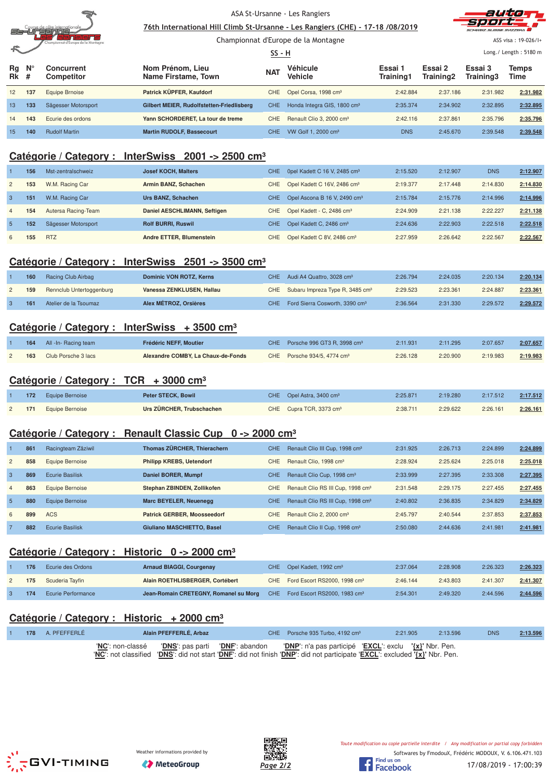

Championnat d'Europe de la Montagne





ASS visa : 19-026/I+

|                   |             |                                 |                                           |            | <u>SS - H</u>                           |                      | Long./ Length: 5180 m |                      |               |
|-------------------|-------------|---------------------------------|-------------------------------------------|------------|-----------------------------------------|----------------------|-----------------------|----------------------|---------------|
| Rq<br><b>Rk</b> # | $N^{\circ}$ | Concurrent<br><b>Competitor</b> | Nom Prénom, Lieu<br>Name Firstame, Town   | <b>NAT</b> | Véhicule<br>Vehicle                     | Essai 1<br>Training1 | Essai 2<br>Training2  | Essai 3<br>Training3 | Temps<br>Time |
| 12                | 137         | Equipe Brnoise                  | Patrick KÜPFER, Kaufdorf                  |            | CHE Opel Corsa, 1998 cm <sup>3</sup>    | 2:42.884             | 2:37.186              | 2:31.982             | 2:31.982      |
| 13                | 133         | Sägesser Motorsport             | Gilbert MEIER, Rudolfstetten-Friedlisberg | <b>CHE</b> | Honda Integra GIS, 1800 cm <sup>3</sup> | 2:35.374             | 2:34.902              | 2:32.895             | 2:32.895      |
| 14                | 143         | Ecurie des ordons               | Yann SCHORDERET. La tour de treme         | CHE.       | Renault Clio 3, 2000 cm <sup>3</sup>    | 2:42.116             | 2:37.861              | 2:35.796             | 2:35.796      |
| 15                | 140         | <b>Rudolf Martin</b>            | <b>Martin RUDOLF, Bassecourt</b>          | CHE.       | VW Golf 1, 2000 cm <sup>3</sup>         | <b>DNS</b>           | 2:45.670              | 2:39.548             | 2:39.548      |

## **Catégorie / Category : InterSwiss 2001 -> 2500 cm³**

|                | 156 | Mst-zentralschweiz  | <b>Josef KOCH, Malters</b>   | CHE.             | Opel Kadett C 16 V, 2485 cm <sup>3</sup> | 2:15.520 | 2:12.907 | <b>DNS</b> | 2:12.907 |
|----------------|-----|---------------------|------------------------------|------------------|------------------------------------------|----------|----------|------------|----------|
| $\overline{2}$ | 153 | W.M. Racing Car     | Armin BANZ, Schachen         | CHE.             | Opel Kadett C 16V, 2486 cm <sup>3</sup>  | 2:19.377 | 2:17.448 | 2:14.830   | 2:14.830 |
| $\mathcal{S}$  | 151 | W.M. Racing Car     | Urs BANZ, Schachen           | CHE.             | Opel Ascona B 16 V, 2490 cm <sup>3</sup> | 2:15.784 | 2:15.776 | 2:14.996   | 2:14.996 |
| $\overline{4}$ | 154 | Autersa Racing-Team | Daniel AESCHLIMANN, Seftigen | CHE              | Opel Kadett - C, 2486 cm <sup>3</sup>    | 2:24.909 | 2:21.138 | 2:22.227   | 2:21.138 |
| -5             | 152 | Sägesser Motorsport | <b>Rolf BURRI, Ruswil</b>    | CHE <sup>1</sup> | Opel Kadett C, 2486 cm <sup>3</sup>      | 2:24.636 | 2:22.903 | 2:22.518   | 2:22.518 |
| 6              | 155 | <b>RTZ</b>          | Andre ETTER, Blumenstein     | CHE.             | Opel Kadett C 8V, 2486 cm <sup>3</sup>   | 2:27.959 | 2:26.642 | 2:22.567   | 2:22.567 |

## **Catégorie / Category : InterSwiss 2501 -> 3500 cm³**

| 160 | Racing Club Airbag       | Dominic VON ROTZ, Kerns   | CHE Audi A4 Quattro, 3028 cm <sup>3</sup>       | 2:26.794 | 2:24.035 | 2:20.134 | 2:20.134 |
|-----|--------------------------|---------------------------|-------------------------------------------------|----------|----------|----------|----------|
| 159 | Rennclub Untertoggenburg | Vanessa ZENKLUSEN, Hallau | CHE Subaru Impreza Type R, 3485 cm <sup>3</sup> | 2:29.523 | 2:23.361 | 2:24.887 | 2:23.361 |
| 161 | Atelier de la Tsoumaz    | Alex MÉTROZ, Orsières     | CHE Ford Sierra Cosworth, 3390 cm <sup>3</sup>  | 2:36.564 | 2:31.330 | 2:29.572 | 2:29.572 |

## **Catégorie / Category : InterSwiss + 3500 cm³**

| 164 | All -In- Racing team | Frédéric NEFF, Moutier             | CHE Porsche 996 GT3 R, 3998 cm <sup>3</sup> | 2:11.931 | 2:11.295 | 2:07.657 | 2:07.657 |
|-----|----------------------|------------------------------------|---------------------------------------------|----------|----------|----------|----------|
| 163 | Club Porsche 3 lacs  | Alexandre COMBY, La Chaux-de-Fonds | CHE Porsche 934/5, 4774 cm <sup>3</sup>     | 2:26.128 | 2:20.900 | 2:19.983 | 2:19.983 |

## **Catégorie / Category : TCR + 3000 cm³**

|  | 172 Equipe Bernoise | Peter STECK, Bowil        | CHE Opel Astra, 3400 cm <sup>3</sup> | 2:25.871 | 2:19.280 | 2:17.512 | 2:17.512 |
|--|---------------------|---------------------------|--------------------------------------|----------|----------|----------|----------|
|  | 171 Equipe Bernoise | Urs ZÜRCHER, Trubschachen | CHE Cupra TCR, 3373 cm <sup>3</sup>  | 2:38.711 | 2:29.622 | 2:26.161 | 2:26.161 |

## **Catégorie / Category : Renault Classic Cup 0 -> 2000 cm³**

|                | 861 | Racingteam Zäziwil     | Thomas ZÜRCHER, Thierachern        | <b>CHE</b> | Renault Clio III Cup, 1998 cm <sup>3</sup>    | 2:31.925 | 2:26.713 | 2:24.899 | 2:24.899 |
|----------------|-----|------------------------|------------------------------------|------------|-----------------------------------------------|----------|----------|----------|----------|
| $\overline{2}$ | 858 | Equipe Bernoise        | <b>Philipp KREBS, Uetendorf</b>    | CHE        | Renault Clio, 1998 cm <sup>3</sup>            | 2:28.924 | 2:25.624 | 2:25.018 | 2:25.018 |
| 3              | 869 | Ecurie Basilisk        | Daniel BORER, Mumpf                | <b>CHE</b> | Renault Clio Cup, 1998 cm <sup>3</sup>        | 2:33.999 | 2:27.395 | 2:33.308 | 2:27.395 |
| $\overline{4}$ | 863 | Equipe Bernoise        | Stephan ZBINDEN, Zollikofen        | CHE        | Renault Clio RS III Cup, 1998 cm <sup>3</sup> | 2:31.548 | 2:29.175 | 2:27.455 | 2:27.455 |
| 5              | 880 | Equipe Bernoise        | Marc BEYELER, Neuenegg             | <b>CHE</b> | Renault Clio RS III Cup, 1998 cm <sup>3</sup> | 2:40.802 | 2:36.835 | 2:34.829 | 2:34.829 |
| 6              | 899 | <b>ACS</b>             | <b>Patrick GERBER, Moosseedorf</b> | CHE        | Renault Clio 2, 2000 cm <sup>3</sup>          | 2:45.797 | 2:40.544 | 2:37.853 | 2:37.853 |
|                | 882 | <b>Ecurie Basilisk</b> | Giuliano MASCHIETTO, Basel         | <b>CHE</b> | Renault Clio II Cup, 1998 cm <sup>3</sup>     | 2:50.080 | 2:44.636 | 2:41.981 | 2:41.981 |

## **Catégorie / Category : Historic 0 -> 2000 cm³**

| 176 | Ecurie des Ordons         | Arnaud BIAGGI, Courgenay                                                           | CHE Opel Kadett, 1992 cm <sup>3</sup>        | 2:37.064 | 2:28.908 | 2:26.323 | 2:26.323 |
|-----|---------------------------|------------------------------------------------------------------------------------|----------------------------------------------|----------|----------|----------|----------|
| 175 | Scuderia Tayfin           | Alain ROETHLISBERGER, Cortébert                                                    | CHE Ford Escort RS2000, 1998 cm <sup>3</sup> | 2:46.144 | 2:43.803 | 2:41.307 | 2:41.307 |
| 174 | <b>Ecurie Performance</b> | Jean-Romain CRETEGNY, Romanel su Morg CHE Ford Escort RS2000, 1983 cm <sup>3</sup> |                                              | 2:54.301 | 2:49.320 | 2:44.596 | 2:44.596 |

## **Catégorie / Category : Historic + 2000 cm³**

|  | 178 A. PFEFFERLE | Alain PFEFFERLÉ, Arbaz |  | CHE Porsche 935 Turbo, $4192 \text{ cm}^3$                                                                                                                                                                                                | 2:21.905 | 2:13.596 | <b>DNS</b> | 2:13.596 |
|--|------------------|------------------------|--|-------------------------------------------------------------------------------------------------------------------------------------------------------------------------------------------------------------------------------------------|----------|----------|------------|----------|
|  |                  |                        |  | 'NC': non-classé  'DNS': pas parti  'DNF': abandon  'DNP': n'a pas participé 'EXCL': exclu '{x}' Nbr. Pen.<br>'NC': not classified 'DNS': did not start 'DNF': did not finish 'DNP': did not participate 'EXCL': excluded '{x}' Nbr. Pen. |          |          |            |          |





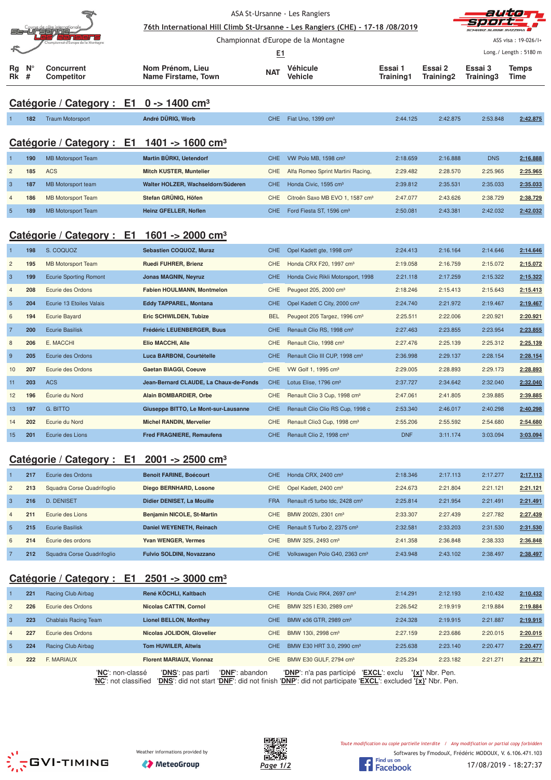|                 |                  |                                                                | 76th International Hill Climb St-Ursanne - Les Rangiers (CHE) - 17-18 /08/2019 |            | ASA St-Ursanne - Les Rangiers               |                      |                      |                      |                       |
|-----------------|------------------|----------------------------------------------------------------|--------------------------------------------------------------------------------|------------|---------------------------------------------|----------------------|----------------------|----------------------|-----------------------|
|                 |                  | at d'Europe de la M                                            |                                                                                |            | Championnat d'Europe de la Montagne         |                      |                      |                      | ASS visa: 19-026/I+   |
|                 |                  |                                                                |                                                                                | <u>E1</u>  |                                             |                      |                      |                      | Long./ Length: 5180 m |
| Rg<br>Rk        | $N^{\circ}$<br># | <b>Concurrent</b><br><b>Competitor</b>                         | Nom Prénom, Lieu<br><b>Name Firstame, Town</b>                                 | <b>NAT</b> | Véhicule<br><b>Vehicle</b>                  | Essai 1<br>Training1 | Essai 2<br>Training2 | Essai 3<br>Training3 | <b>Temps</b><br>Time  |
|                 |                  | Catégorie / Category : $E1 \t 0 \rightarrow 1400 \text{ cm}^3$ |                                                                                |            |                                             |                      |                      |                      |                       |
|                 | 182              | <b>Traum Motorsport</b>                                        | André DÜRIG, Worb                                                              | <b>CHE</b> | Fiat Uno, 1399 cm <sup>3</sup>              | 2:44.125             | 2:42.875             | 2:53.848             | 2:42.875              |
|                 |                  |                                                                | Catégorie / Category : E1 1401 -> 1600 cm <sup>3</sup>                         |            |                                             |                      |                      |                      |                       |
|                 | 190              | <b>MB Motorsport Team</b>                                      | Martin BÜRKI, Uetendorf                                                        | <b>CHE</b> | VW Polo MB, 1598 cm <sup>3</sup>            | 2:18.659             | 2:16.888             | <b>DNS</b>           | 2:16.888              |
| $\overline{c}$  | 185              | <b>ACS</b>                                                     | <b>Mitch KUSTER, Muntelier</b>                                                 | CHE        | Alfa Romeo Sprint Martini Racing,           | 2:29.482             | 2:28.570             | 2:25.965             | 2:25.965              |
| $\mathbf{3}$    | 187              | MB Motorsport team                                             | Walter HOLZER, Wachseldorn/Süderen                                             | <b>CHE</b> | Honda Civic, 1595 cm <sup>3</sup>           | 2:39.812             | 2:35.531             | 2:35.033             | 2:35.033              |
| $\overline{4}$  | 186              | <b>MB Motorsport Team</b>                                      | Stefan GRÜNIG, Höfen                                                           | CHE        | Citroën Saxo MB EVO 1, 1587 cm <sup>3</sup> | 2:47.077             | 2:43.626             | 2:38.729             | 2:38.729              |
| $\overline{5}$  | 189              | <b>MB Motorsport Team</b>                                      | Heinz GFELLER, Noflen                                                          | <b>CHE</b> | Ford Fiesta ST, 1596 cm <sup>3</sup>        | 2:50.081             | 2:43.381             | 2:42.032             | 2:42.032              |
|                 |                  |                                                                | Catégorie / Category : E1 1601 -> 2000 cm <sup>3</sup>                         |            |                                             |                      |                      |                      |                       |
| $\overline{1}$  | 198              | S. COQUOZ                                                      | Sebastien COQUOZ, Muraz                                                        | <b>CHE</b> | Opel Kadett gte, 1998 cm <sup>3</sup>       | 2:24.413             | 2:16.164             | 2:14.646             | 2:14.646              |
| $\overline{c}$  | 195              | <b>MB Motorsport Team</b>                                      | Ruedi FUHRER, Brienz                                                           | <b>CHE</b> | Honda CRX F20, 1997 cm <sup>3</sup>         | 2:19.058             | 2:16.759             | 2:15.072             | 2:15.072              |
| 3               | 199              | <b>Ecurie Sporting Romont</b>                                  | <b>Jonas MAGNIN, Neyruz</b>                                                    | CHE        | Honda Civic Rikli Motorsport, 1998          | 2:21.118             | 2:17.259             | 2:15.322             | 2:15.322              |
| $\overline{4}$  | 208              | Ecurie des Ordons                                              | Fabien HOULMANN, Montmelon                                                     | <b>CHE</b> | Peugeot 205, 2000 cm <sup>3</sup>           | 2:18.246             | 2:15.413             | 2:15.643             | 2:15.413              |
| $5\phantom{.0}$ | 204              | Ecurie 13 Etoiles Valais                                       | <b>Eddy TAPPAREL, Montana</b>                                                  | <b>CHE</b> | Opel Kadett C City, 2000 cm <sup>3</sup>    | 2:24.740             | 2:21.972             | 2:19.467             | 2:19.467              |
| $6\phantom{1}6$ | 194              | <b>Ecurie Bayard</b>                                           | Eric SCHWILDEN, Tubize                                                         | <b>BEL</b> | Peugeot 205 Targez, 1996 cm <sup>3</sup>    | 2:25.511             | 2:22.006             | 2:20.921             | 2:20.921              |
| $\overline{7}$  | 200              | <b>Ecurie Basilisk</b>                                         | Frédéric LEUENBERGER, Buus                                                     | <b>CHE</b> | Renault Clio RS, 1998 cm <sup>3</sup>       | 2:27.463             | 2:23.855             | 2:23.954             | 2:23.855              |
| 8               | 206              | E. MACCHI                                                      | Elio MACCHI, Alle                                                              | CHE        | Renault Clio, 1998 cm <sup>3</sup>          | 2:27.476             | 2:25.139             | 2:25.312             | 2:25.139              |
| 9               | 205              | Ecurie des Ordons                                              | Luca BARBONI, Courtételle                                                      | <b>CHE</b> | Renault Clio III CUP, 1998 cm <sup>3</sup>  | 2:36.998             | 2:29.137             | 2:28.154             | 2:28.154              |
| 10              | 207              | Ecurie des Ordons                                              | <b>Gaetan BIAGGI, Coeuve</b>                                                   | <b>CHE</b> | VW Golf 1, 1995 cm <sup>3</sup>             | 2:29.005             | 2:28.893             | 2:29.173             | 2:28.893              |
| 11              | 203              | <b>ACS</b>                                                     | Jean-Bernard CLAUDE, La Chaux-de-Fonds                                         | <b>CHE</b> | Lotus Elise, 1796 cm <sup>3</sup>           | 2:37.727             | 2:34.642             | 2:32.040             | 2:32.040              |
| 12              | 196              | Écurie du Nord                                                 | Alain BOMBARDIER, Orbe                                                         | CHE        | Renault Clio 3 Cup, 1998 cm <sup>3</sup>    | 2:47.061             | 2:41.805             | 2:39.885             | 2:39.885              |
| 13              | 197              | <b>G. BITTO</b>                                                | Giuseppe BITTO, Le Mont-sur-Lausanne                                           | <b>CHE</b> | Renault Clio Clio RS Cup, 1998 c            | 2:53.340             | 2:46.017             | 2:40.298             | 2:40.298              |
| 14              | 202              | Ecurie du Nord                                                 | <b>Michel RANDIN, Mervelier</b>                                                | CHE        | Renault Clio3 Cup, 1998 cm <sup>3</sup>     | 2:55.206             | 2:55.592             | 2:54.680             | 2:54.680              |
| 15              | 201              | Ecurie des Lions                                               | <b>Fred FRAGNIERE, Remaufens</b>                                               | <b>CHE</b> | Renault Clio 2, 1998 cm <sup>3</sup>        | <b>DNF</b>           | 3:11.174             | 3:03.094             | 3:03.094              |
|                 |                  |                                                                | Catégorie / Category : E1 2001 -> 2500 cm <sup>3</sup>                         |            |                                             |                      |                      |                      |                       |

# 1 **217** Ecurie des Ordons **Benoit FARINE, Boécourt** CHE Honda CRX, 2400 cm³ 2:18.346 2:17.113 2:17.277 **2:17.113** 2 **213** Squadra Corse Quadrifoglio **Diego BERNHARD, Losone** CHE Opel Kadett, 2400 cm³ 2:24.673 2:21.804 2:21.121 **2:21.121** 3 **216** D. DENISET **Didier DENISET, La Mouille** FRA Renault r5 turbo tdc, 2428 cm³ 2:25.814 2:21.954 2:21.491 **2:21.491** 4 **211** Ecurie des Lions **Benjamin NICOLE, St-Martin** CHE BMW 2002ti, 2301 cm³ 2:33.307 2:27.439 2:27.782 **2:27.439** 5 **215** Ecurie Basilisk **Daniel WEYENETH, Reinach** CHE Renault 5 Turbo 2, 2375 cm³ 2:32.581 2:33.203 2:31.530 **2:31.530**

# **Catégorie / Category : E1 2501 -> 3000 cm³**

|                | 221 | Racing Club Airbag   | René KÖCHLI, Kaltbach           | CHE.           | Honda Civic RK4, 2697 cm <sup>3</sup> | 2:14.291                             | 2:12.193 | 2:10.432 | 2:10.432 |
|----------------|-----|----------------------|---------------------------------|----------------|---------------------------------------|--------------------------------------|----------|----------|----------|
| 2              | 226 | Ecurie des Ordons    | Nicolas CATTIN, Cornol          | CHE.           | BMW 325   E30, 2989 cm <sup>3</sup>   | 2:26.542                             | 2:19.919 | 2:19.884 | 2:19.884 |
| $\mathcal{S}$  | 223 | Chablais Racing Team | <b>Lionel BELLON, Monthey</b>   | CHE.           | BMW e36 GTR, 2989 cm <sup>3</sup>     | 2:24.328                             | 2:19.915 | 2:21.887 | 2:19.915 |
| $\overline{4}$ | 227 | Ecurie des Ordons    | Nicolas JOLIDON, Glovelier      | CHE.           | BMW 130i, 2998 cm <sup>3</sup>        | 2:27.159                             | 2:23.686 | 2:20.015 | 2:20.015 |
| -5             | 224 | Racing Club Airbag   | <b>Tom HUWILER, Altwis</b>      | CHE.           | BMW E30 HRT 3.0, 2990 cm <sup>3</sup> | 2:25.638                             | 2:23.140 | 2:20.477 | 2:20.477 |
| 6              | 222 | F. MARIAUX           | <b>Florent MARIAUX, Vionnaz</b> | CHE.           | BMW E30 GULF, 2794 cm <sup>3</sup>    | 2:25.234                             | 2:23.182 | 2:21.271 | 2:21.271 |
|                |     | 'NC': non-classé     | 'DNS': pas parti                | 'DNF': abandon | 'DNP': n'a pas participé              | 'EXCL': exclu<br>$\{x\}$ ' Nbr. Pen. |          |          |          |

6 **214** Écurie des ordons **Yvan WENGER, Vermes** CHE BMW 325i, 2493 cm³ 2:41.358 2:36.848 2:38.333 **2:36.848** 7 **212** Squadra Corse Quadrifoglio **Fulvio SOLDINI, Novazzano** CHE Volkswagen Polo G40, 2363 cm³ 2:43.948 2:43.102 2:38.497 **2:38.497**

'**NC**': not classified '**DNS**': did not start '**DNF**': did not finish '**DNP**': did not participate '**EXCL**': excluded **'{x}'** Nbr. Pen.







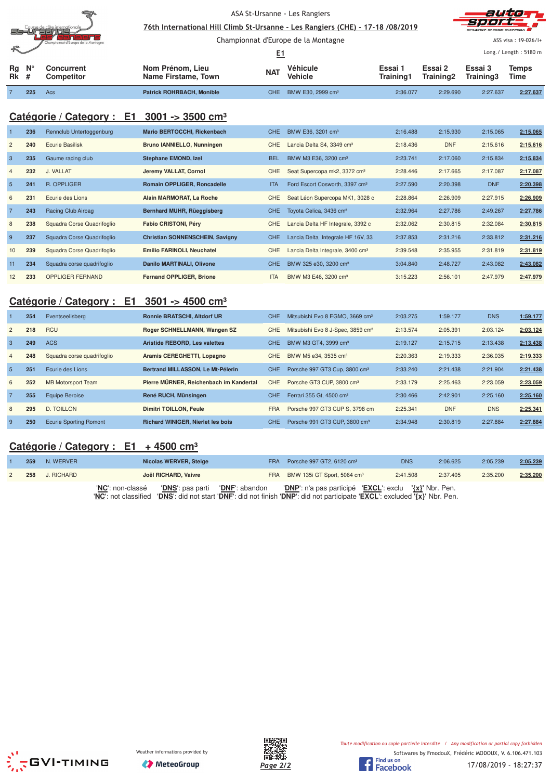| ASA St-Ursanne - Les Rangiers<br>76th International Hill Climb St-Ursanne - Les Rangiers (CHE) - 17-18 /08/2019<br>se de <u>côte internat</u> ionale<br>staininie, |                  |                                                 |                                                                     |            |                                                  |                      |                      |                      | auta                  |
|--------------------------------------------------------------------------------------------------------------------------------------------------------------------|------------------|-------------------------------------------------|---------------------------------------------------------------------|------------|--------------------------------------------------|----------------------|----------------------|----------------------|-----------------------|
|                                                                                                                                                                    |                  | hampionnat d'Europe de la Montagne              |                                                                     |            | Championnat d'Europe de la Montagne              |                      |                      |                      | ASS visa: 19-026/l+   |
|                                                                                                                                                                    |                  |                                                 |                                                                     | <u>E1</u>  |                                                  |                      |                      |                      | Long./ Length: 5180 m |
| Rg<br>Rk                                                                                                                                                           | $N^{\circ}$<br># | <b>Concurrent</b><br><b>Competitor</b>          | Nom Prénom, Lieu<br>Name Firstame, Town                             | <b>NAT</b> | Véhicule<br>Vehicle                              | Essai 1<br>Training1 | Essai 2<br>Training2 | Essai 3<br>Training3 | <b>Temps</b><br>Time  |
|                                                                                                                                                                    | 225              | Acs                                             | <b>Patrick ROHRBACH, Monible</b>                                    | <b>CHE</b> | BMW E30, 2999 cm <sup>3</sup>                    | 2:36.077             | 2:29.690             | 2:27.637             | 2:27.637              |
|                                                                                                                                                                    |                  | Catégorie / Category : E1                       | $3001 - 3500$ cm <sup>3</sup>                                       |            |                                                  |                      |                      |                      |                       |
|                                                                                                                                                                    | 236              | Rennclub Untertoggenburg                        | Mario BERTOCCHI, Rickenbach                                         | <b>CHE</b> | BMW E36, 3201 cm <sup>3</sup>                    | 2:16.488             | 2:15.930             | 2:15.065             | 2:15.065              |
| $\overline{2}$                                                                                                                                                     | 240              | <b>Ecurie Basilisk</b>                          | Bruno IANNIELLO, Nunningen                                          | <b>CHE</b> | Lancia Delta S4, 3349 cm <sup>3</sup>            | 2:18.436             | <b>DNF</b>           | 2:15.616             | 2:15.616              |
| 3                                                                                                                                                                  | 235              | Gaume racing club                               | Stephane EMOND, Izel                                                | <b>BEL</b> | BMW M3 E36, 3200 cm <sup>3</sup>                 | 2:23.741             | 2:17.060             | 2:15.834             | 2:15.834              |
|                                                                                                                                                                    | 232              | J. VALLAT                                       | Jeremy VALLAT, Cornol                                               | <b>CHE</b> | Seat Supercopa mk2, 3372 cm <sup>3</sup>         | 2:28.446             | 2:17.665             | 2:17.087             | 2:17.087              |
| 5                                                                                                                                                                  | 241              | R. OPPLIGER                                     | Romain OPPLIGER, Roncadelle                                         | <b>ITA</b> | Ford Escort Cosworth, 3397 cm <sup>3</sup>       | 2:27.590             | 2:20.398             | <b>DNF</b>           | 2:20.398              |
|                                                                                                                                                                    | 231              | Ecurie des Lions                                | Alain MARMORAT, La Roche                                            | CHE        | Seat Léon Supercopa MK1, 3028 c                  | 2:28.864             | 2:26.909             | 2:27.915             | 2:26.909              |
| 7                                                                                                                                                                  | 243              | Racing Club Airbag                              | Bernhard MUHR, Rüeggisberg                                          | <b>CHE</b> | Toyota Celica, 3436 cm <sup>3</sup>              | 2:32.964             | 2:27.786             | 2:49.267             | 2:27.786              |
|                                                                                                                                                                    | 238              | Squadra Corse Quadrifoglio                      | Fabio CRISTONI, Péry                                                | <b>CHE</b> | Lancia Delta HF Integrale, 3392 c                | 2:32.062             | 2:30.815             | 2:32.084             | 2:30.815              |
| 9                                                                                                                                                                  | 237              | Squadra Corse Quadrifoglio                      | <b>Christian SONNENSCHEIN, Savigny</b>                              | <b>CHE</b> | Lancia Delta Integrale HF 16V, 33                | 2:37.853             | 2:31.216             | 2:33.812             | 2:31.216              |
| 10                                                                                                                                                                 | 239              | Squadra Corse Quadrifoglio                      | Emilio FARINOLI, Neuchatel                                          | <b>CHE</b> | Lancia Delta Integrale, 3400 cm <sup>3</sup>     | 2:39.548             | 2:35.955             | 2:31.819             | 2:31.819              |
| 11                                                                                                                                                                 | 234              | Squadra corse quadrifoglio                      | <b>Danilo MARTINALI, Olivone</b>                                    | <b>CHE</b> | BMW 325 e30, 3200 cm <sup>3</sup>                | 3:04.840             | 2:48.727             | 2:43.082             | 2:43.082              |
| 12                                                                                                                                                                 | 233              | <b>OPPLIGER FERNAND</b>                         | Fernand OPPLIGER, Brione                                            | <b>ITA</b> | BMW M3 E46, 3200 cm <sup>3</sup>                 | 3:15.223             | 2:56.101             | 2:47.979             | 2:47.979              |
|                                                                                                                                                                    | 95A              | Catégorie / Category :<br>E1<br>Eventegelichera | $3501 - 4500$ cm <sup>3</sup><br><b>Ronnie RRATSCHL Altdorf LIR</b> |            | $CHF$ Mitcubichi Evo 8 EGMO 3669 cm <sup>3</sup> | 9.03.275             | $1.59$ 177           | <b>DNR</b>           | 1.50177               |

|                | 254 | Eventseelisberg               | <b>Ronnie BRATSCHI, Altdorf UR</b>       | CHE.       | Mitsubishi Evo 8 EGMO, 3669 cm <sup>3</sup>   | 2:03.275 | 1:59.177   | <b>DNS</b> | 1:59.177 |
|----------------|-----|-------------------------------|------------------------------------------|------------|-----------------------------------------------|----------|------------|------------|----------|
| $\overline{2}$ | 218 | <b>RCU</b>                    | Roger SCHNELLMANN, Wangen SZ             | <b>CHE</b> | Mitsubishi Evo 8 J-Spec, 3859 cm <sup>3</sup> | 2:13.574 | 2:05.391   | 2:03.124   | 2:03.124 |
| 3              | 249 | <b>ACS</b>                    | <b>Aristide REBORD, Les valettes</b>     | CHE.       | BMW M3 GT4, 3999 cm <sup>3</sup>              | 2:19.127 | 2:15.715   | 2:13.438   | 2:13.438 |
| $\overline{4}$ | 248 | Squadra corse quadrifoglio    | Aramis CEREGHETTI, Lopagno               | CHE.       | BMW M5 e34, 3535 cm <sup>3</sup>              | 2:20.363 | 2:19.333   | 2:36.035   | 2:19.333 |
| 5              | 251 | Ecurie des Lions              | Bertrand MILLASSON, Le Mt-Pélerin        | CHE.       | Porsche 997 GT3 Cup, 3800 cm <sup>3</sup>     | 2:33.240 | 2:21.438   | 2:21.904   | 2:21.438 |
| 6              | 252 | MB Motorsport Team            | Pierre MÜRNER, Reichenbach im Kandertal  | CHE.       | Porsche GT3 CUP, 3800 cm <sup>3</sup>         | 2:33.179 | 2:25.463   | 2:23.059   | 2:23.059 |
|                | 255 | <b>Equipe Beroise</b>         | René RUCH, Münsingen                     | <b>CHE</b> | Ferrari 355 Gt. 4500 cm <sup>3</sup>          | 2:30.466 | 2:42.901   | 2:25.160   | 2:25.160 |
| 8              | 295 | <b>D. TOILLON</b>             | Dimitri TOILLON, Feule                   | <b>FRA</b> | Porsche 997 GT3 CUP S, 3798 cm                | 2:25.341 | <b>DNF</b> | <b>DNS</b> | 2:25.341 |
| -9             | 250 | <b>Ecurie Sporting Romont</b> | <b>Richard WINIGER, Nierlet les bois</b> | CHE.       | Porsche 991 GT3 CUP, 3800 cm <sup>3</sup>     | 2:34.948 | 2:30.819   | 2:27.884   | 2:27.884 |

# Catégorie / Category : E1 + 4500 cm<sup>3</sup>

| 259 | N. WERVER      | Nicolas WERVER, Steige                                                      |            | FRA Porsche 997 GT2, 6120 cm <sup>3</sup>                                                                                                                                 | <b>DNS</b> | 2:06.625 | 2:05.239 | 2:05.239 |
|-----|----------------|-----------------------------------------------------------------------------|------------|---------------------------------------------------------------------------------------------------------------------------------------------------------------------------|------------|----------|----------|----------|
|     | 258 J. RICHARD | Joël RICHARD, Vaivre                                                        | <b>FRA</b> | BMW 135i GT Sport, 5064 cm <sup>3</sup>                                                                                                                                   | 2:41.508   | 2:37.405 | 2:35.200 | 2:35.200 |
|     |                | 'DNS': pas parti 'DNF': abandon<br>'NC': non-classé<br>'NC': not classified |            | ' <b>DNP</b> ': n'a pas participé 'EXCL': exclu '{x}' Nbr. Pen.<br>'DNS': did not start 'DNF': did not finish 'DNP': did not participate 'EXCL': excluded '{x}' Nbr. Pen. |            |          |          |          |





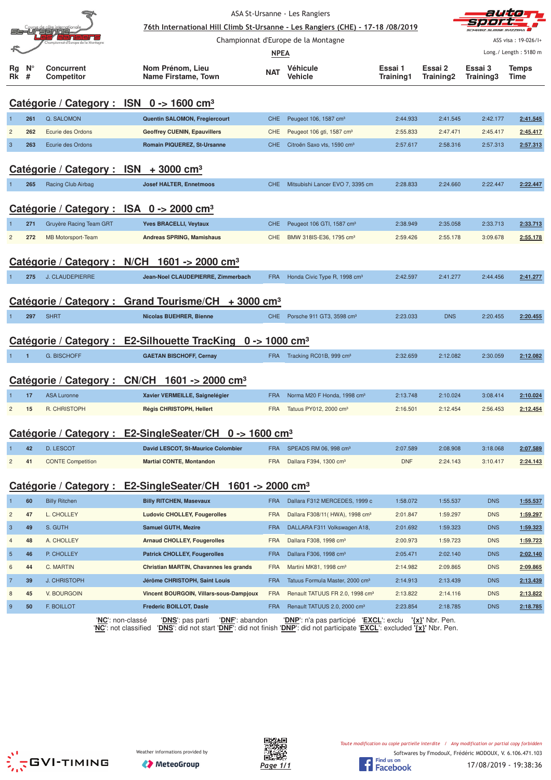|                         |                  |                                                      | 76th International Hill Climb St-Ursanne - Les Rangiers (CHE) - 17-18 /08/2019                                                                        |             | ASA St-Ursanne - Les Rangiers               |                      |                      | auta                 |                       |
|-------------------------|------------------|------------------------------------------------------|-------------------------------------------------------------------------------------------------------------------------------------------------------|-------------|---------------------------------------------|----------------------|----------------------|----------------------|-----------------------|
|                         |                  | Sanble                                               |                                                                                                                                                       |             | Championnat d'Europe de la Montagne         |                      |                      |                      | ASS visa: 19-026/I+   |
|                         |                  |                                                      |                                                                                                                                                       | <b>NPEA</b> |                                             |                      |                      |                      | Long./ Length: 5180 m |
| Rg<br>Rk                | $N_{\circ}$<br># | Concurrent<br>Competitor                             | Nom Prénom, Lieu<br>Name Firstame, Town                                                                                                               | <b>NAT</b>  | Véhicule<br>Vehicle                         | Essai 1<br>Training1 | Essai 2<br>Training2 | Essai 3<br>Training3 | <b>Temps</b><br>Time  |
|                         |                  | Catégorie / Category : ISN 0 -> 1600 cm <sup>3</sup> |                                                                                                                                                       |             |                                             |                      |                      |                      |                       |
| -1                      | 261              | Q. SALOMON                                           | Quentin SALOMON, Fregiercourt                                                                                                                         | <b>CHE</b>  | Peugeot 106, 1587 cm <sup>3</sup>           | 2:44.933             | 2:41.545             | 2:42.177             | 2:41.545              |
| $\overline{c}$          | 262              | Ecurie des Ordons                                    | <b>Geoffrey CUENIN, Epauvillers</b>                                                                                                                   | CHE         | Peugeot 106 gti, 1587 cm <sup>3</sup>       | 2:55.833             | 2:47.471             | 2:45.417             | 2:45.417              |
| 3                       | 263              | Ecurie des Ordons                                    | Romain PIQUEREZ, St-Ursanne                                                                                                                           | <b>CHE</b>  | Citroën Saxo vts, 1590 cm <sup>3</sup>      | 2:57.617             | 2:58.316             | 2:57.313             | 2:57.313              |
|                         |                  | Catégorie / Category : $ISN + 3000$ cm <sup>3</sup>  |                                                                                                                                                       |             |                                             |                      |                      |                      |                       |
|                         | 265              | Racing Club Airbag                                   | <b>Josef HALTER, Ennetmoos</b>                                                                                                                        | <b>CHE</b>  | Mitsubishi Lancer EVO 7, 3395 cm            | 2:28.833             | 2:24.660             | 2:22.447             | 2:22.447              |
|                         |                  | Catégorie / Category : ISA 0 -> 2000 cm <sup>3</sup> |                                                                                                                                                       |             |                                             |                      |                      |                      |                       |
|                         | 271              | Gruyère Racing Team GRT                              | <b>Yves BRACELLI, Veytaux</b>                                                                                                                         | <b>CHE</b>  | Peugeot 106 GTI, 1587 cm <sup>3</sup>       | 2:38.949             | 2:35.058             | 2:33.713             | 2:33.713              |
| $\overline{c}$          | 272              | <b>MB Motorsport-Team</b>                            | Andreas SPRING, Mamishaus                                                                                                                             | CHE         | BMW 318IS-E36, 1795 cm <sup>3</sup>         | 2:59.426             | 2:55.178             | 3:09.678             | 2:55.178              |
|                         |                  |                                                      |                                                                                                                                                       |             |                                             |                      |                      |                      |                       |
|                         |                  |                                                      | Catégorie / Category : N/CH 1601 -> 2000 cm <sup>3</sup>                                                                                              |             |                                             |                      |                      |                      |                       |
|                         | 275              | J. CLAUDEPIERRE                                      | Jean-Noel CLAUDEPIERRE, Zimmerbach                                                                                                                    | <b>FRA</b>  | Honda Civic Type R, 1998 cm <sup>3</sup>    | 2:42.597             | 2:41.277             | 2:44.456             | 2:41.277              |
|                         |                  | Catégorie / Category:                                | <b>Grand Tourisme/CH</b><br>$+3000$ cm <sup>3</sup>                                                                                                   |             |                                             |                      |                      |                      |                       |
|                         | 297              | <b>SHRT</b>                                          | <b>Nicolas BUEHRER, Bienne</b>                                                                                                                        | <b>CHE</b>  | Porsche 911 GT3, 3598 cm <sup>3</sup>       | 2:23.033             | <b>DNS</b>           | 2:20.455             | 2:20.455              |
|                         |                  |                                                      | Catégorie / Category : E2-Silhouette TracKing 0 -> 1000 cm <sup>3</sup>                                                                               |             |                                             |                      |                      |                      |                       |
| $\mathbf{1}$            | $\overline{1}$   | <b>G. BISCHOFF</b>                                   | <b>GAETAN BISCHOFF, Cernay</b>                                                                                                                        | <b>FRA</b>  | Tracking RC01B, 999 cm <sup>3</sup>         | 2:32.659             | 2:12.082             | 2:30.059             | 2:12.082              |
|                         |                  |                                                      |                                                                                                                                                       |             |                                             |                      |                      |                      |                       |
|                         |                  |                                                      | Catégorie / Category : CN/CH 1601 -> 2000 cm <sup>3</sup>                                                                                             |             |                                             |                      |                      |                      |                       |
|                         | 17               | <b>ASA Luronne</b>                                   | Xavier VERMEILLE, Saignelégier                                                                                                                        | <b>FRA</b>  | Norma M20 F Honda, 1998 cm <sup>3</sup>     | 2:13.748             | 2:10.024             | 3:08.414             | 2:10.024              |
| $\overline{2}$          | 15               | R. CHRISTOPH                                         | Régis CHRISTOPH, Hellert                                                                                                                              | <b>FRA</b>  | Tatuus PY012, 2000 cm <sup>3</sup>          | 2:16.501             | 2:12.454             | 2:56.453             | 2:12.454              |
|                         |                  |                                                      | Catégorie / Category : E2-SingleSeater/CH 0 -> 1600 cm <sup>3</sup>                                                                                   |             |                                             |                      |                      |                      |                       |
|                         | 42               | D. LESCOT                                            | David LESCOT, St-Maurice Colombier                                                                                                                    | <b>FRA</b>  | SPEADS RM 06, 998 cm <sup>3</sup>           | 2:07.589             | 2:08.908             | 3:18.068             | 2:07.589              |
| $\overline{\mathbf{c}}$ | 41               | <b>CONTE Competition</b>                             | <b>Martial CONTE, Montandon</b>                                                                                                                       | <b>FRA</b>  | Dallara F394, 1300 cm <sup>3</sup>          | <b>DNF</b>           | 2:24.143             | 3:10.417             | 2:24.143              |
|                         |                  |                                                      | Catégorie / Category : E2-SingleSeater/CH 1601 -> 2000 cm <sup>3</sup>                                                                                |             |                                             |                      |                      |                      |                       |
|                         | 60               | <b>Billy Ritchen</b>                                 | <b>Billy RITCHEN, Masevaux</b>                                                                                                                        | <b>FRA</b>  | Dallara F312 MERCEDES, 1999 c               | 1:58.072             | 1:55.537             | <b>DNS</b>           | 1:55.537              |
| $\overline{c}$          | 47               | L. CHOLLEY                                           | <b>Ludovic CHOLLEY, Fougerolles</b>                                                                                                                   | <b>FRA</b>  | Dallara F308/11 (HWA), 1998 cm <sup>3</sup> | 2:01.847             | 1:59.297             | <b>DNS</b>           | 1:59.297              |
| $\mathbf{3}$            | 49               | S. GUTH                                              | <b>Samuel GUTH, Mezire</b>                                                                                                                            | <b>FRA</b>  | DALLARA F311 Volkswagen A18,                | 2:01.692             | 1:59.323             | <b>DNS</b>           | 1:59.323              |
| $\overline{4}$          | 48               | A. CHOLLEY                                           | <b>Arnaud CHOLLEY, Fougerolles</b>                                                                                                                    | <b>FRA</b>  | Dallara F308, 1998 cm <sup>3</sup>          | 2:00.973             | 1:59.723             | <b>DNS</b>           | 1:59.723              |
| $\overline{5}$          | 46               | P. CHOLLEY                                           | <b>Patrick CHOLLEY, Fougerolles</b>                                                                                                                   | <b>FRA</b>  | Dallara F306, 1998 cm <sup>3</sup>          | 2:05.471             | 2:02.140             | <b>DNS</b>           | 2:02.140              |
| 6                       | 44               | C. MARTIN                                            | Christian MARTIN, Chavannes les grands                                                                                                                | <b>FRA</b>  | Martini MK81, 1998 cm <sup>3</sup>          | 2:14.982             | 2:09.865             | <b>DNS</b>           | 2:09.865              |
| $\overline{7}$          | 39               | J. CHRISTOPH                                         | Jérôme CHRISTOPH, Saint Louis                                                                                                                         | <b>FRA</b>  | Tatuus Formula Master, 2000 cm <sup>3</sup> | 2:14.913             | 2:13.439             | <b>DNS</b>           | 2:13.439              |
| 8                       | 45               | V. BOURGOIN                                          | Vincent BOURGOIN, Villars-sous-Dampjoux                                                                                                               | <b>FRA</b>  | Renault TATUUS FR 2.0, 1998 cm <sup>3</sup> | 2:13.822             | 2:14.116             | <b>DNS</b>           | 2:13.822              |
| 9                       | 50               | F. BOILLOT                                           | Frederic BOILLOT, Dasle                                                                                                                               | <b>FRA</b>  | Renault TATUUS 2.0, 2000 cm <sup>3</sup>    | 2:23.854             | 2:18.785             | <b>DNS</b>           | 2:18.785              |
|                         |                  | 'NC': non-classé<br>'NC': not classified             | 'DNF': abandon<br>' <b>DNS</b> ': pas parti<br>'DNS': did not start 'DNF': did not finish 'DNP': did not participate 'EXCL': excluded '{x}' Nbr. Pen. |             | 'DNP': n'a pas participé 'EXCL': exclu      |                      | $\{x\}$ ' Nbr. Pen.  |                      |                       |





17/08/2019 - 19:38:36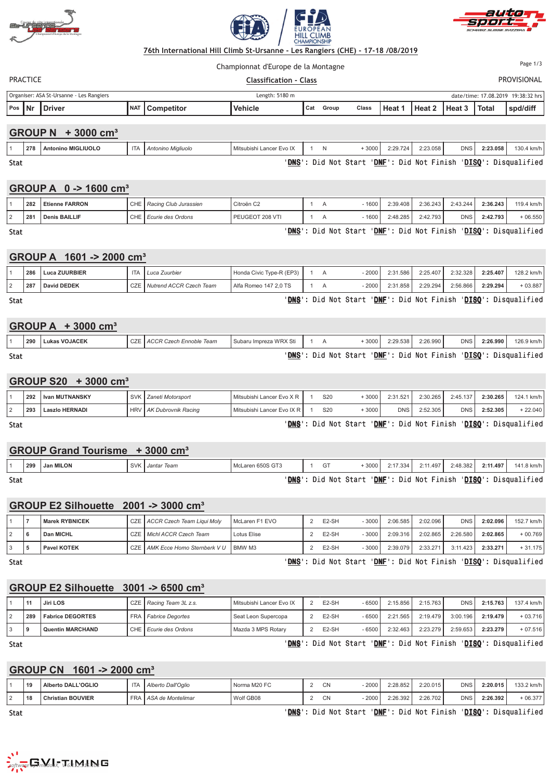





Championnat d'Europe de la Montagne

Page 1/3

#### PRACTIC  - **"#**  PROVISIONAL Organiser: ASA St-Ursanne - Les Rangiers Length: 5180 m date/time: 17.08.2019 19:38:32 hrs **Pos Nr Driver NAT Competitor Vehicle Cat Group Class Heat 1 Heat 2 Heat 3 Total spd/diff**

## **GROUP N + 3000 cm³**

|      | 278 | <b>Antonino MIGLIUOLO</b> | ПA | Antonino Migliuolo | Mitsubishi Lancer Evo IX |  | 3000          | 2:29.724         | 2:23.058       | <b>DNS</b> | 2:23.058 | 130.4 km/h                          |
|------|-----|---------------------------|----|--------------------|--------------------------|--|---------------|------------------|----------------|------------|----------|-------------------------------------|
| Stat |     |                           |    |                    | <b>DNS</b>               |  | Did Not Start | ' <u>DNF</u> ' : | Did Not Finish |            |          | ' <mark>DISQ</mark> ': Disqualified |

**DNS** ': Did Not Start '<u>DNF</u> '<u>dnf</u>': d ': Did Not Finish '<u>DISQ</u>': Disqualified

## **GROUP A 0 -> 1600 cm³**

| 282 | <b>Etienne FARRON</b> | CHE | Racing Club Jurassien | Citroën C <sub>2</sub> |  | 1600 | 2:39.408 | 2:36.243 | 2:43.244   | 2:36.243 | 119.4 km/h |
|-----|-----------------------|-----|-----------------------|------------------------|--|------|----------|----------|------------|----------|------------|
| 281 | <b>Denis BAILLIF</b>  | CHE | l Ecurie des Ordons   | PEUGEOT 208 VT         |  | 1600 | 2:48.285 | 2:42.793 | <b>DNS</b> | 2:42.793 | $+06.550$  |

Stat **Design Constant Constant Constant Constant Constant Constant Constant Constant Constant Constant Constant Co** 

## **GROUP A 1601 -> 2000 cm³**

| 286 | Luca ZUURBIER |      | Luca Zuurbier           | Honda Civic Type-R (EP3) |  | $-2000'$ | 2:31.586 | 2:25.407 | 2:32.328 | 2:25.407 | 128.2 km/h |
|-----|---------------|------|-------------------------|--------------------------|--|----------|----------|----------|----------|----------|------------|
| 287 | David DEDEK   | CZE, | Nutrend ACCR Czech Team | Alfa Romeo 147 2.0 TS    |  | $-2000'$ | 1.858    | 2:29.294 | 2:56.866 | 2:29.294 | $-03.887$  |

Stat **Design Constant Constant Constant Constant Constant Constant Constant Constant Constant Constant Constant Co** <u>NS</u>': Did Not Start '<u>DNF</u>': Did Not Finish '<u>DISQ</u>': Disqualified

<u>NS</u>': Did Not Start '<u>DNF</u>': Did Not Finish '<u>DISQ</u>': Disqualified

## **GROUP A + 3000 cm³**

|             | 290 | <b>Lukas VOJACEK</b> | CZE LACCR Czech Ennoble Team | l Subaru Impreza WRX Sti |  | 3000            | 2:29.538 | 2:26.990 | <b>DNS</b> | 2:26.990 | 126.9 km/h                                 |
|-------------|-----|----------------------|------------------------------|--------------------------|--|-----------------|----------|----------|------------|----------|--------------------------------------------|
| <b>Stat</b> |     |                      |                              | DNS <sup>'</sup>         |  | : Did Not Start |          |          |            |          | 'DNF': Did Not Finish 'DISQ': Disqualified |

## **GROUP S20 + 3000 cm³**

| Stat |     |                  |                           |                              |                 | ' <b>DNS</b> ': Did Not Start |            |          |            |          | 'DNF': Did Not Finish 'DISQ': Disqualified |
|------|-----|------------------|---------------------------|------------------------------|-----------------|-------------------------------|------------|----------|------------|----------|--------------------------------------------|
|      | 293 | Laszlo HERNADI   | HRV   AK Dubrovnik Racing | Mitsubishi Lancer Evo IX R I | S20             | + 3000                        | <b>DNS</b> | 2:52.305 | <b>DNS</b> | 2:52.305 | $+22.040$                                  |
|      | 292 | I Ivan MUTNANSKY | SVK   Zaneti Motorsport   | Mitsubishi Lancer Evo X R I  | S <sub>20</sub> | +3000                         | 2:31.521   | 2:30.265 | 2:45.137   | 2:30.265 | 124.1 km/h                                 |

<u>NS</u>': Did Not Start '<u>DNF</u>': Did Not Finish '<u>DISQ</u>': Disqualified

| GROUP Grand Tourisme +3000 cm <sup>3</sup> |  |  |
|--------------------------------------------|--|--|
|                                            |  |  |

|      | 299 | Jan MILON | SVK <i>Jantar Team</i> | McLaren 650S GT3 | GT              | 30001 | 2:17.334 | 2:11.497 | 2:48.382 | 2:11.497 | 141.8 km/h                                 |
|------|-----|-----------|------------------------|------------------|-----------------|-------|----------|----------|----------|----------|--------------------------------------------|
| Stat |     |           |                        | DNS'             | : Did Not Start |       |          |          |          |          | 'DNF': Did Not Finish 'DISQ': Disqualified |

## **GROUP E2 Silhouette 2001 -> 3000 cm³**

|  | <b>Marek RYBNICEK</b> | CZE ACCR Czech Team Liqui Moly             | McLaren F1 EVO | E <sub>2</sub> -SH | $-3000$  | 2:06.585 | 2:02.096 | <b>DNS</b> | 2:02.096 | 152.7 km/h |
|--|-----------------------|--------------------------------------------|----------------|--------------------|----------|----------|----------|------------|----------|------------|
|  | Dan MICHL             | CZE <i>Michl ACCR Czech Team</i>           | Lotus Elise    | E <sub>2</sub> -SH | $-3000'$ | 2:09.316 | 2:02.865 | 2:26.580   | 2:02.865 | $+00.769$  |
|  | <b>Pavel KOTEK</b>    | CZE   AMK Ecce Homo Sternberk V U   BMW M3 |                | E <sub>2</sub> -SH | $-3000$  | 2:39.079 | 2:33.271 | 3:11.423   | 2:33.271 | $+31.175$  |

Stat **Design Constant Constant Constant Constant Constant Constant Constant Constant Constant Constant Constant Co** 

<u>NS</u>': Did Not Start '<u>DNF</u>': Did Not Finish '<u>DISQ</u>': Disqualified

## **GROUP E2 Silhouette 3001 -> 6500 cm³**

| 11  | Jiri LOS                | CZE   Racing Team 3L z.s.        | Mitsubishi Lancer Evo IX | E <sub>2</sub> -SH | - 6500 | 2:15.856 | 2:15.763  | <b>DNS</b> | 2:15.763 | 137.4 km/h |
|-----|-------------------------|----------------------------------|--------------------------|--------------------|--------|----------|-----------|------------|----------|------------|
| 289 | <b>Fabrice DEGORTES</b> | FRA   <i>Fabrice Degortes</i>    | Seat Leon Supercopa      | E2-SH              | - 6500 | 2:21.565 | 2:19.4791 | 3:00.196   | 2:19.479 | $+03.716$  |
|     | <b>Quentin MARCHAND</b> | I CHE I <i>Ecurie des Ordons</i> | Mazda 3 MPS Rotary       | E <sub>2</sub> -SH | - 6500 | 2:32.463 | 2:23.279  | 2:59.653   | 2:23.279 | $+07.516$  |

Stat **District in the United States of the United States of the United States of the United States of the United States of the United States of the United States of the United States of the United States of the United Stat** 

### <u>NS</u>': Did Not Start '<u>DNF</u>': Did Not Finish '<u>DISQ</u>': Disqualified

## **GROUP CN 1601 -> 2000 cm³**

| 19 | Alberto DALL'OGLIO       | <b>ITA</b> | Alberto Dall'Oglio       | Norma M20 FC | CN | $-2000$ | 2:28.852 | 2:20.015 | <b>DNS</b> | 2:20.015 | 133.2 km/h |
|----|--------------------------|------------|--------------------------|--------------|----|---------|----------|----------|------------|----------|------------|
| 18 | <b>Christian BOUVIER</b> | <b>FRA</b> | <b>ASA de Montelimar</b> | Wolf GB08    | СN | $-2000$ | 2:26.392 | 2:26.702 | <b>DNS</b> | 2:26.392 | $+06.377$  |

Stat **District in the United States of the United States of the United States of the United States of the United States of the United States of the United States of the United States of the United States of the United Stat** 



<u>NS</u>': Did Not Start '<u>DNF</u>': Did Not Finish '<u>DISQ</u>': Disqualified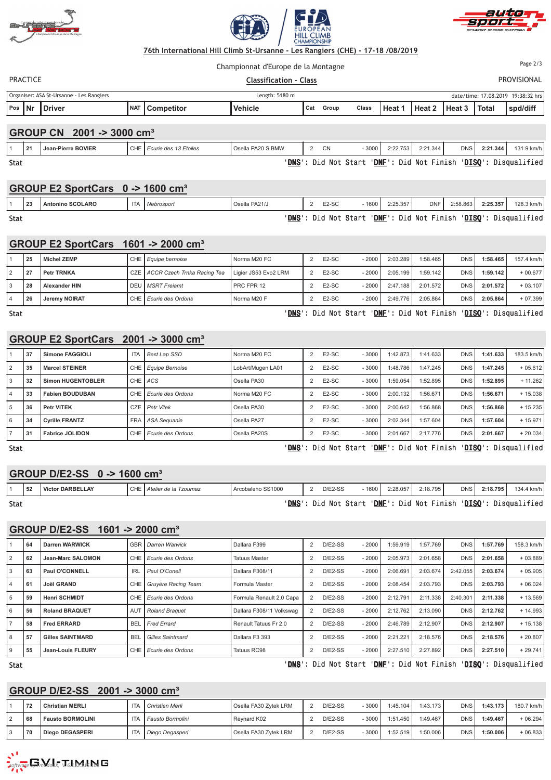





PRACTIC  - **"#**  PROVISIONAL Championnat d'Europe de la Montagne Page 2/3 Organiser: ASA St-Ursanne - Les Rangiers Length: 5180 m date/time: 17.08.2019 19:38:32 hrs **Pos Nr Driver NAT Competitor Vehicle Cat** Group **Class Heat 1** Heat 2 Heat 3 Total spd/diff **GROUP CN 2001 -> 3000 cm³** 1 **21 Jean-Pierre BOVIER** CHE *Ecurie des 13 Etoiles* Osella PA20 S BMW 2 CN - 3000 2:22.753 2:21.344 DNS **2:21.344** 131.9 km/h Stat **Design Constant Constant Constant Constant Constant Constant Constant Constant Constant Constant Constant Co** <u>NS</u>': Did Not Start '<u>DNF</u>': Did Not Finish '<u>DISQ</u>': Disqualified **GROUP E2 SportCars 0 -> 1600 cm³**

**GROUP E2 SportCars 1601 -> 2000 cm³**

Stat **Design Constant Constant Constant Constant Constant Constant Constant Constant Constant Constant Constant Co** 

| 25 | <b>Michel ZEMP</b>   | CHE <i>Equipe bernoise</i>        | Norma M20 FC         | E <sub>2</sub> -SC | - 2000  | 2:03.289 | 1:58.465 | <b>DNS</b> | 1:58.465 | 157.4 km/h |
|----|----------------------|-----------------------------------|----------------------|--------------------|---------|----------|----------|------------|----------|------------|
| 27 | <b>Petr TRNKA</b>    | CZE   ACCR Czech Trnka Racing Tea | Ligier JS53 Evo2 LRM | $E2-SC$            | $-2000$ | 2:05.199 | 1:59.142 | <b>DNS</b> | 1:59.142 | $+00.677$  |
| 28 | <b>Alexander HIN</b> | DEU <i>I MSRT Freiamt</i>         | PRC FPR 12           | E <sub>2</sub> -SC | $-2000$ | 2:47.188 | 2:01.572 | <b>DNS</b> | 2:01.572 | $+03.107$  |
| 26 | <b>Jeremy NOIRAT</b> | CHE <i>Ecurie des Ordons</i>      | Norma M20 F          | E <sub>2</sub> -SC | - 2000  | 2:49.776 | 2:05.864 | <b>DNS</b> | 2:05.864 | $+07.399$  |

1 **23 Antonino SCOLARO** ITA *Nebrosport* Osella PA21/J 2 E2-SC - 1600 2:25.357 DNF 2:58.863 **2:25.357** 128.3 km/h

Stat <mark>D</mark>

<u>NS</u>': Did Not Start '<u>DNF</u>': Did Not Finish '<u>DISQ</u>': Disqualified

<u>NS</u>': Did Not Start '<u>DNF</u>': Did Not Finish '<u>DISQ</u>': Disqualified

## **GROUP E2 SportCars 2001 -> 3000 cm³**

|                | 37 | Simone FAGGIOLI          | <b>ITA</b> | <b>Best Lap SSD</b>          | Norma M20 FC      | E <sub>2</sub> -SC | $-3000$ | :42.873  | 1:41.633 | <b>DNS</b> | 1:41.633 | 183.5 km/h |
|----------------|----|--------------------------|------------|------------------------------|-------------------|--------------------|---------|----------|----------|------------|----------|------------|
| 2              | 35 | <b>Marcel STEINER</b>    |            | CHE   Equipe Bernoise        | LobArt/Mugen LA01 | E <sub>2</sub> -SC | $-3000$ | :48.786  | 1:47.245 | <b>DNS</b> | 1:47.245 | $+05.612$  |
| 3              | 32 | <b>Simon HUGENTOBLER</b> | CHE ACS    |                              | Osella PA30       | E <sub>2</sub> -SC | $-3000$ | :59.054  | 1:52.895 | <b>DNS</b> | 1:52.895 | $+11.262$  |
| $\overline{4}$ | 33 | <b>Fabien BOUDUBAN</b>   |            | CHE Ecurie des Ordons        | Norma M20 FC      | E <sub>2</sub> -SC | $-3000$ | 2:00.132 | 1:56.671 | <b>DNS</b> | 1:56.671 | $+15.038$  |
| 5              | 36 | <b>Petr VITEK</b>        |            | CZE Petr Vitek               | Osella PA30       | E <sub>2</sub> -SC | $-3000$ | 2:00.642 | 1:56.868 | <b>DNS</b> | 1:56.868 | $+15.235$  |
| 6              | 34 | <b>Cyrille FRANTZ</b>    |            | FRA   ASA Seguanie           | Osella PA27       | E <sub>2</sub> -SC | $-3000$ | 2:02.344 | 1:57.604 | <b>DNS</b> | 1:57.604 | $+15.971$  |
|                | 31 | <b>Fabrice JOLIDON</b>   |            | CHE <i>Ecurie des Ordons</i> | Osella PA20S      | E <sub>2</sub> -SC | $-3000$ | 2:01.667 | 2:17.776 | <b>DNS</b> | 2:01.667 | $+20.034$  |

Stat **District in the State of the State of the State of the State of the State of the State of the State of the State of the State of the State of the State of the State of the State of the State of the State of the State** 

<u>NS</u>': Did Not Start '<u>DNF</u>': Did Not Finish '<u>DISQ</u>': Disqualified

## **GROUP D/E2-SS 0 -> 1600 cm³**

|      | ' 52 | <b>DARBELLAY</b><br>Victor L | $C \cup T$<br>UNE I | Atelier de la Tzoumaz | cobaleno SS1000<br>Arc | $D/E2-SS$  | 1600  | 2:28.057            | 2:18.795   | <b>DNS</b> | 2:18.795 | 134.4 km/h   |
|------|------|------------------------------|---------------------|-----------------------|------------------------|------------|-------|---------------------|------------|------------|----------|--------------|
| Stat |      |                              |                     |                       | <b>DNS</b>             | Did<br>Not | Start | ' <u>DNF</u> ': Did | Not Finish | 'DISO'     |          | Disqualified |

## **GROUP D/E2-SS 1601 -> 2000 cm³**

|                | 64 | Darren WARWICK          | <b>GBR</b>      | Darren Warwick               | Dallara F399             | $D/E2-SS$ | $-2000$ | 1:59.919 | 1:57.769 | <b>DNS</b> | 1:57.769 | 158.3 km/h |
|----------------|----|-------------------------|-----------------|------------------------------|--------------------------|-----------|---------|----------|----------|------------|----------|------------|
| $\overline{2}$ | 62 | Jean-Marc SALOMON       |                 | CHE Ecurie des Ordons        | <b>Tatuus Master</b>     | $D/E2-SS$ | $-2000$ | 2:05.973 | 2:01.658 | <b>DNS</b> | 2:01.658 | $+03.889$  |
| 3              | 63 | Paul O'CONNELL          | <b>IRL</b>      | Paul O'Conell                | Dallara F308/11          | $D/E2-SS$ | $-2000$ | 2:06.691 | 2:03.674 | 2:42.055   | 2:03.674 | $+05.905$  |
| 4              | 61 | <b>Joël GRAND</b>       | CHE             | Gruvère Racing Team          | Formula Master           | $D/E2-SS$ | $-2000$ | 2:08.454 | 2:03.793 | <b>DNS</b> | 2:03.793 | $+06.024$  |
| 5              | 59 | <b>Henri SCHMIDT</b>    |                 | CHE <i>Ecurie des Ordons</i> | Formula Renault 2.0 Capa | $D/E2-SS$ | $-2000$ | 2:12.791 | 2:11.338 | 2:40.301   | 2:11.338 | $+13.569$  |
| 6              | 56 | <b>Roland BRAQUET</b>   | AU <sup>7</sup> | <b>Roland Braguet</b>        | Dallara F308/11 Volkswag | $D/E2-SS$ | $-2000$ | 2:12.762 | 2:13.090 | <b>DNS</b> | 2:12.762 | $+14.993$  |
| $\rightarrow$  | 58 | <b>Fred ERRARD</b>      | <b>BEL</b>      | <b>Fred Errard</b>           | Renault Tatuus Fr 2.0    | $D/E2-SS$ | $-2000$ | 2:46.789 | 2:12.907 | <b>DNS</b> | 2:12.907 | $+15.138$  |
| 8              | 57 | <b>Gilles SAINTMARD</b> | <b>BEL</b>      | <b>Gilles Saintmard</b>      | Dallara F3 393           | $D/E2-SS$ | $-2000$ | 2:21.221 | 2:18.576 | <b>DNS</b> | 2:18.576 | $+20.807$  |
| 9              | 55 | Jean-Louis FLEURY       | CHE I           | l Ecurie des Ordons          | Tatuus RC98              | $D/E2-SS$ | $-2000$ | 2:27.510 | 2:27.892 | <b>DNS</b> | 2:27.510 | $+29.741$  |

Stat **District in the United States of the United States of the United States of the United States of the United States of the United States of the United States of the United States of the United States of the United Stat** 

<u>NS</u>': Did Not Start '<u>DNF</u>': Did Not Finish '<u>DISQ</u>': Disqualified

## **GROUP D/E2-SS 2001 -> 3000 cm³**

| 70   | <b>Christian MERLI</b>  | <b>ITA</b> | Christian Merli  | Osella FA30 Zvtek LRM | $D/E2-SS$ | $-3000$  | 1:45.104 | 1:43.173 | <b>DNS</b> | 1:43.173 | 180.7 km/h |
|------|-------------------------|------------|------------------|-----------------------|-----------|----------|----------|----------|------------|----------|------------|
| ' 68 | <b>Fausto BORMOLINI</b> | <b>ITA</b> | Fausto Bormolini | Revnard K02           | $D/E2-SS$ | $-3000'$ | 1:51.450 | :49.467  | DNS        | 1:49.467 | $+06.294$  |
| 70   | Diego DEGASPERI         | <b>ITA</b> | Diego Degasperi  | Osella FA30 Zvtek LRM | $D/E2-SS$ | $-3000$  | :52.519  | :50.006  | DNS        | 1:50.006 | $+06.833$  |